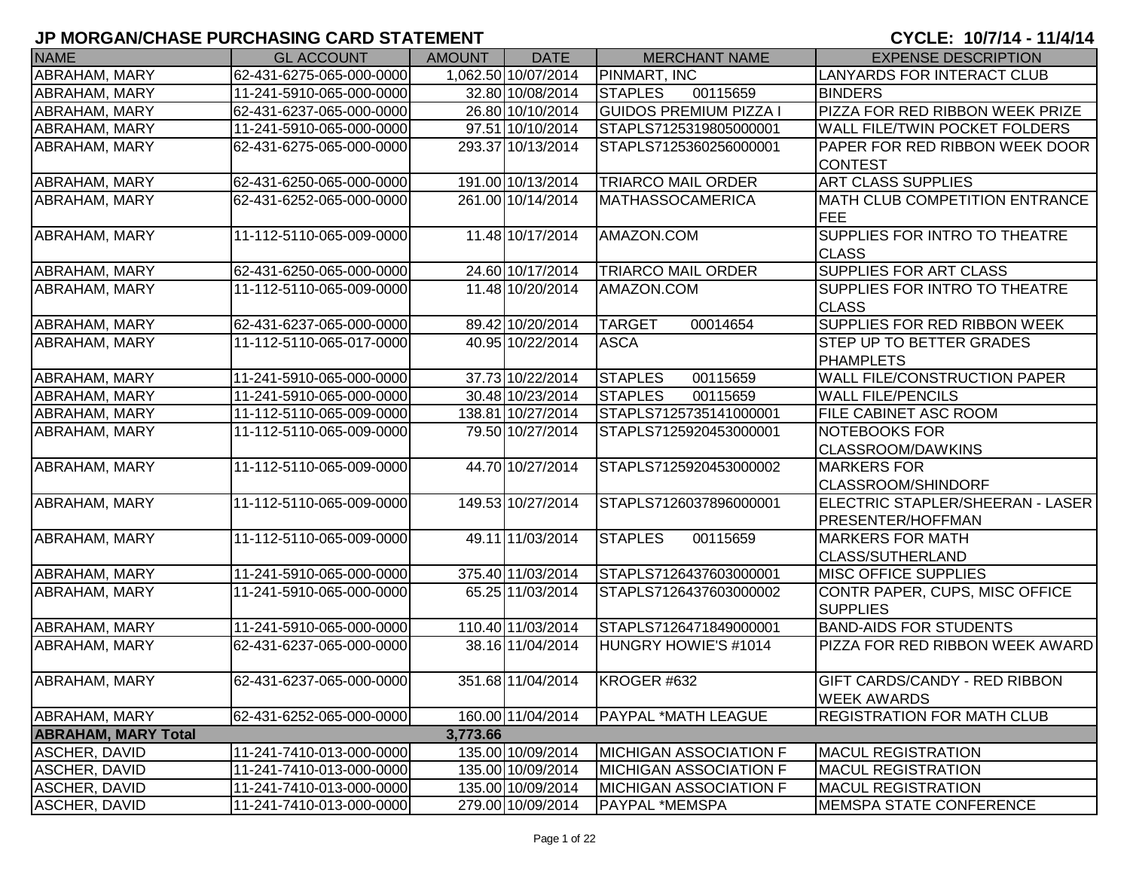| <b>NAME</b>                | <b>GL ACCOUNT</b>        | <b>AMOUNT</b> | <b>DATE</b>         | <b>MERCHANT NAME</b>          | <b>EXPENSE DESCRIPTION</b>                       |
|----------------------------|--------------------------|---------------|---------------------|-------------------------------|--------------------------------------------------|
| ABRAHAM, MARY              | 62-431-6275-065-000-0000 |               | 1,062.50 10/07/2014 | PINMART, INC                  | <b>LANYARDS FOR INTERACT CLUB</b>                |
| ABRAHAM, MARY              | 11-241-5910-065-000-0000 |               | 32.80 10/08/2014    | 00115659<br><b>STAPLES</b>    | <b>BINDERS</b>                                   |
| ABRAHAM, MARY              | 62-431-6237-065-000-0000 |               | 26.80 10/10/2014    | <b>GUIDOS PREMIUM PIZZA I</b> | PIZZA FOR RED RIBBON WEEK PRIZE                  |
| <b>ABRAHAM, MARY</b>       | 11-241-5910-065-000-0000 |               | 97.51 10/10/2014    | STAPLS7125319805000001        | <b>WALL FILE/TWIN POCKET FOLDERS</b>             |
| ABRAHAM, MARY              | 62-431-6275-065-000-0000 |               | 293.37 10/13/2014   | STAPLS7125360256000001        | <b>PAPER FOR RED RIBBON WEEK DOOR</b>            |
|                            |                          |               |                     |                               | <b>CONTEST</b>                                   |
| ABRAHAM, MARY              | 62-431-6250-065-000-0000 |               | 191.00 10/13/2014   | <b>TRIARCO MAIL ORDER</b>     | <b>ART CLASS SUPPLIES</b>                        |
| <b>ABRAHAM, MARY</b>       | 62-431-6252-065-000-0000 |               | 261.00 10/14/2014   | <b>MATHASSOCAMERICA</b>       | MATH CLUB COMPETITION ENTRANCE                   |
|                            |                          |               |                     |                               | <b>FEE</b>                                       |
| ABRAHAM, MARY              | 11-112-5110-065-009-0000 |               | 11.48 10/17/2014    | AMAZON.COM                    | <b>SUPPLIES FOR INTRO TO THEATRE</b>             |
|                            |                          |               |                     |                               | <b>CLASS</b>                                     |
| ABRAHAM, MARY              | 62-431-6250-065-000-0000 |               | 24.60 10/17/2014    | <b>TRIARCO MAIL ORDER</b>     | <b>SUPPLIES FOR ART CLASS</b>                    |
| <b>ABRAHAM, MARY</b>       | 11-112-5110-065-009-0000 |               | 11.48 10/20/2014    | AMAZON.COM                    | <b>SUPPLIES FOR INTRO TO THEATRE</b>             |
|                            |                          |               |                     |                               | <b>CLASS</b>                                     |
| ABRAHAM, MARY              | 62-431-6237-065-000-0000 |               | 89.42 10/20/2014    | <b>TARGET</b><br>00014654     | SUPPLIES FOR RED RIBBON WEEK                     |
| <b>ABRAHAM, MARY</b>       | 11-112-5110-065-017-0000 |               | 40.95 10/22/2014    | <b>ASCA</b>                   | <b>STEP UP TO BETTER GRADES</b>                  |
|                            |                          |               |                     |                               | <b>PHAMPLETS</b>                                 |
| ABRAHAM, MARY              | 11-241-5910-065-000-0000 |               | 37.73 10/22/2014    | <b>STAPLES</b><br>00115659    | <b>WALL FILE/CONSTRUCTION PAPER</b>              |
| ABRAHAM, MARY              | 11-241-5910-065-000-0000 |               | 30.48 10/23/2014    | <b>STAPLES</b><br>00115659    | <b>WALL FILE/PENCILS</b>                         |
| ABRAHAM, MARY              | 11-112-5110-065-009-0000 |               | 138.81 10/27/2014   | STAPLS7125735141000001        | <b>FILE CABINET ASC ROOM</b>                     |
| ABRAHAM, MARY              | 11-112-5110-065-009-0000 |               | 79.50 10/27/2014    | STAPLS7125920453000001        | NOTEBOOKS FOR                                    |
|                            |                          |               |                     |                               | <b>CLASSROOM/DAWKINS</b>                         |
| ABRAHAM, MARY              | 11-112-5110-065-009-0000 |               | 44.70 10/27/2014    | STAPLS7125920453000002        | <b>MARKERS FOR</b>                               |
|                            |                          |               |                     |                               | CLASSROOM/SHINDORF                               |
| ABRAHAM, MARY              | 11-112-5110-065-009-0000 |               | 149.53 10/27/2014   | STAPLS7126037896000001        | ELECTRIC STAPLER/SHEERAN - LASER                 |
|                            |                          |               |                     |                               | <b>PRESENTER/HOFFMAN</b>                         |
| <b>ABRAHAM, MARY</b>       | 11-112-5110-065-009-0000 |               | 49.11 11/03/2014    | <b>STAPLES</b><br>00115659    | <b>MARKERS FOR MATH</b>                          |
|                            |                          |               | 375.40 11/03/2014   |                               | CLASS/SUTHERLAND                                 |
| ABRAHAM, MARY              | 11-241-5910-065-000-0000 |               |                     | STAPLS7126437603000001        | MISC OFFICE SUPPLIES                             |
| ABRAHAM, MARY              | 11-241-5910-065-000-0000 |               | 65.25 11/03/2014    | STAPLS7126437603000002        | CONTR PAPER, CUPS, MISC OFFICE                   |
| ABRAHAM, MARY              | 11-241-5910-065-000-0000 |               | 110.40 11/03/2014   | STAPLS7126471849000001        | <b>SUPPLIES</b><br><b>BAND-AIDS FOR STUDENTS</b> |
| ABRAHAM, MARY              | 62-431-6237-065-000-0000 |               | 38.16 11/04/2014    | HUNGRY HOWIE'S #1014          | PIZZA FOR RED RIBBON WEEK AWARD                  |
|                            |                          |               |                     |                               |                                                  |
| <b>ABRAHAM, MARY</b>       | 62-431-6237-065-000-0000 |               | 351.68 11/04/2014   | KROGER #632                   | <b>GIFT CARDS/CANDY - RED RIBBON</b>             |
|                            |                          |               |                     |                               | <b>WEEK AWARDS</b>                               |
| <b>ABRAHAM, MARY</b>       | 62-431-6252-065-000-0000 |               | 160.00 11/04/2014   | <b>PAYPAL *MATH LEAGUE</b>    | <b>REGISTRATION FOR MATH CLUB</b>                |
| <b>ABRAHAM, MARY Total</b> |                          | 3,773.66      |                     |                               |                                                  |
| ASCHER, DAVID              | 11-241-7410-013-000-0000 |               | 135.00 10/09/2014   | <b>MICHIGAN ASSOCIATION F</b> | <b>MACUL REGISTRATION</b>                        |
| <b>ASCHER, DAVID</b>       | 11-241-7410-013-000-0000 |               | 135.00 10/09/2014   | <b>MICHIGAN ASSOCIATION F</b> | <b>MACUL REGISTRATION</b>                        |
| ASCHER, DAVID              | 11-241-7410-013-000-0000 |               | 135.00 10/09/2014   | <b>MICHIGAN ASSOCIATION F</b> | <b>MACUL REGISTRATION</b>                        |
| ASCHER, DAVID              | 11-241-7410-013-000-0000 |               | 279.00 10/09/2014   | PAYPAL *MEMSPA                | MEMSPA STATE CONFERENCE                          |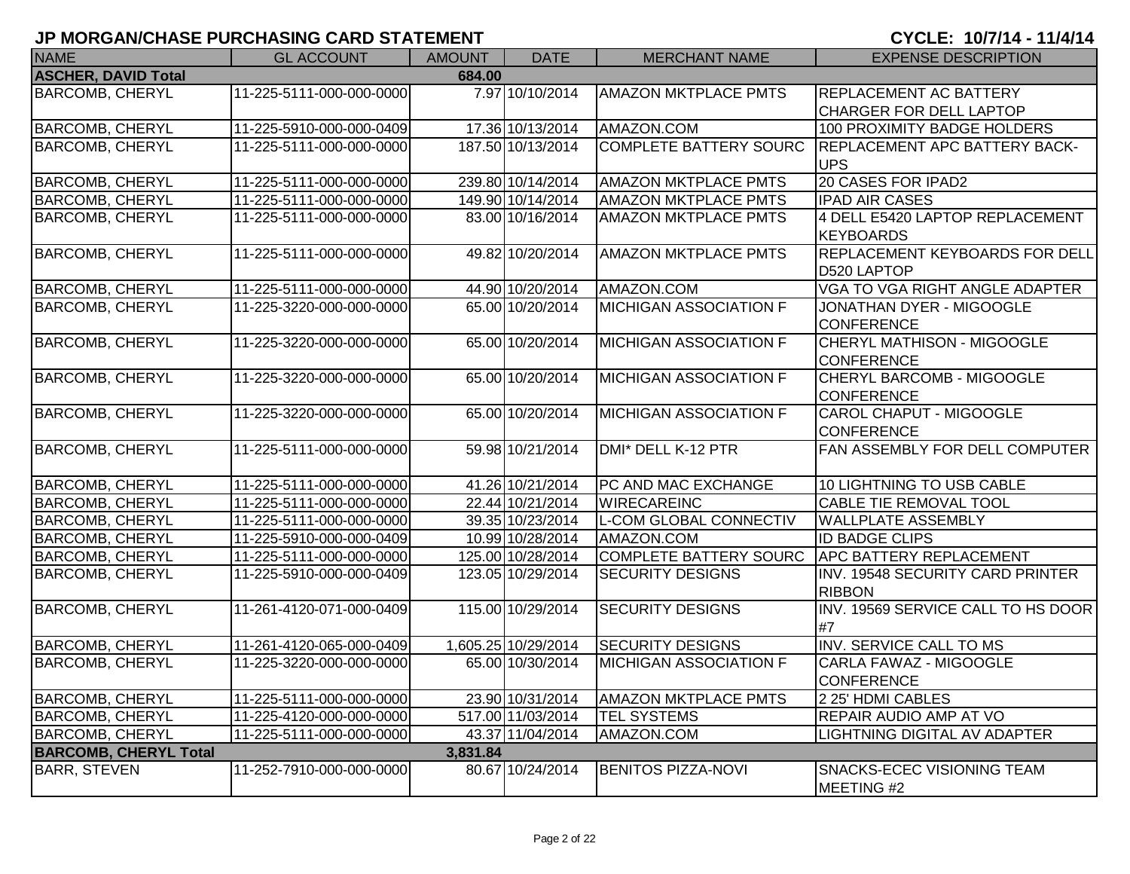# **JP MORGAN/CHASE PURCHASING CARD STATEMENT**

### CYCLE: 10/7/14 - 11/4/14

| <b>NAME</b>                  | <b>GL ACCOUNT</b>        | <b>AMOUNT</b> | <b>DATE</b>         | <b>MERCHANT NAME</b>          | <b>EXPENSE DESCRIPTION</b>                          |
|------------------------------|--------------------------|---------------|---------------------|-------------------------------|-----------------------------------------------------|
| <b>ASCHER, DAVID Total</b>   |                          | 684.00        |                     |                               |                                                     |
| <b>BARCOMB, CHERYL</b>       | 11-225-5111-000-000-0000 |               | 7.97 10/10/2014     | <b>AMAZON MKTPLACE PMTS</b>   | <b>REPLACEMENT AC BATTERY</b>                       |
|                              |                          |               |                     |                               | CHARGER FOR DELL LAPTOP                             |
| <b>BARCOMB, CHERYL</b>       | 11-225-5910-000-000-0409 |               | 17.36 10/13/2014    | AMAZON.COM                    | 100 PROXIMITY BADGE HOLDERS                         |
| <b>BARCOMB, CHERYL</b>       | 11-225-5111-000-000-0000 |               | 187.50 10/13/2014   | <b>COMPLETE BATTERY SOURC</b> | <b>REPLACEMENT APC BATTERY BACK-</b>                |
|                              |                          |               |                     |                               | <b>UPS</b>                                          |
| <b>BARCOMB, CHERYL</b>       | 11-225-5111-000-000-0000 |               | 239.80 10/14/2014   | <b>AMAZON MKTPLACE PMTS</b>   | 20 CASES FOR IPAD2                                  |
| <b>BARCOMB, CHERYL</b>       | 11-225-5111-000-000-0000 |               | 149.90 10/14/2014   | <b>AMAZON MKTPLACE PMTS</b>   | <b>IPAD AIR CASES</b>                               |
| <b>BARCOMB, CHERYL</b>       | 11-225-5111-000-000-0000 |               | 83.00 10/16/2014    | <b>AMAZON MKTPLACE PMTS</b>   | 4 DELL E5420 LAPTOP REPLACEMENT<br><b>KEYBOARDS</b> |
| <b>BARCOMB, CHERYL</b>       | 11-225-5111-000-000-0000 |               | 49.82 10/20/2014    | AMAZON MKTPLACE PMTS          | REPLACEMENT KEYBOARDS FOR DELL<br>D520 LAPTOP       |
| <b>BARCOMB, CHERYL</b>       | 11-225-5111-000-000-0000 |               | 44.90 10/20/2014    | AMAZON.COM                    | VGA TO VGA RIGHT ANGLE ADAPTER                      |
| <b>BARCOMB, CHERYL</b>       | 11-225-3220-000-000-0000 |               | 65.00 10/20/2014    | <b>MICHIGAN ASSOCIATION F</b> | JONATHAN DYER - MIGOOGLE<br><b>CONFERENCE</b>       |
| <b>BARCOMB, CHERYL</b>       | 11-225-3220-000-000-0000 |               | 65.00 10/20/2014    | <b>MICHIGAN ASSOCIATION F</b> | CHERYL MATHISON - MIGOOGLE<br><b>CONFERENCE</b>     |
| <b>BARCOMB, CHERYL</b>       | 11-225-3220-000-000-0000 |               | 65.00 10/20/2014    | <b>MICHIGAN ASSOCIATION F</b> | CHERYL BARCOMB - MIGOOGLE<br><b>CONFERENCE</b>      |
| <b>BARCOMB, CHERYL</b>       | 11-225-3220-000-000-0000 |               | 65.00 10/20/2014    | <b>MICHIGAN ASSOCIATION F</b> | CAROL CHAPUT - MIGOOGLE<br><b>CONFERENCE</b>        |
| <b>BARCOMB, CHERYL</b>       | 11-225-5111-000-000-0000 |               | 59.98 10/21/2014    | DMI* DELL K-12 PTR            | FAN ASSEMBLY FOR DELL COMPUTER                      |
| <b>BARCOMB, CHERYL</b>       | 11-225-5111-000-000-0000 |               | 41.26 10/21/2014    | PC AND MAC EXCHANGE           | 10 LIGHTNING TO USB CABLE                           |
| <b>BARCOMB, CHERYL</b>       | 11-225-5111-000-000-0000 |               | 22.44 10/21/2014    | <b>WIRECAREINC</b>            | <b>CABLE TIE REMOVAL TOOL</b>                       |
| <b>BARCOMB, CHERYL</b>       | 11-225-5111-000-000-0000 |               | 39.35 10/23/2014    | <b>L-COM GLOBAL CONNECTIV</b> | <b>WALLPLATE ASSEMBLY</b>                           |
| <b>BARCOMB, CHERYL</b>       | 11-225-5910-000-000-0409 |               | 10.99 10/28/2014    | AMAZON.COM                    | <b>ID BADGE CLIPS</b>                               |
| <b>BARCOMB, CHERYL</b>       | 11-225-5111-000-000-0000 |               | 125.00 10/28/2014   | <b>COMPLETE BATTERY SOURC</b> | <b>APC BATTERY REPLACEMENT</b>                      |
| <b>BARCOMB, CHERYL</b>       | 11-225-5910-000-000-0409 |               | 123.05 10/29/2014   | <b>SECURITY DESIGNS</b>       | INV. 19548 SECURITY CARD PRINTER<br><b>RIBBON</b>   |
| <b>BARCOMB, CHERYL</b>       | 11-261-4120-071-000-0409 |               | 115.00 10/29/2014   | <b>SECURITY DESIGNS</b>       | INV. 19569 SERVICE CALL TO HS DOOR<br>#7            |
| <b>BARCOMB, CHERYL</b>       | 11-261-4120-065-000-0409 |               | 1,605.25 10/29/2014 | <b>SECURITY DESIGNS</b>       | <b>INV. SERVICE CALL TO MS</b>                      |
| <b>BARCOMB, CHERYL</b>       | 11-225-3220-000-000-0000 |               | 65.00 10/30/2014    | <b>MICHIGAN ASSOCIATION F</b> | CARLA FAWAZ - MIGOOGLE<br><b>CONFERENCE</b>         |
| <b>BARCOMB, CHERYL</b>       | 11-225-5111-000-000-0000 |               | 23.90 10/31/2014    | <b>AMAZON MKTPLACE PMTS</b>   | 2 25' HDMI CABLES                                   |
| <b>BARCOMB, CHERYL</b>       | 11-225-4120-000-000-0000 |               | 517.00 11/03/2014   | <b>TEL SYSTEMS</b>            | <b>REPAIR AUDIO AMP AT VO</b>                       |
| <b>BARCOMB, CHERYL</b>       | 11-225-5111-000-000-0000 |               | 43.37 11/04/2014    | AMAZON.COM                    | <b>LIGHTNING DIGITAL AV ADAPTER</b>                 |
| <b>BARCOMB, CHERYL Total</b> |                          | 3,831.84      |                     |                               |                                                     |
| <b>BARR, STEVEN</b>          | 11-252-7910-000-000-0000 |               | 80.67 10/24/2014    | <b>BENITOS PIZZA-NOVI</b>     | <b>SNACKS-ECEC VISIONING TEAM</b><br>MEETING #2     |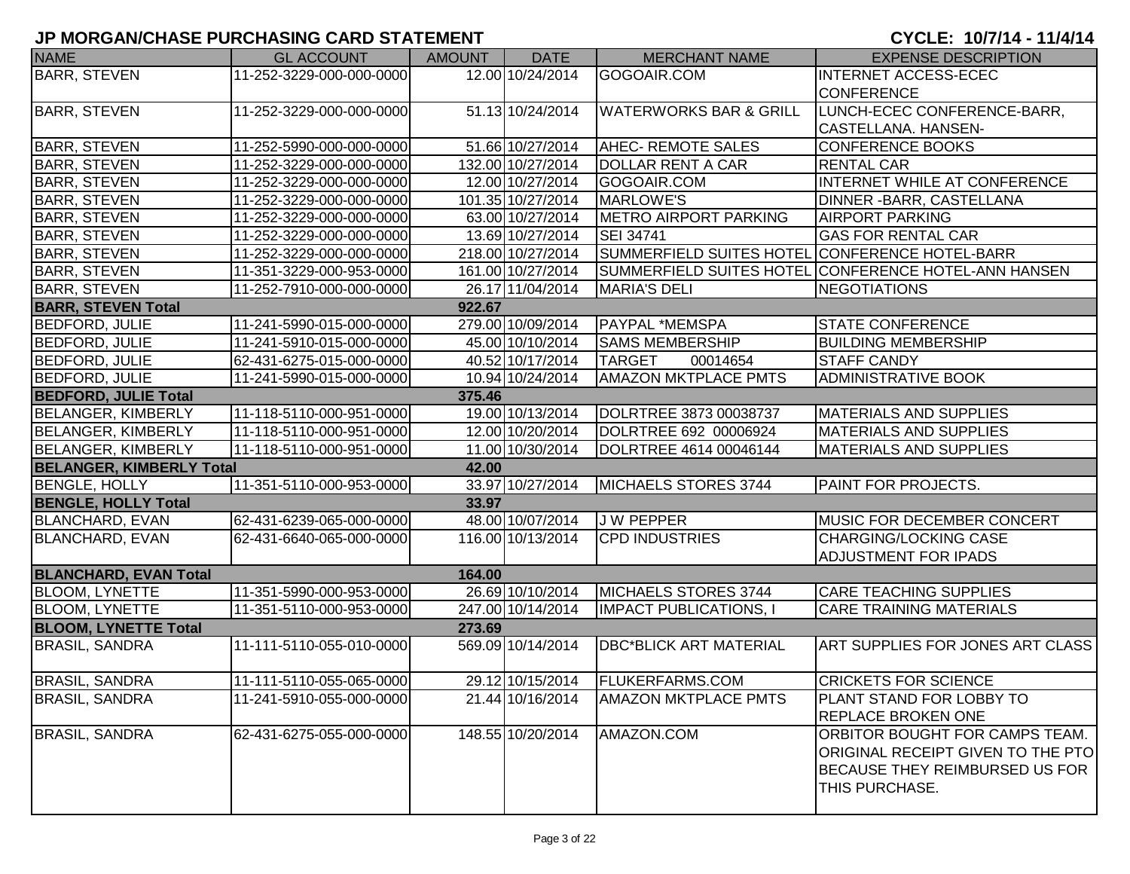| <b>NAME</b>                     | <b>GL ACCOUNT</b>        | <b>AMOUNT</b> | <b>DATE</b>       | <b>MERCHANT NAME</b>                           | <b>EXPENSE DESCRIPTION</b>                                                                                                     |
|---------------------------------|--------------------------|---------------|-------------------|------------------------------------------------|--------------------------------------------------------------------------------------------------------------------------------|
| <b>BARR, STEVEN</b>             | 11-252-3229-000-000-0000 |               | 12.00 10/24/2014  | GOGOAIR.COM                                    | <b>INTERNET ACCESS-ECEC</b>                                                                                                    |
|                                 |                          |               |                   |                                                | <b>CONFERENCE</b>                                                                                                              |
| <b>BARR, STEVEN</b>             | 11-252-3229-000-000-0000 |               | 51.13 10/24/2014  | <b>WATERWORKS BAR &amp; GRILL</b>              | LUNCH-ECEC CONFERENCE-BARR,                                                                                                    |
|                                 |                          |               |                   |                                                | CASTELLANA. HANSEN-                                                                                                            |
| <b>BARR, STEVEN</b>             | 11-252-5990-000-000-0000 |               | 51.66 10/27/2014  | <b>AHEC- REMOTE SALES</b>                      | <b>CONFERENCE BOOKS</b>                                                                                                        |
| <b>BARR, STEVEN</b>             | 11-252-3229-000-000-0000 |               | 132.00 10/27/2014 | <b>DOLLAR RENT A CAR</b>                       | <b>RENTAL CAR</b>                                                                                                              |
| <b>BARR, STEVEN</b>             | 11-252-3229-000-000-0000 |               | 12.00 10/27/2014  | GOGOAIR.COM                                    | INTERNET WHILE AT CONFERENCE                                                                                                   |
| <b>BARR, STEVEN</b>             | 11-252-3229-000-000-0000 |               | 101.35 10/27/2014 | <b>MARLOWE'S</b>                               | <b>DINNER - BARR, CASTELLANA</b>                                                                                               |
| <b>BARR, STEVEN</b>             | 11-252-3229-000-000-0000 |               | 63.00 10/27/2014  | <b>METRO AIRPORT PARKING</b>                   | <b>AIRPORT PARKING</b>                                                                                                         |
| <b>BARR, STEVEN</b>             | 11-252-3229-000-000-0000 |               | 13.69 10/27/2014  | SEI 34741                                      | <b>GAS FOR RENTAL CAR</b>                                                                                                      |
| <b>BARR, STEVEN</b>             | 11-252-3229-000-000-0000 |               | 218.00 10/27/2014 | SUMMERFIELD SUITES HOTEL CONFERENCE HOTEL-BARR |                                                                                                                                |
| <b>BARR, STEVEN</b>             | 11-351-3229-000-953-0000 |               | 161.00 10/27/2014 |                                                | SUMMERFIELD SUITES HOTEL CONFERENCE HOTEL-ANN HANSEN                                                                           |
| <b>BARR, STEVEN</b>             | 11-252-7910-000-000-0000 |               | 26.17 11/04/2014  | <b>MARIA'S DELI</b>                            | <b>NEGOTIATIONS</b>                                                                                                            |
| <b>BARR, STEVEN Total</b>       |                          | 922.67        |                   |                                                |                                                                                                                                |
| <b>BEDFORD, JULIE</b>           | 11-241-5990-015-000-0000 |               | 279.00 10/09/2014 | <b>PAYPAL *MEMSPA</b>                          | <b>STATE CONFERENCE</b>                                                                                                        |
| <b>BEDFORD, JULIE</b>           | 11-241-5910-015-000-0000 |               | 45.00 10/10/2014  | <b>SAMS MEMBERSHIP</b>                         | <b>BUILDING MEMBERSHIP</b>                                                                                                     |
| <b>BEDFORD, JULIE</b>           | 62-431-6275-015-000-0000 |               | 40.52 10/17/2014  | <b>TARGET</b><br>00014654                      | <b>STAFF CANDY</b>                                                                                                             |
| <b>BEDFORD, JULIE</b>           | 11-241-5990-015-000-0000 |               | 10.94 10/24/2014  | <b>AMAZON MKTPLACE PMTS</b>                    | <b>ADMINISTRATIVE BOOK</b>                                                                                                     |
| <b>BEDFORD, JULIE Total</b>     |                          | 375.46        |                   |                                                |                                                                                                                                |
| <b>BELANGER, KIMBERLY</b>       | 11-118-5110-000-951-0000 |               | 19.00 10/13/2014  | DOLRTREE 3873 00038737                         | <b>MATERIALS AND SUPPLIES</b>                                                                                                  |
| <b>BELANGER, KIMBERLY</b>       | 11-118-5110-000-951-0000 |               | 12.00 10/20/2014  | DOLRTREE 692 00006924                          | <b>MATERIALS AND SUPPLIES</b>                                                                                                  |
| <b>BELANGER, KIMBERLY</b>       | 11-118-5110-000-951-0000 |               | 11.00 10/30/2014  | DOLRTREE 4614 00046144                         | <b>MATERIALS AND SUPPLIES</b>                                                                                                  |
| <b>BELANGER, KIMBERLY Total</b> |                          | 42.00         |                   |                                                |                                                                                                                                |
| <b>BENGLE, HOLLY</b>            | 11-351-5110-000-953-0000 |               | 33.97 10/27/2014  | MICHAELS STORES 3744                           | PAINT FOR PROJECTS.                                                                                                            |
| <b>BENGLE, HOLLY Total</b>      |                          | 33.97         |                   |                                                |                                                                                                                                |
| <b>BLANCHARD, EVAN</b>          | 62-431-6239-065-000-0000 |               | 48.00 10/07/2014  | J W PEPPER                                     | <b>MUSIC FOR DECEMBER CONCERT</b>                                                                                              |
| <b>BLANCHARD, EVAN</b>          | 62-431-6640-065-000-0000 |               | 116.00 10/13/2014 | <b>CPD INDUSTRIES</b>                          | <b>CHARGING/LOCKING CASE</b>                                                                                                   |
|                                 |                          |               |                   |                                                | <b>ADJUSTMENT FOR IPADS</b>                                                                                                    |
| <b>BLANCHARD, EVAN Total</b>    |                          | 164.00        |                   |                                                |                                                                                                                                |
| <b>BLOOM, LYNETTE</b>           | 11-351-5990-000-953-0000 |               | 26.69 10/10/2014  | MICHAELS STORES 3744                           | <b>CARE TEACHING SUPPLIES</b>                                                                                                  |
| <b>BLOOM, LYNETTE</b>           | 11-351-5110-000-953-0000 |               | 247.00 10/14/2014 | <b>IMPACT PUBLICATIONS, I</b>                  | <b>CARE TRAINING MATERIALS</b>                                                                                                 |
| <b>BLOOM, LYNETTE Total</b>     |                          | 273.69        |                   |                                                |                                                                                                                                |
| <b>BRASIL, SANDRA</b>           | 11-111-5110-055-010-0000 |               | 569.09 10/14/2014 | <b>DBC*BLICK ART MATERIAL</b>                  | ART SUPPLIES FOR JONES ART CLASS                                                                                               |
| <b>BRASIL, SANDRA</b>           | 11-111-5110-055-065-0000 |               | 29.12 10/15/2014  | <b>FLUKERFARMS.COM</b>                         | <b>CRICKETS FOR SCIENCE</b>                                                                                                    |
| <b>BRASIL, SANDRA</b>           | 11-241-5910-055-000-0000 |               | 21.44 10/16/2014  | <b>AMAZON MKTPLACE PMTS</b>                    | <b>PLANT STAND FOR LOBBY TO</b>                                                                                                |
|                                 |                          |               |                   |                                                | <b>REPLACE BROKEN ONE</b>                                                                                                      |
| <b>BRASIL, SANDRA</b>           | 62-431-6275-055-000-0000 |               | 148.55 10/20/2014 | AMAZON.COM                                     | ORBITOR BOUGHT FOR CAMPS TEAM.<br>ORIGINAL RECEIPT GIVEN TO THE PTO<br>BECAUSE THEY REIMBURSED US FOR<br><b>THIS PURCHASE.</b> |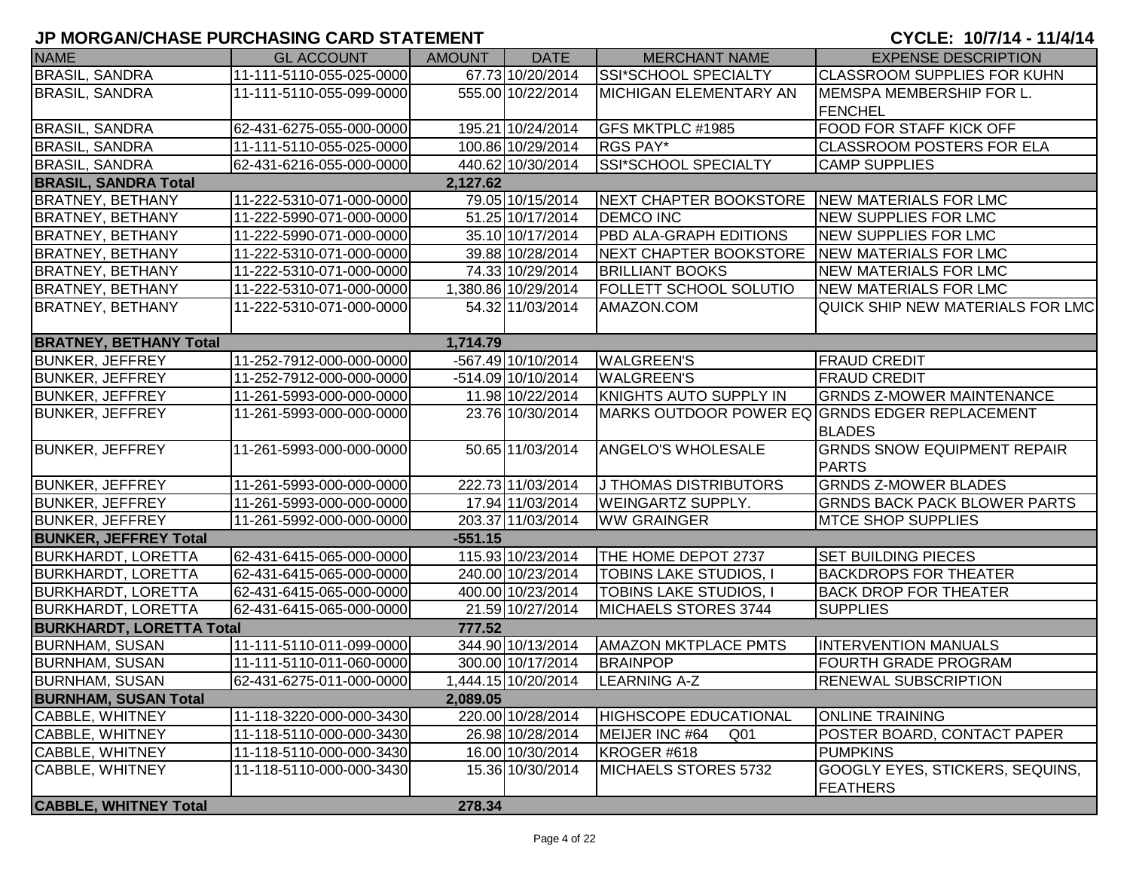| <b>NAME</b>                     | <b>GL ACCOUNT</b>        | <b>AMOUNT</b> | <b>DATE</b>         | <b>MERCHANT NAME</b>                          | <b>EXPENSE DESCRIPTION</b>                                      |
|---------------------------------|--------------------------|---------------|---------------------|-----------------------------------------------|-----------------------------------------------------------------|
| <b>BRASIL, SANDRA</b>           | 11-111-5110-055-025-0000 |               | 67.73 10/20/2014    | <b>SSI*SCHOOL SPECIALTY</b>                   | <b>CLASSROOM SUPPLIES FOR KUHN</b>                              |
| <b>BRASIL, SANDRA</b>           | 11-111-5110-055-099-0000 |               | 555.00 10/22/2014   | <b>MICHIGAN ELEMENTARY AN</b>                 | <b>IMEMSPA MEMBERSHIP FOR L.</b><br><b>FENCHEL</b>              |
| <b>BRASIL, SANDRA</b>           | 62-431-6275-055-000-0000 |               | 195.21 10/24/2014   | GFS MKTPLC #1985                              | <b>FOOD FOR STAFF KICK OFF</b>                                  |
| <b>BRASIL, SANDRA</b>           | 11-111-5110-055-025-0000 |               | 100.86 10/29/2014   | RGS PAY*                                      | <b>CLASSROOM POSTERS FOR ELA</b>                                |
| <b>BRASIL, SANDRA</b>           | 62-431-6216-055-000-0000 |               | 440.62 10/30/2014   | <b>SSI*SCHOOL SPECIALTY</b>                   | <b>CAMP SUPPLIES</b>                                            |
| <b>BRASIL, SANDRA Total</b>     |                          | 2,127.62      |                     |                                               |                                                                 |
| <b>BRATNEY, BETHANY</b>         | 11-222-5310-071-000-0000 |               | 79.05 10/15/2014    | NEXT CHAPTER BOOKSTORE INEW MATERIALS FOR LMC |                                                                 |
| <b>BRATNEY, BETHANY</b>         | 11-222-5990-071-000-0000 |               | 51.25 10/17/2014    | <b>DEMCO INC</b>                              | NEW SUPPLIES FOR LMC                                            |
| <b>BRATNEY, BETHANY</b>         | 11-222-5990-071-000-0000 |               | 35.10 10/17/2014    | <b>PBD ALA-GRAPH EDITIONS</b>                 | NEW SUPPLIES FOR LMC                                            |
| <b>BRATNEY, BETHANY</b>         | 11-222-5310-071-000-0000 |               | 39.88 10/28/2014    | NEXT CHAPTER BOOKSTORE                        | NEW MATERIALS FOR LMC                                           |
| <b>BRATNEY, BETHANY</b>         | 11-222-5310-071-000-0000 |               | 74.33 10/29/2014    | <b>BRILLIANT BOOKS</b>                        | <b>NEW MATERIALS FOR LMC</b>                                    |
| <b>BRATNEY, BETHANY</b>         | 11-222-5310-071-000-0000 |               | 1,380.86 10/29/2014 | <b>FOLLETT SCHOOL SOLUTIO</b>                 | NEW MATERIALS FOR LMC                                           |
| <b>BRATNEY, BETHANY</b>         | 11-222-5310-071-000-0000 |               | 54.32 11/03/2014    | AMAZON.COM                                    | QUICK SHIP NEW MATERIALS FOR LMC                                |
| <b>BRATNEY, BETHANY Total</b>   |                          | 1,714.79      |                     |                                               |                                                                 |
| <b>BUNKER, JEFFREY</b>          | 11-252-7912-000-000-0000 |               | -567.49 10/10/2014  | <b>WALGREEN'S</b>                             | <b>FRAUD CREDIT</b>                                             |
| <b>BUNKER, JEFFREY</b>          | 11-252-7912-000-000-0000 |               | -514.09 10/10/2014  | <b>WALGREEN'S</b>                             | <b>FRAUD CREDIT</b>                                             |
| <b>BUNKER, JEFFREY</b>          | 11-261-5993-000-000-0000 |               | 11.98 10/22/2014    | KNIGHTS AUTO SUPPLY IN                        | <b>GRNDS Z-MOWER MAINTENANCE</b>                                |
| <b>BUNKER, JEFFREY</b>          | 11-261-5993-000-000-0000 |               | 23.76 10/30/2014    |                                               | MARKS OUTDOOR POWER EQ GRNDS EDGER REPLACEMENT<br><b>BLADES</b> |
| <b>BUNKER, JEFFREY</b>          | 11-261-5993-000-000-0000 |               | 50.65 11/03/2014    | ANGELO'S WHOLESALE                            | <b>GRNDS SNOW EQUIPMENT REPAIR</b><br><b>PARTS</b>              |
| <b>BUNKER, JEFFREY</b>          | 11-261-5993-000-000-0000 |               | 222.73 11/03/2014   | J THOMAS DISTRIBUTORS                         | <b>GRNDS Z-MOWER BLADES</b>                                     |
| <b>BUNKER, JEFFREY</b>          | 11-261-5993-000-000-0000 |               | 17.94 11/03/2014    | <b>WEINGARTZ SUPPLY.</b>                      | <b>GRNDS BACK PACK BLOWER PARTS</b>                             |
| <b>BUNKER, JEFFREY</b>          | 11-261-5992-000-000-0000 |               | 203.37 11/03/2014   | <b>WW GRAINGER</b>                            | <b>MTCE SHOP SUPPLIES</b>                                       |
| <b>BUNKER, JEFFREY Total</b>    |                          | $-551.15$     |                     |                                               |                                                                 |
| <b>BURKHARDT, LORETTA</b>       | 62-431-6415-065-000-0000 |               | 115.93 10/23/2014   | THE HOME DEPOT 2737                           | <b>SET BUILDING PIECES</b>                                      |
| <b>BURKHARDT, LORETTA</b>       | 62-431-6415-065-000-0000 |               | 240.00 10/23/2014   | <b>TOBINS LAKE STUDIOS, I</b>                 | <b>BACKDROPS FOR THEATER</b>                                    |
| <b>BURKHARDT, LORETTA</b>       | 62-431-6415-065-000-0000 |               | 400.00 10/23/2014   | <b>TOBINS LAKE STUDIOS, I</b>                 | <b>BACK DROP FOR THEATER</b>                                    |
| <b>BURKHARDT, LORETTA</b>       | 62-431-6415-065-000-0000 |               | 21.59 10/27/2014    | MICHAELS STORES 3744                          | <b>SUPPLIES</b>                                                 |
| <b>BURKHARDT, LORETTA Total</b> |                          | 777.52        |                     |                                               |                                                                 |
| <b>BURNHAM, SUSAN</b>           | 11-111-5110-011-099-0000 |               | 344.90 10/13/2014   | <b>AMAZON MKTPLACE PMTS</b>                   | <b>INTERVENTION MANUALS</b>                                     |
| <b>BURNHAM, SUSAN</b>           | 11-111-5110-011-060-0000 |               | 300.00 10/17/2014   | <b>BRAINPOP</b>                               | <b>FOURTH GRADE PROGRAM</b>                                     |
| <b>BURNHAM, SUSAN</b>           | 62-431-6275-011-000-0000 |               | 1,444.15 10/20/2014 | <b>LEARNING A-Z</b>                           | <b>RENEWAL SUBSCRIPTION</b>                                     |
| <b>BURNHAM, SUSAN Total</b>     |                          | 2,089.05      |                     |                                               |                                                                 |
| <b>CABBLE, WHITNEY</b>          | 11-118-3220-000-000-3430 |               | 220.00 10/28/2014   | <b>HIGHSCOPE EDUCATIONAL</b>                  | <b>ONLINE TRAINING</b>                                          |
| <b>CABBLE, WHITNEY</b>          | 11-118-5110-000-000-3430 |               | 26.98 10/28/2014    | MEIJER INC #64<br>Q <sub>01</sub>             | POSTER BOARD, CONTACT PAPER                                     |
| <b>CABBLE, WHITNEY</b>          | 11-118-5110-000-000-3430 |               | 16.00 10/30/2014    | KROGER #618                                   | <b>PUMPKINS</b>                                                 |
| CABBLE, WHITNEY                 | 11-118-5110-000-000-3430 |               | 15.36 10/30/2014    | MICHAELS STORES 5732                          | GOOGLY EYES, STICKERS, SEQUINS,<br><b>FEATHERS</b>              |
| <b>CABBLE, WHITNEY Total</b>    |                          | 278.34        |                     |                                               |                                                                 |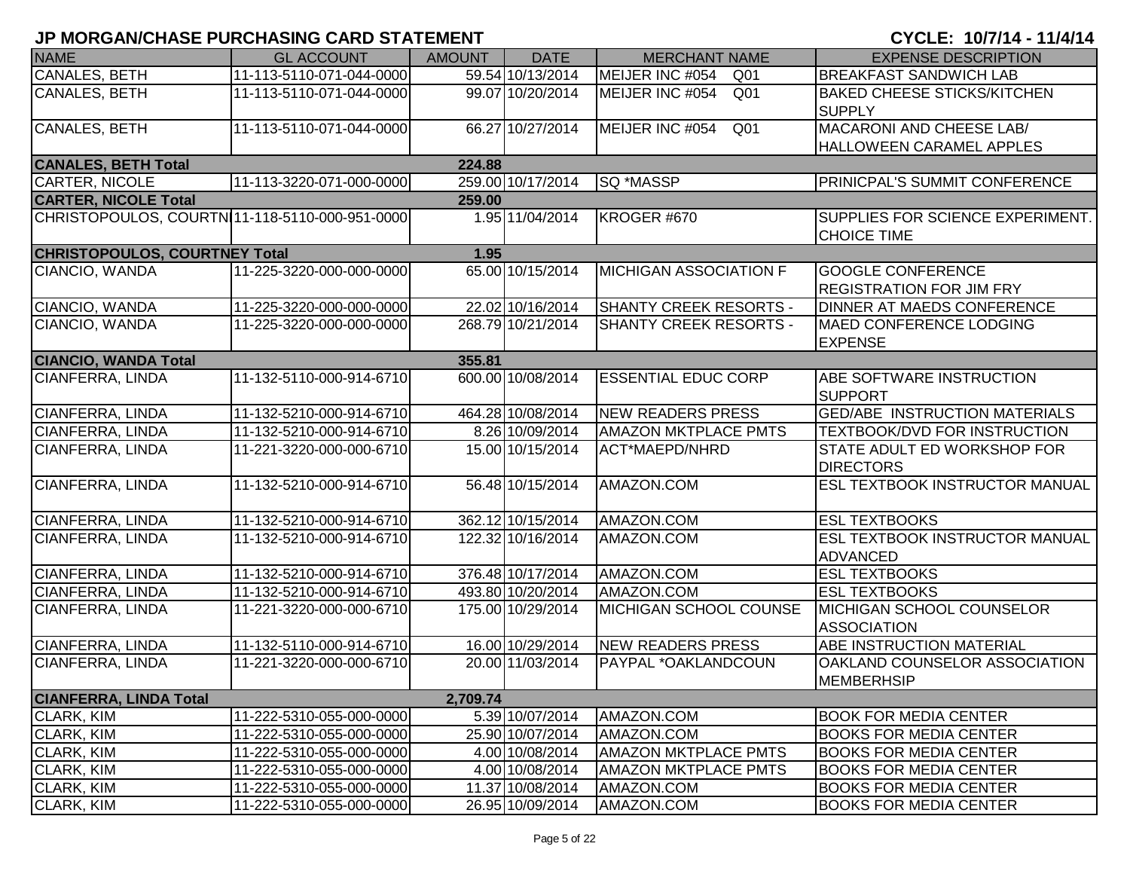| <b>NAME</b>                                    | <b>GL ACCOUNT</b>        | <b>AMOUNT</b> | <b>DATE</b>       | <b>MERCHANT NAME</b>          | - - - - - - - - - - - - -<br><b>EXPENSE DESCRIPTION</b>     |
|------------------------------------------------|--------------------------|---------------|-------------------|-------------------------------|-------------------------------------------------------------|
| <b>CANALES, BETH</b>                           | 11-113-5110-071-044-0000 |               | 59.54 10/13/2014  | MEIJER INC #054<br>Q01        | <b>BREAKFAST SANDWICH LAB</b>                               |
| <b>CANALES, BETH</b>                           | 11-113-5110-071-044-0000 |               | 99.07 10/20/2014  | MEIJER INC #054<br>Q01        | <b>BAKED CHEESE STICKS/KITCHEN</b><br><b>SUPPLY</b>         |
| <b>CANALES, BETH</b>                           | 11-113-5110-071-044-0000 |               | 66.27 10/27/2014  | MEIJER INC #054<br>Q01        | <b>MACARONI AND CHEESE LAB/</b><br>HALLOWEEN CARAMEL APPLES |
| <b>CANALES, BETH Total</b>                     |                          | 224.88        |                   |                               |                                                             |
| <b>CARTER, NICOLE</b>                          | 11-113-3220-071-000-0000 |               | 259.00 10/17/2014 | <b>SQ *MASSP</b>              | <b>PRINICPAL'S SUMMIT CONFERENCE</b>                        |
| <b>CARTER, NICOLE Total</b>                    |                          | 259.00        |                   |                               |                                                             |
| CHRISTOPOULOS, COURTN 11-118-5110-000-951-0000 |                          |               | 1.95 11/04/2014   | KROGER #670                   | SUPPLIES FOR SCIENCE EXPERIMENT.<br><b>CHOICE TIME</b>      |
| <b>CHRISTOPOULOS, COURTNEY Total</b>           |                          | 1.95          |                   |                               |                                                             |
| CIANCIO, WANDA                                 | 11-225-3220-000-000-0000 |               | 65.00 10/15/2014  | <b>MICHIGAN ASSOCIATION F</b> | <b>GOOGLE CONFERENCE</b><br><b>REGISTRATION FOR JIM FRY</b> |
| CIANCIO, WANDA                                 | 11-225-3220-000-000-0000 |               | 22.02 10/16/2014  | <b>SHANTY CREEK RESORTS -</b> | <b>DINNER AT MAEDS CONFERENCE</b>                           |
| CIANCIO, WANDA                                 | 11-225-3220-000-000-0000 |               | 268.79 10/21/2014 | <b>SHANTY CREEK RESORTS -</b> | <b>MAED CONFERENCE LODGING</b><br><b>EXPENSE</b>            |
| <b>CIANCIO, WANDA Total</b>                    |                          | 355.81        |                   |                               |                                                             |
| CIANFERRA, LINDA                               | 11-132-5110-000-914-6710 |               | 600.00 10/08/2014 | <b>ESSENTIAL EDUC CORP</b>    | ABE SOFTWARE INSTRUCTION<br><b>SUPPORT</b>                  |
| <b>CIANFERRA, LINDA</b>                        | 11-132-5210-000-914-6710 |               | 464.28 10/08/2014 | NEW READERS PRESS             | <b>GED/ABE INSTRUCTION MATERIALS</b>                        |
| <b>CIANFERRA, LINDA</b>                        | 11-132-5210-000-914-6710 |               | 8.26 10/09/2014   | <b>AMAZON MKTPLACE PMTS</b>   | <b>TEXTBOOK/DVD FOR INSTRUCTION</b>                         |
| CIANFERRA, LINDA                               | 11-221-3220-000-000-6710 |               | 15.00 10/15/2014  | ACT*MAEPD/NHRD                | STATE ADULT ED WORKSHOP FOR<br><b>DIRECTORS</b>             |
| <b>CIANFERRA, LINDA</b>                        | 11-132-5210-000-914-6710 |               | 56.48 10/15/2014  | AMAZON.COM                    | <b>ESL TEXTBOOK INSTRUCTOR MANUAL</b>                       |
| CIANFERRA, LINDA                               | 11-132-5210-000-914-6710 |               | 362.12 10/15/2014 | AMAZON.COM                    | <b>ESL TEXTBOOKS</b>                                        |
| <b>CIANFERRA, LINDA</b>                        | 11-132-5210-000-914-6710 |               | 122.32 10/16/2014 | AMAZON.COM                    | <b>ESL TEXTBOOK INSTRUCTOR MANUAL</b><br><b>ADVANCED</b>    |
| <b>CIANFERRA, LINDA</b>                        | 11-132-5210-000-914-6710 |               | 376.48 10/17/2014 | AMAZON.COM                    | <b>ESL TEXTBOOKS</b>                                        |
| CIANFERRA, LINDA                               | 11-132-5210-000-914-6710 |               | 493.80 10/20/2014 | AMAZON.COM                    | <b>ESL TEXTBOOKS</b>                                        |
| CIANFERRA, LINDA                               | 11-221-3220-000-000-6710 |               | 175.00 10/29/2014 | MICHIGAN SCHOOL COUNSE        | <b>IMICHIGAN SCHOOL COUNSELOR</b><br><b>ASSOCIATION</b>     |
| <b>CIANFERRA, LINDA</b>                        | 11-132-5110-000-914-6710 |               | 16.00 10/29/2014  | <b>NEW READERS PRESS</b>      | <b>ABE INSTRUCTION MATERIAL</b>                             |
| <b>CIANFERRA, LINDA</b>                        | 11-221-3220-000-000-6710 |               | 20.00 11/03/2014  | PAYPAL *OAKLANDCOUN           | OAKLAND COUNSELOR ASSOCIATION<br>MEMBERHSIP                 |
| <b>CIANFERRA, LINDA Total</b>                  |                          | 2,709.74      |                   |                               |                                                             |
| CLARK, KIM                                     | 11-222-5310-055-000-0000 |               | 5.39 10/07/2014   | AMAZON.COM                    | <b>BOOK FOR MEDIA CENTER</b>                                |
| CLARK, KIM                                     | 11-222-5310-055-000-0000 |               | 25.90 10/07/2014  | AMAZON.COM                    | <b>BOOKS FOR MEDIA CENTER</b>                               |
| CLARK, KIM                                     | 11-222-5310-055-000-0000 |               | 4.00 10/08/2014   | <b>AMAZON MKTPLACE PMTS</b>   | <b>BOOKS FOR MEDIA CENTER</b>                               |
| CLARK, KIM                                     | 11-222-5310-055-000-0000 |               | 4.00 10/08/2014   | <b>AMAZON MKTPLACE PMTS</b>   | <b>BOOKS FOR MEDIA CENTER</b>                               |
| CLARK, KIM                                     | 11-222-5310-055-000-0000 |               | 11.37 10/08/2014  | AMAZON.COM                    | <b>BOOKS FOR MEDIA CENTER</b>                               |
| CLARK, KIM                                     | 11-222-5310-055-000-0000 |               | 26.95 10/09/2014  | AMAZON.COM                    | <b>BOOKS FOR MEDIA CENTER</b>                               |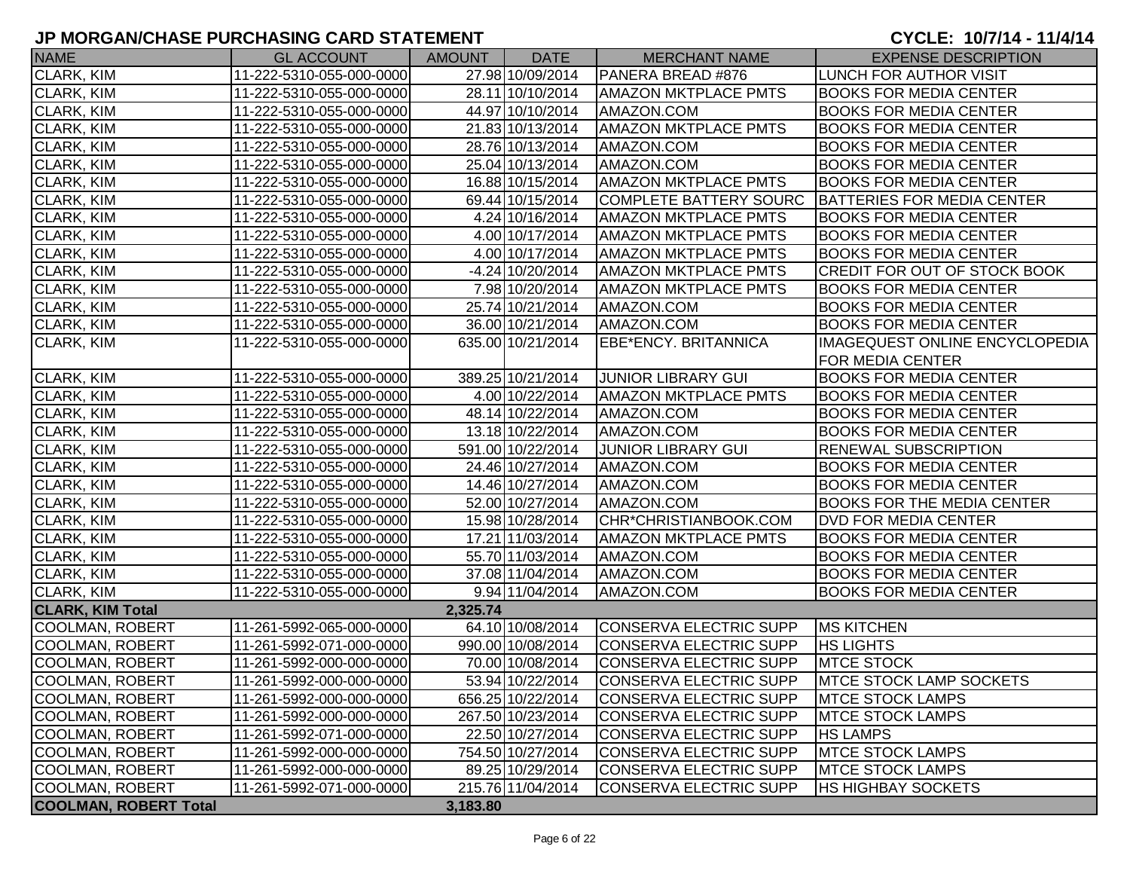# **JP MORGAN/CHASE PURCHASING CARD STATEMENT**

CYCLE: 10/7/14 - 11/4/14

| <b>NAME</b>                  | <b>GL ACCOUNT</b>        | <b>AMOUNT</b> | <b>DATE</b>        | <b>MERCHANT NAME</b>          | <b>EXPENSE DESCRIPTION</b>            |
|------------------------------|--------------------------|---------------|--------------------|-------------------------------|---------------------------------------|
| CLARK, KIM                   | 11-222-5310-055-000-0000 |               | 27.98 10/09/2014   | PANERA BREAD #876             | LUNCH FOR AUTHOR VISIT                |
| CLARK, KIM                   | 11-222-5310-055-000-0000 |               | 28.11 10/10/2014   | <b>AMAZON MKTPLACE PMTS</b>   | <b>BOOKS FOR MEDIA CENTER</b>         |
| <b>CLARK, KIM</b>            | 11-222-5310-055-000-0000 |               | 44.97 10/10/2014   | AMAZON.COM                    | <b>BOOKS FOR MEDIA CENTER</b>         |
| CLARK, KIM                   | 11-222-5310-055-000-0000 |               | 21.83 10/13/2014   | <b>AMAZON MKTPLACE PMTS</b>   | <b>BOOKS FOR MEDIA CENTER</b>         |
| CLARK, KIM                   | 11-222-5310-055-000-0000 |               | 28.76 10/13/2014   | AMAZON.COM                    | <b>BOOKS FOR MEDIA CENTER</b>         |
| CLARK, KIM                   | 11-222-5310-055-000-0000 |               | 25.04 10/13/2014   | AMAZON.COM                    | <b>BOOKS FOR MEDIA CENTER</b>         |
| CLARK, KIM                   | 11-222-5310-055-000-0000 |               | 16.88 10/15/2014   | <b>AMAZON MKTPLACE PMTS</b>   | <b>BOOKS FOR MEDIA CENTER</b>         |
| CLARK, KIM                   | 11-222-5310-055-000-0000 |               | 69.44 10/15/2014   | <b>COMPLETE BATTERY SOURC</b> | BATTERIES FOR MEDIA CENTER            |
| CLARK, KIM                   | 11-222-5310-055-000-0000 |               | 4.24 10/16/2014    | <b>AMAZON MKTPLACE PMTS</b>   | <b>BOOKS FOR MEDIA CENTER</b>         |
| CLARK, KIM                   | 11-222-5310-055-000-0000 |               | 4.00 10/17/2014    | <b>AMAZON MKTPLACE PMTS</b>   | <b>BOOKS FOR MEDIA CENTER</b>         |
| CLARK, KIM                   | 11-222-5310-055-000-0000 |               | 4.00 10/17/2014    | <b>AMAZON MKTPLACE PMTS</b>   | <b>BOOKS FOR MEDIA CENTER</b>         |
| CLARK, KIM                   | 11-222-5310-055-000-0000 |               | $-4.24$ 10/20/2014 | <b>AMAZON MKTPLACE PMTS</b>   | <b>CREDIT FOR OUT OF STOCK BOOK</b>   |
| CLARK, KIM                   | 11-222-5310-055-000-0000 |               | 7.98 10/20/2014    | <b>AMAZON MKTPLACE PMTS</b>   | <b>BOOKS FOR MEDIA CENTER</b>         |
| CLARK, KIM                   | 11-222-5310-055-000-0000 |               | 25.74 10/21/2014   | AMAZON.COM                    | <b>BOOKS FOR MEDIA CENTER</b>         |
| <b>CLARK, KIM</b>            | 11-222-5310-055-000-0000 |               | 36.00 10/21/2014   | AMAZON.COM                    | <b>BOOKS FOR MEDIA CENTER</b>         |
| <b>CLARK, KIM</b>            | 11-222-5310-055-000-0000 |               | 635.00 10/21/2014  | <b>EBE*ENCY. BRITANNICA</b>   | <b>IMAGEQUEST ONLINE ENCYCLOPEDIA</b> |
|                              |                          |               |                    |                               | <b>FOR MEDIA CENTER</b>               |
| CLARK, KIM                   | 11-222-5310-055-000-0000 |               | 389.25 10/21/2014  | <b>JUNIOR LIBRARY GUI</b>     | <b>BOOKS FOR MEDIA CENTER</b>         |
| <b>CLARK, KIM</b>            | 11-222-5310-055-000-0000 |               | 4.00 10/22/2014    | <b>AMAZON MKTPLACE PMTS</b>   | <b>BOOKS FOR MEDIA CENTER</b>         |
| CLARK, KIM                   | 11-222-5310-055-000-0000 |               | 48.14 10/22/2014   | AMAZON.COM                    | <b>BOOKS FOR MEDIA CENTER</b>         |
| CLARK, KIM                   | 11-222-5310-055-000-0000 |               | 13.18 10/22/2014   | AMAZON.COM                    | <b>BOOKS FOR MEDIA CENTER</b>         |
| CLARK, KIM                   | 11-222-5310-055-000-0000 |               | 591.00 10/22/2014  | <b>JUNIOR LIBRARY GUI</b>     | <b>RENEWAL SUBSCRIPTION</b>           |
| CLARK, KIM                   | 11-222-5310-055-000-0000 |               | 24.46 10/27/2014   | AMAZON.COM                    | <b>BOOKS FOR MEDIA CENTER</b>         |
| CLARK, KIM                   | 11-222-5310-055-000-0000 |               | 14.46 10/27/2014   | AMAZON.COM                    | <b>BOOKS FOR MEDIA CENTER</b>         |
| CLARK, KIM                   | 11-222-5310-055-000-0000 |               | 52.00 10/27/2014   | AMAZON.COM                    | <b>BOOKS FOR THE MEDIA CENTER</b>     |
| CLARK, KIM                   | 11-222-5310-055-000-0000 |               | 15.98 10/28/2014   | CHR*CHRISTIANBOOK.COM         | <b>DVD FOR MEDIA CENTER</b>           |
| CLARK, KIM                   | 11-222-5310-055-000-0000 |               | 17.21 11/03/2014   | <b>AMAZON MKTPLACE PMTS</b>   | <b>BOOKS FOR MEDIA CENTER</b>         |
| <b>CLARK, KIM</b>            | 11-222-5310-055-000-0000 |               | 55.70 11/03/2014   | AMAZON.COM                    | <b>BOOKS FOR MEDIA CENTER</b>         |
| <b>CLARK, KIM</b>            | 11-222-5310-055-000-0000 |               | 37.08 11/04/2014   | AMAZON.COM                    | <b>BOOKS FOR MEDIA CENTER</b>         |
| <b>CLARK, KIM</b>            | 11-222-5310-055-000-0000 |               | 9.94 11/04/2014    | AMAZON.COM                    | <b>BOOKS FOR MEDIA CENTER</b>         |
| <b>CLARK, KIM Total</b>      |                          | 2,325.74      |                    |                               |                                       |
| <b>COOLMAN, ROBERT</b>       | 11-261-5992-065-000-0000 |               | 64.10 10/08/2014   | CONSERVA ELECTRIC SUPP        | <b>MS KITCHEN</b>                     |
| <b>COOLMAN, ROBERT</b>       | 11-261-5992-071-000-0000 |               | 990.00 10/08/2014  | CONSERVA ELECTRIC SUPP        | <b>HS LIGHTS</b>                      |
| COOLMAN, ROBERT              | 11-261-5992-000-000-0000 |               | 70.00 10/08/2014   | CONSERVA ELECTRIC SUPP        | <b>MTCE STOCK</b>                     |
| <b>COOLMAN, ROBERT</b>       | 11-261-5992-000-000-0000 |               | 53.94 10/22/2014   | <b>CONSERVA ELECTRIC SUPP</b> | <b>IMTCE STOCK LAMP SOCKETS</b>       |
| <b>COOLMAN, ROBERT</b>       | 11-261-5992-000-000-0000 |               | 656.25 10/22/2014  | CONSERVA ELECTRIC SUPP        | <b>MTCE STOCK LAMPS</b>               |
| <b>COOLMAN, ROBERT</b>       | 11-261-5992-000-000-0000 |               | 267.50 10/23/2014  | <b>CONSERVA ELECTRIC SUPP</b> | <b>MTCE STOCK LAMPS</b>               |
| <b>COOLMAN, ROBERT</b>       | 11-261-5992-071-000-0000 |               | 22.50 10/27/2014   | CONSERVA ELECTRIC SUPP        | <b>HS LAMPS</b>                       |
| <b>COOLMAN, ROBERT</b>       | 11-261-5992-000-000-0000 |               | 754.50 10/27/2014  | CONSERVA ELECTRIC SUPP        | <b>MTCE STOCK LAMPS</b>               |
| <b>COOLMAN, ROBERT</b>       | 11-261-5992-000-000-0000 |               | 89.25 10/29/2014   | CONSERVA ELECTRIC SUPP        | <b>MTCE STOCK LAMPS</b>               |
| <b>COOLMAN, ROBERT</b>       | 11-261-5992-071-000-0000 |               | 215.76 11/04/2014  | CONSERVA ELECTRIC SUPP        | <b>HS HIGHBAY SOCKETS</b>             |
| <b>COOLMAN, ROBERT Total</b> |                          | 3,183.80      |                    |                               |                                       |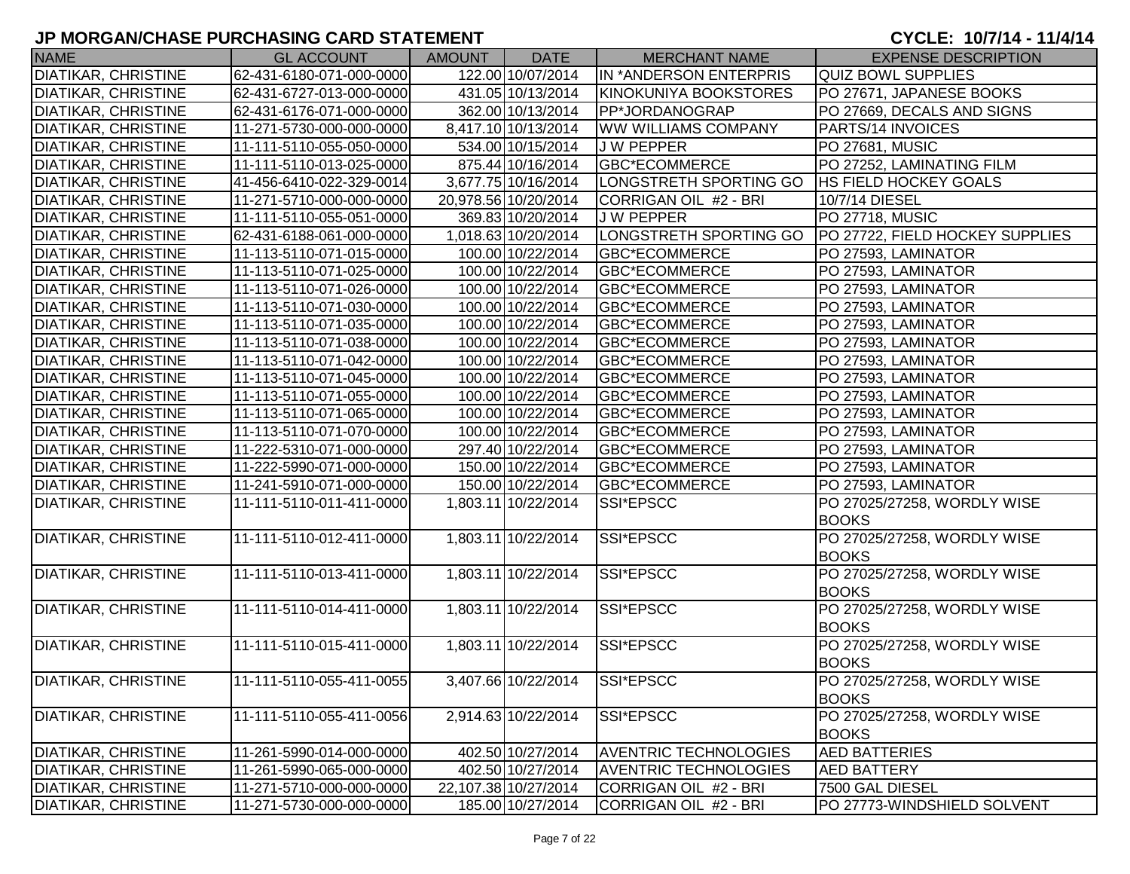| <b>NAME</b>                | <b>GL ACCOUNT</b>        | <b>AMOUNT</b> | <b>DATE</b>          | <b>MERCHANT NAME</b>         | <b>EXPENSE DESCRIPTION</b>                  |
|----------------------------|--------------------------|---------------|----------------------|------------------------------|---------------------------------------------|
| <b>DIATIKAR, CHRISTINE</b> | 62-431-6180-071-000-0000 |               | 122.00 10/07/2014    | IN *ANDERSON ENTERPRIS       | <b>QUIZ BOWL SUPPLIES</b>                   |
| <b>DIATIKAR, CHRISTINE</b> | 62-431-6727-013-000-0000 |               | 431.05 10/13/2014    | KINOKUNIYA BOOKSTORES        | PO 27671, JAPANESE BOOKS                    |
| <b>DIATIKAR, CHRISTINE</b> | 62-431-6176-071-000-0000 |               | 362.00 10/13/2014    | PP*JORDANOGRAP               | PO 27669, DECALS AND SIGNS                  |
| <b>DIATIKAR, CHRISTINE</b> | 11-271-5730-000-000-0000 |               | 8,417.10 10/13/2014  | <b>WW WILLIAMS COMPANY</b>   | PARTS/14 INVOICES                           |
| <b>DIATIKAR, CHRISTINE</b> | 11-111-5110-055-050-0000 |               | 534.00 10/15/2014    | <b>JW PEPPER</b>             | PO 27681, MUSIC                             |
| <b>DIATIKAR, CHRISTINE</b> | 11-111-5110-013-025-0000 |               | 875.44 10/16/2014    | GBC*ECOMMERCE                | PO 27252, LAMINATING FILM                   |
| <b>DIATIKAR, CHRISTINE</b> | 41-456-6410-022-329-0014 |               | 3,677.75 10/16/2014  | LONGSTRETH SPORTING GO       | <b>HS FIELD HOCKEY GOALS</b>                |
| <b>DIATIKAR, CHRISTINE</b> | 11-271-5710-000-000-0000 |               | 20,978.56 10/20/2014 | CORRIGAN OIL #2 - BRI        | 10/7/14 DIESEL                              |
| <b>DIATIKAR, CHRISTINE</b> | 11-111-5110-055-051-0000 |               | 369.83 10/20/2014    | <b>JW PEPPER</b>             | PO 27718, MUSIC                             |
| <b>DIATIKAR, CHRISTINE</b> | 62-431-6188-061-000-0000 |               | 1,018.63 10/20/2014  | LONGSTRETH SPORTING GO       | PO 27722, FIELD HOCKEY SUPPLIES             |
| <b>DIATIKAR, CHRISTINE</b> | 11-113-5110-071-015-0000 |               | 100.00 10/22/2014    | <b>GBC*ECOMMERCE</b>         | PO 27593, LAMINATOR                         |
| <b>DIATIKAR, CHRISTINE</b> | 11-113-5110-071-025-0000 |               | 100.00 10/22/2014    | <b>GBC*ECOMMERCE</b>         | PO 27593, LAMINATOR                         |
| <b>DIATIKAR, CHRISTINE</b> | 11-113-5110-071-026-0000 |               | 100.00 10/22/2014    | <b>GBC*ECOMMERCE</b>         | PO 27593, LAMINATOR                         |
| <b>DIATIKAR, CHRISTINE</b> | 11-113-5110-071-030-0000 |               | 100.00 10/22/2014    | <b>GBC*ECOMMERCE</b>         | PO 27593, LAMINATOR                         |
| <b>DIATIKAR, CHRISTINE</b> | 11-113-5110-071-035-0000 |               | 100.00 10/22/2014    | <b>GBC*ECOMMERCE</b>         | PO 27593, LAMINATOR                         |
| <b>DIATIKAR, CHRISTINE</b> | 11-113-5110-071-038-0000 |               | 100.00 10/22/2014    | <b>GBC*ECOMMERCE</b>         | PO 27593, LAMINATOR                         |
| <b>DIATIKAR, CHRISTINE</b> | 11-113-5110-071-042-0000 |               | 100.00 10/22/2014    | <b>GBC*ECOMMERCE</b>         | PO 27593, LAMINATOR                         |
| <b>DIATIKAR, CHRISTINE</b> | 11-113-5110-071-045-0000 |               | 100.00 10/22/2014    | GBC*ECOMMERCE                | PO 27593, LAMINATOR                         |
| <b>DIATIKAR, CHRISTINE</b> | 11-113-5110-071-055-0000 |               | 100.00 10/22/2014    | <b>GBC*ECOMMERCE</b>         | PO 27593, LAMINATOR                         |
| <b>DIATIKAR, CHRISTINE</b> | 11-113-5110-071-065-0000 |               | 100.00 10/22/2014    | <b>GBC*ECOMMERCE</b>         | PO 27593, LAMINATOR                         |
| <b>DIATIKAR, CHRISTINE</b> | 11-113-5110-071-070-0000 |               | 100.00 10/22/2014    | <b>GBC*ECOMMERCE</b>         | PO 27593, LAMINATOR                         |
| <b>DIATIKAR, CHRISTINE</b> | 11-222-5310-071-000-0000 |               | 297.40 10/22/2014    | <b>GBC*ECOMMERCE</b>         | PO 27593, LAMINATOR                         |
| <b>DIATIKAR, CHRISTINE</b> | 11-222-5990-071-000-0000 |               | 150.00 10/22/2014    | <b>GBC*ECOMMERCE</b>         | PO 27593, LAMINATOR                         |
| <b>DIATIKAR, CHRISTINE</b> | 11-241-5910-071-000-0000 |               | 150.00 10/22/2014    | <b>GBC*ECOMMERCE</b>         | PO 27593, LAMINATOR                         |
| <b>DIATIKAR, CHRISTINE</b> | 11-111-5110-011-411-0000 |               | 1,803.11 10/22/2014  | SSI*EPSCC                    | PO 27025/27258, WORDLY WISE<br><b>BOOKS</b> |
| <b>DIATIKAR, CHRISTINE</b> | 11-111-5110-012-411-0000 |               | 1,803.11 10/22/2014  | SSI*EPSCC                    | PO 27025/27258, WORDLY WISE                 |
|                            |                          |               |                      |                              | <b>BOOKS</b>                                |
| <b>DIATIKAR, CHRISTINE</b> | 11-111-5110-013-411-0000 |               | 1,803.11 10/22/2014  | SSI*EPSCC                    | PO 27025/27258, WORDLY WISE                 |
|                            |                          |               |                      |                              | <b>BOOKS</b>                                |
| <b>DIATIKAR, CHRISTINE</b> | 11-111-5110-014-411-0000 |               | 1,803.11 10/22/2014  | SSI*EPSCC                    | PO 27025/27258, WORDLY WISE                 |
|                            |                          |               |                      |                              | <b>BOOKS</b>                                |
| <b>DIATIKAR, CHRISTINE</b> | 11-111-5110-015-411-0000 |               | 1,803.11 10/22/2014  | SSI*EPSCC                    | PO 27025/27258, WORDLY WISE                 |
|                            |                          |               |                      |                              | <b>BOOKS</b>                                |
| <b>DIATIKAR, CHRISTINE</b> | 11-111-5110-055-411-0055 |               | 3,407.66 10/22/2014  | <b>SSI*EPSCC</b>             | PO 27025/27258, WORDLY WISE                 |
|                            |                          |               |                      |                              | <b>BOOKS</b>                                |
| <b>DIATIKAR, CHRISTINE</b> | 11-111-5110-055-411-0056 |               | 2,914.63 10/22/2014  | SSI*EPSCC                    | PO 27025/27258, WORDLY WISE                 |
|                            |                          |               |                      |                              | <b>BOOKS</b>                                |
| <b>DIATIKAR, CHRISTINE</b> | 11-261-5990-014-000-0000 |               | 402.50 10/27/2014    | <b>AVENTRIC TECHNOLOGIES</b> | <b>AED BATTERIES</b>                        |
| <b>DIATIKAR, CHRISTINE</b> | 11-261-5990-065-000-0000 |               | 402.50 10/27/2014    | <b>AVENTRIC TECHNOLOGIES</b> | <b>AED BATTERY</b>                          |
| <b>DIATIKAR, CHRISTINE</b> | 11-271-5710-000-000-0000 |               | 22,107.38 10/27/2014 | CORRIGAN OIL #2 - BRI        | 7500 GAL DIESEL                             |
| <b>DIATIKAR, CHRISTINE</b> | 11-271-5730-000-000-0000 |               | 185.00 10/27/2014    | CORRIGAN OIL #2 - BRI        | PO 27773-WINDSHIELD SOLVENT                 |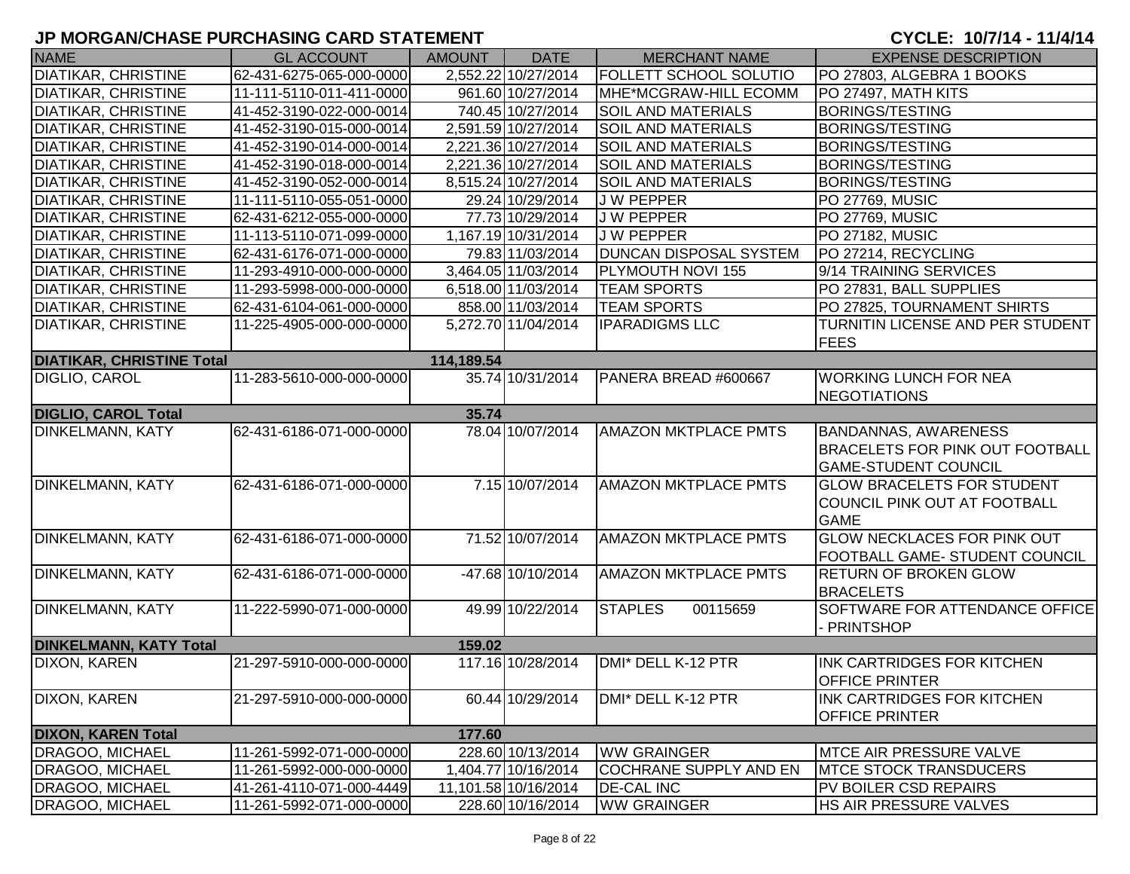| <b>NAME</b>                      | <b>GL ACCOUNT</b>        | <b>AMOUNT</b> | <b>DATE</b>          | <b>MERCHANT NAME</b>          | <b>EXPENSE DESCRIPTION</b>             |
|----------------------------------|--------------------------|---------------|----------------------|-------------------------------|----------------------------------------|
| <b>DIATIKAR, CHRISTINE</b>       | 62-431-6275-065-000-0000 |               | 2,552.22 10/27/2014  | <b>FOLLETT SCHOOL SOLUTIO</b> | PO 27803, ALGEBRA 1 BOOKS              |
| <b>DIATIKAR, CHRISTINE</b>       | 11-111-5110-011-411-0000 |               | 961.60 10/27/2014    | MHE*MCGRAW-HILL ECOMM         | PO 27497, MATH KITS                    |
| <b>DIATIKAR, CHRISTINE</b>       | 41-452-3190-022-000-0014 |               | 740.45 10/27/2014    | <b>SOIL AND MATERIALS</b>     | <b>BORINGS/TESTING</b>                 |
| <b>DIATIKAR, CHRISTINE</b>       | 41-452-3190-015-000-0014 |               | 2,591.59 10/27/2014  | <b>SOIL AND MATERIALS</b>     | <b>BORINGS/TESTING</b>                 |
| <b>DIATIKAR, CHRISTINE</b>       | 41-452-3190-014-000-0014 |               | 2,221.36 10/27/2014  | <b>SOIL AND MATERIALS</b>     | <b>BORINGS/TESTING</b>                 |
| <b>DIATIKAR, CHRISTINE</b>       | 41-452-3190-018-000-0014 |               | 2,221.36 10/27/2014  | <b>SOIL AND MATERIALS</b>     | <b>BORINGS/TESTING</b>                 |
| <b>DIATIKAR, CHRISTINE</b>       | 41-452-3190-052-000-0014 |               | 8,515.24 10/27/2014  | <b>SOIL AND MATERIALS</b>     | <b>BORINGS/TESTING</b>                 |
| <b>DIATIKAR, CHRISTINE</b>       | 11-111-5110-055-051-0000 |               | 29.24 10/29/2014     | <b>JW PEPPER</b>              | PO 27769, MUSIC                        |
| <b>DIATIKAR, CHRISTINE</b>       | 62-431-6212-055-000-0000 |               | 77.73 10/29/2014     | <b>JW PEPPER</b>              | PO 27769, MUSIC                        |
| <b>DIATIKAR, CHRISTINE</b>       | 11-113-5110-071-099-0000 |               | 1,167.19 10/31/2014  | <b>JW PEPPER</b>              | PO 27182, MUSIC                        |
| <b>DIATIKAR, CHRISTINE</b>       | 62-431-6176-071-000-0000 |               | 79.83 11/03/2014     | DUNCAN DISPOSAL SYSTEM        | PO 27214, RECYCLING                    |
| <b>DIATIKAR, CHRISTINE</b>       | 11-293-4910-000-000-0000 |               | 3,464.05 11/03/2014  | PLYMOUTH NOVI 155             | 9/14 TRAINING SERVICES                 |
| <b>DIATIKAR, CHRISTINE</b>       | 11-293-5998-000-000-0000 |               | 6,518.00 11/03/2014  | <b>TEAM SPORTS</b>            | PO 27831, BALL SUPPLIES                |
| <b>DIATIKAR, CHRISTINE</b>       | 62-431-6104-061-000-0000 |               | 858.00 11/03/2014    | <b>TEAM SPORTS</b>            | PO 27825, TOURNAMENT SHIRTS            |
| <b>DIATIKAR, CHRISTINE</b>       | 11-225-4905-000-000-0000 |               | 5,272.70 11/04/2014  | <b>IPARADIGMS LLC</b>         | TURNITIN LICENSE AND PER STUDENT       |
|                                  |                          |               |                      |                               | <b>FEES</b>                            |
| <b>DIATIKAR, CHRISTINE Total</b> |                          | 114,189.54    |                      |                               |                                        |
| <b>DIGLIO, CAROL</b>             | 11-283-5610-000-000-0000 |               | 35.74 10/31/2014     | PANERA BREAD #600667          | <b>WORKING LUNCH FOR NEA</b>           |
|                                  |                          |               |                      |                               | <b>NEGOTIATIONS</b>                    |
| <b>DIGLIO, CAROL Total</b>       |                          | 35.74         |                      |                               |                                        |
| <b>DINKELMANN, KATY</b>          | 62-431-6186-071-000-0000 |               | 78.04 10/07/2014     | <b>AMAZON MKTPLACE PMTS</b>   | <b>BANDANNAS, AWARENESS</b>            |
|                                  |                          |               |                      |                               | <b>BRACELETS FOR PINK OUT FOOTBALL</b> |
|                                  |                          |               |                      |                               | <b>GAME-STUDENT COUNCIL</b>            |
| <b>DINKELMANN, KATY</b>          | 62-431-6186-071-000-0000 |               | 7.15 10/07/2014      | <b>AMAZON MKTPLACE PMTS</b>   | <b>GLOW BRACELETS FOR STUDENT</b>      |
|                                  |                          |               |                      |                               | COUNCIL PINK OUT AT FOOTBALL           |
|                                  |                          |               |                      |                               | <b>GAME</b>                            |
| <b>DINKELMANN, KATY</b>          | 62-431-6186-071-000-0000 |               | 71.52 10/07/2014     | <b>AMAZON MKTPLACE PMTS</b>   | <b>GLOW NECKLACES FOR PINK OUT</b>     |
|                                  |                          |               |                      |                               | <b>FOOTBALL GAME- STUDENT COUNCIL</b>  |
| <b>DINKELMANN, KATY</b>          | 62-431-6186-071-000-0000 |               | $-47.68$ 10/10/2014  | <b>AMAZON MKTPLACE PMTS</b>   | <b>RETURN OF BROKEN GLOW</b>           |
|                                  |                          |               |                      |                               | <b>BRACELETS</b>                       |
| <b>DINKELMANN, KATY</b>          | 11-222-5990-071-000-0000 |               | 49.99 10/22/2014     | <b>STAPLES</b><br>00115659    | <b>SOFTWARE FOR ATTENDANCE OFFICE</b>  |
|                                  |                          |               |                      |                               | <b>PRINTSHOP</b>                       |
| <b>DINKELMANN, KATY Total</b>    |                          | 159.02        |                      |                               |                                        |
| <b>DIXON, KAREN</b>              | 21-297-5910-000-000-0000 |               | 117.16 10/28/2014    | DMI* DELL K-12 PTR            | INK CARTRIDGES FOR KITCHEN             |
|                                  |                          |               |                      |                               | <b>OFFICE PRINTER</b>                  |
| <b>DIXON, KAREN</b>              | 21-297-5910-000-000-0000 |               | 60.44 10/29/2014     | DMI* DELL K-12 PTR            | INK CARTRIDGES FOR KITCHEN             |
|                                  |                          |               |                      |                               | <b>OFFICE PRINTER</b>                  |
| <b>DIXON, KAREN Total</b>        |                          | 177.60        |                      |                               |                                        |
| <b>DRAGOO, MICHAEL</b>           | 11-261-5992-071-000-0000 |               | 228.60 10/13/2014    | <b>WW GRAINGER</b>            | <b>MTCE AIR PRESSURE VALVE</b>         |
| <b>DRAGOO, MICHAEL</b>           | 11-261-5992-000-000-0000 |               | 1,404.77 10/16/2014  | <b>COCHRANE SUPPLY AND EN</b> | <b>IMTCE STOCK TRANSDUCERS</b>         |
| DRAGOO, MICHAEL                  | 41-261-4110-071-000-4449 |               | 11,101.58 10/16/2014 | <b>DE-CAL INC</b>             | PV BOILER CSD REPAIRS                  |
| <b>DRAGOO, MICHAEL</b>           | 11-261-5992-071-000-0000 |               | 228.60 10/16/2014    | <b>WW GRAINGER</b>            | HS AIR PRESSURE VALVES                 |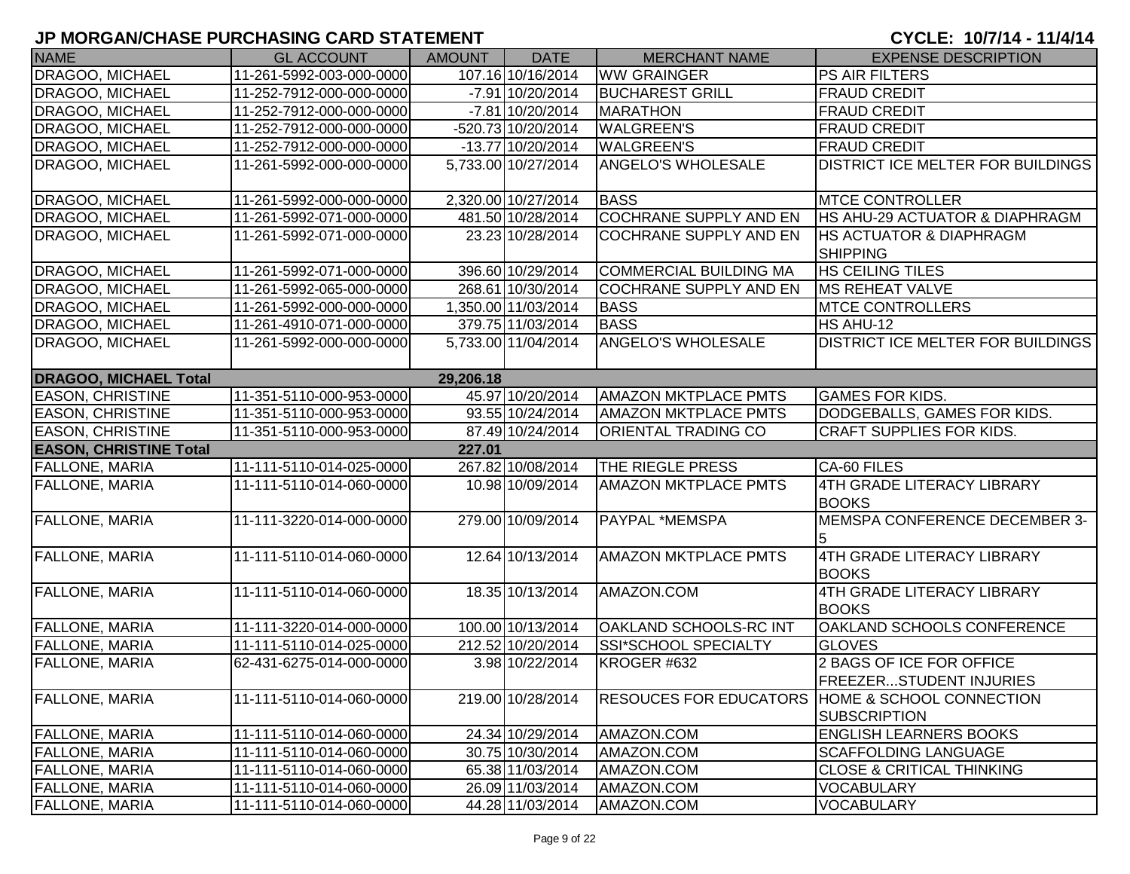| <b>NAME</b>                   | <b>GL ACCOUNT</b>        | <b>AMOUNT</b> | <b>DATE</b>          | <b>MERCHANT NAME</b>          | <b>EXPENSE DESCRIPTION</b>                      |
|-------------------------------|--------------------------|---------------|----------------------|-------------------------------|-------------------------------------------------|
| DRAGOO, MICHAEL               | 11-261-5992-003-000-0000 |               | 107.16 10/16/2014    | <b>WW GRAINGER</b>            | PS AIR FILTERS                                  |
| DRAGOO, MICHAEL               | 11-252-7912-000-000-0000 |               | $-7.91$ 10/20/2014   | <b>BUCHAREST GRILL</b>        | <b>FRAUD CREDIT</b>                             |
| DRAGOO, MICHAEL               | 11-252-7912-000-000-0000 |               | $-7.81$ 10/20/2014   | <b>MARATHON</b>               | <b>FRAUD CREDIT</b>                             |
| DRAGOO, MICHAEL               | 11-252-7912-000-000-0000 |               | $-520.73$ 10/20/2014 | <b>WALGREEN'S</b>             | <b>FRAUD CREDIT</b>                             |
| DRAGOO, MICHAEL               | 11-252-7912-000-000-0000 |               | -13.77 10/20/2014    | <b>WALGREEN'S</b>             | <b>FRAUD CREDIT</b>                             |
| DRAGOO, MICHAEL               | 11-261-5992-000-000-0000 |               | 5,733.00 10/27/2014  | <b>ANGELO'S WHOLESALE</b>     | DISTRICT ICE MELTER FOR BUILDINGS               |
|                               |                          |               |                      |                               |                                                 |
| DRAGOO, MICHAEL               | 11-261-5992-000-000-0000 |               | 2,320.00 10/27/2014  | <b>BASS</b>                   | <b>MTCE CONTROLLER</b>                          |
| DRAGOO, MICHAEL               | 11-261-5992-071-000-0000 |               | 481.50 10/28/2014    | <b>COCHRANE SUPPLY AND EN</b> | HS AHU-29 ACTUATOR & DIAPHRAGM                  |
| DRAGOO, MICHAEL               | 11-261-5992-071-000-0000 |               | 23.23 10/28/2014     | COCHRANE SUPPLY AND EN        | <b>HS ACTUATOR &amp; DIAPHRAGM</b>              |
|                               |                          |               |                      |                               | <b>SHIPPING</b>                                 |
| <b>DRAGOO, MICHAEL</b>        | 11-261-5992-071-000-0000 |               | 396.60 10/29/2014    | <b>COMMERCIAL BUILDING MA</b> | <b>HS CEILING TILES</b>                         |
| DRAGOO, MICHAEL               | 11-261-5992-065-000-0000 |               | 268.61 10/30/2014    | <b>COCHRANE SUPPLY AND EN</b> | <b>MS REHEAT VALVE</b>                          |
| DRAGOO, MICHAEL               | 11-261-5992-000-000-0000 |               | 1,350.00 11/03/2014  | <b>BASS</b>                   | <b>MTCE CONTROLLERS</b>                         |
| DRAGOO, MICHAEL               | 11-261-4910-071-000-0000 |               | 379.75 11/03/2014    | <b>BASS</b>                   | HS AHU-12                                       |
| DRAGOO, MICHAEL               | 11-261-5992-000-000-0000 |               | 5,733.00 11/04/2014  | ANGELO'S WHOLESALE            | DISTRICT ICE MELTER FOR BUILDINGS               |
|                               |                          |               |                      |                               |                                                 |
| <b>DRAGOO, MICHAEL Total</b>  |                          | 29,206.18     |                      |                               |                                                 |
| <b>EASON, CHRISTINE</b>       | 11-351-5110-000-953-0000 |               | 45.97 10/20/2014     | <b>AMAZON MKTPLACE PMTS</b>   | <b>GAMES FOR KIDS.</b>                          |
| <b>EASON, CHRISTINE</b>       | 11-351-5110-000-953-0000 |               | 93.55 10/24/2014     | <b>AMAZON MKTPLACE PMTS</b>   | DODGEBALLS, GAMES FOR KIDS.                     |
| <b>EASON, CHRISTINE</b>       | 11-351-5110-000-953-0000 |               | 87.49 10/24/2014     | <b>ORIENTAL TRADING CO</b>    | <b>CRAFT SUPPLIES FOR KIDS.</b>                 |
| <b>EASON, CHRISTINE Total</b> |                          | 227.01        |                      |                               |                                                 |
| FALLONE, MARIA                | 11-111-5110-014-025-0000 |               | 267.82 10/08/2014    | THE RIEGLE PRESS              | CA-60 FILES                                     |
| FALLONE, MARIA                | 11-111-5110-014-060-0000 |               | 10.98 10/09/2014     | <b>AMAZON MKTPLACE PMTS</b>   | 4TH GRADE LITERACY LIBRARY                      |
|                               |                          |               |                      |                               | <b>BOOKS</b>                                    |
| <b>FALLONE, MARIA</b>         | 11-111-3220-014-000-0000 |               | 279.00 10/09/2014    | <b>PAYPAL *MEMSPA</b>         | MEMSPA CONFERENCE DECEMBER 3-                   |
|                               |                          |               |                      |                               | 5                                               |
| <b>FALLONE, MARIA</b>         | 11-111-5110-014-060-0000 |               | 12.64 10/13/2014     | <b>AMAZON MKTPLACE PMTS</b>   | 4TH GRADE LITERACY LIBRARY                      |
|                               |                          |               |                      |                               | <b>BOOKS</b>                                    |
| <b>FALLONE, MARIA</b>         | 11-111-5110-014-060-0000 |               | 18.35 10/13/2014     | AMAZON.COM                    | 4TH GRADE LITERACY LIBRARY                      |
|                               |                          |               |                      |                               | <b>BOOKS</b>                                    |
| <b>FALLONE, MARIA</b>         | 11-111-3220-014-000-0000 |               | 100.00 10/13/2014    | OAKLAND SCHOOLS-RC INT        | OAKLAND SCHOOLS CONFERENCE                      |
| <b>FALLONE, MARIA</b>         | 11-111-5110-014-025-0000 |               | 212.52 10/20/2014    | SSI*SCHOOL SPECIALTY          | <b>GLOVES</b>                                   |
| FALLONE, MARIA                | 62-431-6275-014-000-0000 |               | 3.98 10/22/2014      | KROGER #632                   | 2 BAGS OF ICE FOR OFFICE                        |
|                               |                          |               |                      |                               | <b>FREEZERSTUDENT INJURIES</b>                  |
| <b>FALLONE, MARIA</b>         | 11-111-5110-014-060-0000 |               | 219.00 10/28/2014    |                               | RESOUCES FOR EDUCATORS HOME & SCHOOL CONNECTION |
|                               |                          |               |                      |                               | <b>SUBSCRIPTION</b>                             |
| <b>FALLONE, MARIA</b>         | 11-111-5110-014-060-0000 |               | 24.34 10/29/2014     | AMAZON.COM                    | <b>ENGLISH LEARNERS BOOKS</b>                   |
| <b>FALLONE, MARIA</b>         | 11-111-5110-014-060-0000 |               | 30.75 10/30/2014     | AMAZON.COM                    | <b>SCAFFOLDING LANGUAGE</b>                     |
| <b>FALLONE, MARIA</b>         | 11-111-5110-014-060-0000 |               | 65.38 11/03/2014     | AMAZON.COM                    | <b>CLOSE &amp; CRITICAL THINKING</b>            |
| <b>FALLONE, MARIA</b>         | 11-111-5110-014-060-0000 |               | 26.09 11/03/2014     | AMAZON.COM                    | <b>VOCABULARY</b>                               |
| <b>FALLONE, MARIA</b>         | 11-111-5110-014-060-0000 |               | 44.28 11/03/2014     | AMAZON.COM                    | <b>VOCABULARY</b>                               |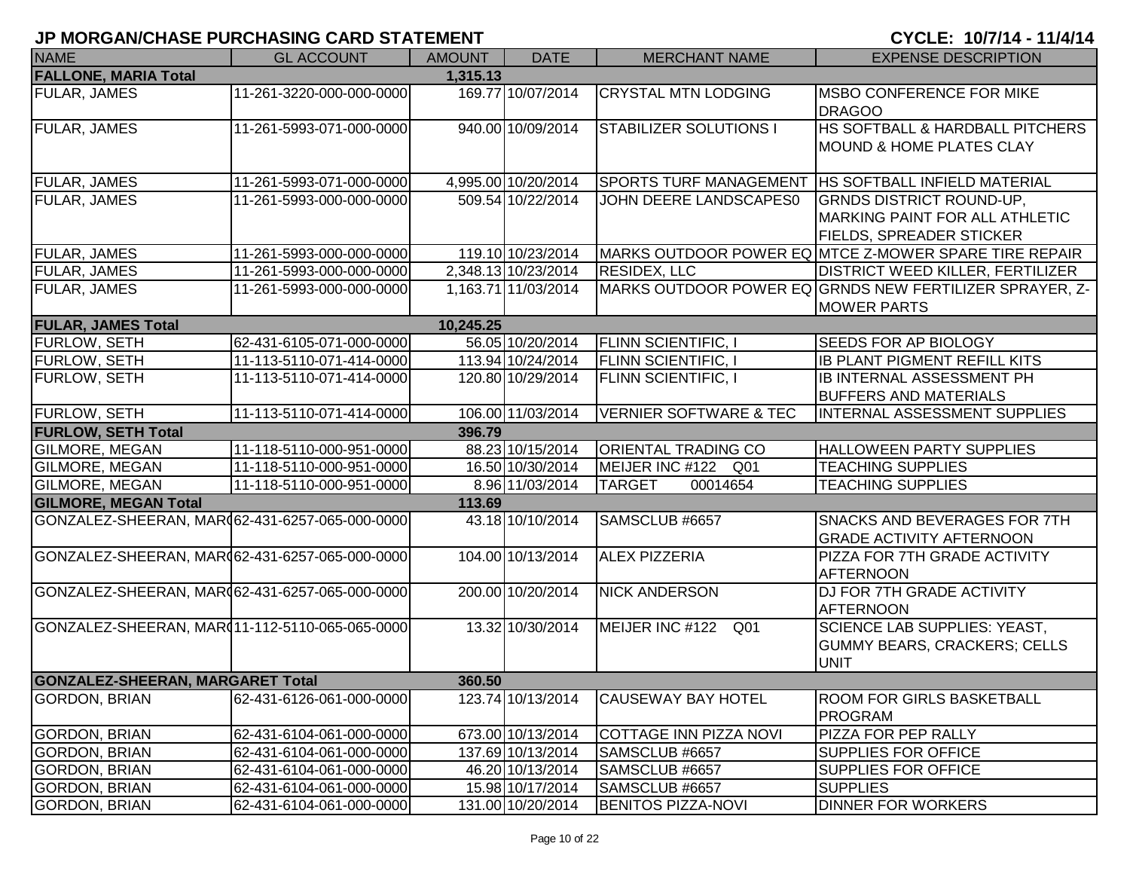| <b>NAME</b>                                     | <b>GL ACCOUNT</b>        | <b>AMOUNT</b> | <b>DATE</b>         | <b>MERCHANT NAME</b>              | <b>EXPENSE DESCRIPTION</b>                                                                                  |
|-------------------------------------------------|--------------------------|---------------|---------------------|-----------------------------------|-------------------------------------------------------------------------------------------------------------|
| <b>FALLONE, MARIA Total</b>                     |                          | 1,315.13      |                     |                                   |                                                                                                             |
| <b>FULAR, JAMES</b>                             | 11-261-3220-000-000-0000 |               | 169.77 10/07/2014   | <b>CRYSTAL MTN LODGING</b>        | <b>MSBO CONFERENCE FOR MIKE</b><br><b>DRAGOO</b>                                                            |
| <b>FULAR, JAMES</b>                             | 11-261-5993-071-000-0000 |               | 940.00 10/09/2014   | <b>STABILIZER SOLUTIONS I</b>     | HS SOFTBALL & HARDBALL PITCHERS<br><b>MOUND &amp; HOME PLATES CLAY</b>                                      |
| <b>FULAR, JAMES</b>                             | 11-261-5993-071-000-0000 |               | 4,995.00 10/20/2014 |                                   | SPORTS TURF MANAGEMENT   HS SOFTBALL INFIELD MATERIAL                                                       |
| <b>FULAR, JAMES</b>                             | 11-261-5993-000-000-0000 |               | 509.54 10/22/2014   | JOHN DEERE LANDSCAPES0            | <b>GRNDS DISTRICT ROUND-UP,</b><br><b>MARKING PAINT FOR ALL ATHLETIC</b><br><b>FIELDS, SPREADER STICKER</b> |
| <b>FULAR, JAMES</b>                             | 11-261-5993-000-000-0000 |               | 119.10 10/23/2014   |                                   | MARKS OUTDOOR POWER EQ MTCE Z-MOWER SPARE TIRE REPAIR                                                       |
| <b>FULAR, JAMES</b>                             | 11-261-5993-000-000-0000 |               | 2,348.13 10/23/2014 | <b>RESIDEX, LLC</b>               | DISTRICT WEED KILLER, FERTILIZER                                                                            |
| FULAR, JAMES                                    | 11-261-5993-000-000-0000 |               | 1,163.71 11/03/2014 |                                   | MARKS OUTDOOR POWER EQ GRNDS NEW FERTILIZER SPRAYER, Z-<br><b>MOWER PARTS</b>                               |
| <b>FULAR, JAMES Total</b>                       |                          | 10,245.25     |                     |                                   |                                                                                                             |
| <b>FURLOW, SETH</b>                             | 62-431-6105-071-000-0000 |               | 56.05 10/20/2014    | <b>FLINN SCIENTIFIC, I</b>        | <b>SEEDS FOR AP BIOLOGY</b>                                                                                 |
| FURLOW, SETH                                    | 11-113-5110-071-414-0000 |               | 113.94 10/24/2014   | <b>FLINN SCIENTIFIC, I</b>        | <b>IB PLANT PIGMENT REFILL KITS</b>                                                                         |
| <b>FURLOW, SETH</b>                             | 11-113-5110-071-414-0000 |               | 120.80 10/29/2014   | <b>FLINN SCIENTIFIC, I</b>        | IB INTERNAL ASSESSMENT PH<br><b>BUFFERS AND MATERIALS</b>                                                   |
| FURLOW, SETH                                    | 11-113-5110-071-414-0000 |               | 106.00 11/03/2014   | <b>VERNIER SOFTWARE &amp; TEC</b> | <b>INTERNAL ASSESSMENT SUPPLIES</b>                                                                         |
| <b>FURLOW, SETH Total</b>                       |                          | 396.79        |                     |                                   |                                                                                                             |
| <b>GILMORE, MEGAN</b>                           | 11-118-5110-000-951-0000 |               | 88.23 10/15/2014    | <b>ORIENTAL TRADING CO</b>        | HALLOWEEN PARTY SUPPLIES                                                                                    |
| <b>GILMORE, MEGAN</b>                           | 11-118-5110-000-951-0000 |               | 16.50 10/30/2014    | MEIJER INC #122 Q01               | <b>TEACHING SUPPLIES</b>                                                                                    |
| <b>GILMORE, MEGAN</b>                           | 11-118-5110-000-951-0000 |               | 8.96 11/03/2014     | <b>TARGET</b><br>00014654         | <b>TEACHING SUPPLIES</b>                                                                                    |
| <b>GILMORE, MEGAN Total</b>                     |                          | 113.69        |                     |                                   |                                                                                                             |
| GONZALEZ-SHEERAN, MAR(62-431-6257-065-000-0000  |                          |               | 43.18 10/10/2014    | SAMSCLUB #6657                    | SNACKS AND BEVERAGES FOR 7TH<br><b>GRADE ACTIVITY AFTERNOON</b>                                             |
| GONZALEZ-SHEERAN, MAR(62-431-6257-065-000-0000) |                          |               | 104.00 10/13/2014   | <b>ALEX PIZZERIA</b>              | PIZZA FOR 7TH GRADE ACTIVITY<br><b>AFTERNOON</b>                                                            |
| GONZALEZ-SHEERAN, MAR(62-431-6257-065-000-0000) |                          |               | 200.00 10/20/2014   | <b>NICK ANDERSON</b>              | DJ FOR 7TH GRADE ACTIVITY<br><b>AFTERNOON</b>                                                               |
| GONZALEZ-SHEERAN, MAR(11-112-5110-065-065-0000) |                          |               | 13.32 10/30/2014    | MEIJER INC #122<br>Q01            | <b>SCIENCE LAB SUPPLIES: YEAST,</b><br><b>GUMMY BEARS, CRACKERS; CELLS</b><br><b>UNIT</b>                   |
| <b>GONZALEZ-SHEERAN, MARGARET Total</b>         |                          | 360.50        |                     |                                   |                                                                                                             |
| <b>GORDON, BRIAN</b>                            | 62-431-6126-061-000-0000 |               | 123.74 10/13/2014   | <b>CAUSEWAY BAY HOTEL</b>         | <b>ROOM FOR GIRLS BASKETBALL</b><br><b>PROGRAM</b>                                                          |
| <b>GORDON, BRIAN</b>                            | 62-431-6104-061-000-0000 |               | 673.00 10/13/2014   | COTTAGE INN PIZZA NOVI            | PIZZA FOR PEP RALLY                                                                                         |
| <b>GORDON, BRIAN</b>                            | 62-431-6104-061-000-0000 |               | 137.69 10/13/2014   | SAMSCLUB #6657                    | <b>SUPPLIES FOR OFFICE</b>                                                                                  |
| <b>GORDON, BRIAN</b>                            | 62-431-6104-061-000-0000 |               | 46.20 10/13/2014    | SAMSCLUB #6657                    | <b>SUPPLIES FOR OFFICE</b>                                                                                  |
| GORDON, BRIAN                                   | 62-431-6104-061-000-0000 |               | 15.98 10/17/2014    | SAMSCLUB #6657                    | <b>SUPPLIES</b>                                                                                             |
| GORDON, BRIAN                                   | 62-431-6104-061-000-0000 |               | 131.00 10/20/2014   | <b>BENITOS PIZZA-NOVI</b>         | <b>DINNER FOR WORKERS</b>                                                                                   |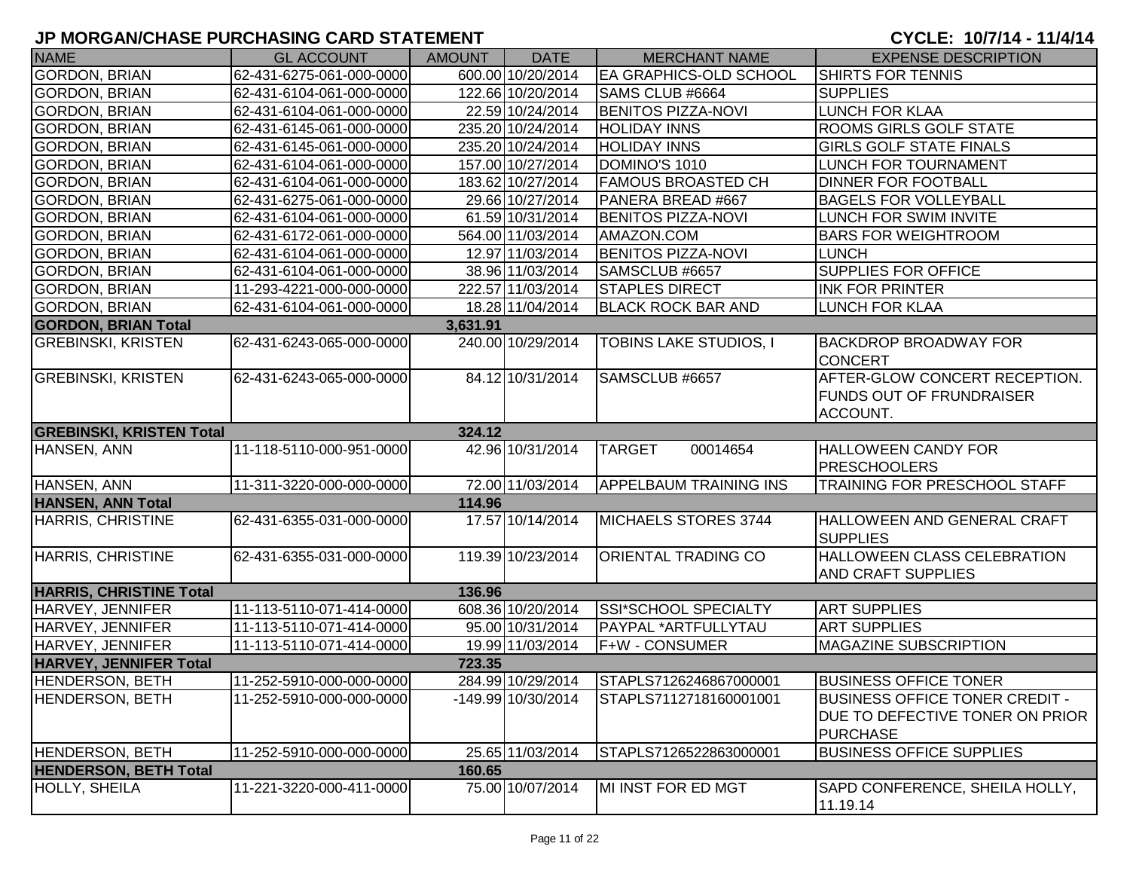| <b>NAME</b>                     | <b>GL ACCOUNT</b>        | <b>AMOUNT</b> | <b>DATE</b>        | <b>MERCHANT NAME</b>          | <b>EXPENSE DESCRIPTION</b>                                                                  |
|---------------------------------|--------------------------|---------------|--------------------|-------------------------------|---------------------------------------------------------------------------------------------|
| <b>GORDON, BRIAN</b>            | 62-431-6275-061-000-0000 |               | 600.00 10/20/2014  | EA GRAPHICS-OLD SCHOOL        | <b>SHIRTS FOR TENNIS</b>                                                                    |
| <b>GORDON, BRIAN</b>            | 62-431-6104-061-000-0000 |               | 122.66 10/20/2014  | SAMS CLUB #6664               | <b>SUPPLIES</b>                                                                             |
| <b>GORDON, BRIAN</b>            | 62-431-6104-061-000-0000 |               | 22.59 10/24/2014   | <b>BENITOS PIZZA-NOVI</b>     | <b>LUNCH FOR KLAA</b>                                                                       |
| <b>GORDON, BRIAN</b>            | 62-431-6145-061-000-0000 |               | 235.20 10/24/2014  | <b>HOLIDAY INNS</b>           | <b>ROOMS GIRLS GOLF STATE</b>                                                               |
| <b>GORDON, BRIAN</b>            | 62-431-6145-061-000-0000 |               | 235.20 10/24/2014  | <b>HOLIDAY INNS</b>           | <b>GIRLS GOLF STATE FINALS</b>                                                              |
| <b>GORDON, BRIAN</b>            | 62-431-6104-061-000-0000 |               | 157.00 10/27/2014  | DOMINO'S 1010                 | LUNCH FOR TOURNAMENT                                                                        |
| <b>GORDON, BRIAN</b>            | 62-431-6104-061-000-0000 |               | 183.62 10/27/2014  | <b>FAMOUS BROASTED CH</b>     | <b>DINNER FOR FOOTBALL</b>                                                                  |
| <b>GORDON, BRIAN</b>            | 62-431-6275-061-000-0000 |               | 29.66 10/27/2014   | PANERA BREAD #667             | <b>BAGELS FOR VOLLEYBALL</b>                                                                |
| <b>GORDON, BRIAN</b>            | 62-431-6104-061-000-0000 |               | 61.59 10/31/2014   | <b>BENITOS PIZZA-NOVI</b>     | LUNCH FOR SWIM INVITE                                                                       |
| <b>GORDON, BRIAN</b>            | 62-431-6172-061-000-0000 |               | 564.00 11/03/2014  | AMAZON.COM                    | <b>BARS FOR WEIGHTROOM</b>                                                                  |
| <b>GORDON, BRIAN</b>            | 62-431-6104-061-000-0000 |               | 12.97 11/03/2014   | <b>BENITOS PIZZA-NOVI</b>     | <b>LUNCH</b>                                                                                |
| <b>GORDON, BRIAN</b>            | 62-431-6104-061-000-0000 |               | 38.96 11/03/2014   | SAMSCLUB #6657                | <b>SUPPLIES FOR OFFICE</b>                                                                  |
| <b>GORDON, BRIAN</b>            | 11-293-4221-000-000-0000 |               | 222.57 11/03/2014  | <b>STAPLES DIRECT</b>         | <b>INK FOR PRINTER</b>                                                                      |
| <b>GORDON, BRIAN</b>            | 62-431-6104-061-000-0000 |               | 18.28 11/04/2014   | <b>BLACK ROCK BAR AND</b>     | <b>LUNCH FOR KLAA</b>                                                                       |
| <b>GORDON, BRIAN Total</b>      |                          | 3,631.91      |                    |                               |                                                                                             |
| <b>GREBINSKI, KRISTEN</b>       | 62-431-6243-065-000-0000 |               | 240.00 10/29/2014  | TOBINS LAKE STUDIOS, I        | <b>BACKDROP BROADWAY FOR</b><br><b>CONCERT</b>                                              |
| <b>GREBINSKI, KRISTEN</b>       | 62-431-6243-065-000-0000 |               | 84.12 10/31/2014   | SAMSCLUB #6657                | AFTER-GLOW CONCERT RECEPTION.<br><b>FUNDS OUT OF FRUNDRAISER</b><br>ACCOUNT.                |
| <b>GREBINSKI, KRISTEN Total</b> |                          | 324.12        |                    |                               |                                                                                             |
| <b>HANSEN, ANN</b>              | 11-118-5110-000-951-0000 |               | 42.96 10/31/2014   | <b>TARGET</b><br>00014654     | <b>HALLOWEEN CANDY FOR</b><br><b>PRESCHOOLERS</b>                                           |
| HANSEN, ANN                     | 11-311-3220-000-000-0000 |               | 72.00 11/03/2014   | <b>APPELBAUM TRAINING INS</b> | TRAINING FOR PRESCHOOL STAFF                                                                |
| <b>HANSEN, ANN Total</b>        |                          | 114.96        |                    |                               |                                                                                             |
| HARRIS, CHRISTINE               | 62-431-6355-031-000-0000 |               | 17.57 10/14/2014   | MICHAELS STORES 3744          | <b>HALLOWEEN AND GENERAL CRAFT</b><br><b>SUPPLIES</b>                                       |
| <b>HARRIS, CHRISTINE</b>        | 62-431-6355-031-000-0000 |               | 119.39 10/23/2014  | ORIENTAL TRADING CO           | <b>HALLOWEEN CLASS CELEBRATION</b><br><b>AND CRAFT SUPPLIES</b>                             |
| <b>HARRIS, CHRISTINE Total</b>  |                          | 136.96        |                    |                               |                                                                                             |
| HARVEY, JENNIFER                | 11-113-5110-071-414-0000 |               | 608.36 10/20/2014  | <b>SSI*SCHOOL SPECIALTY</b>   | <b>ART SUPPLIES</b>                                                                         |
| HARVEY, JENNIFER                | 11-113-5110-071-414-0000 |               | 95.00 10/31/2014   | PAYPAL *ARTFULLYTAU           | <b>ART SUPPLIES</b>                                                                         |
| HARVEY, JENNIFER                | 11-113-5110-071-414-0000 |               | 19.99 11/03/2014   | <b>F+W - CONSUMER</b>         | <b>MAGAZINE SUBSCRIPTION</b>                                                                |
| <b>HARVEY, JENNIFER Total</b>   |                          | 723.35        |                    |                               |                                                                                             |
| <b>HENDERSON, BETH</b>          | 11-252-5910-000-000-0000 |               | 284.99 10/29/2014  | STAPLS7126246867000001        | <b>BUSINESS OFFICE TONER</b>                                                                |
| <b>HENDERSON, BETH</b>          | 11-252-5910-000-000-0000 |               | -149.99 10/30/2014 | STAPLS7112718160001001        | <b>BUSINESS OFFICE TONER CREDIT -</b><br>DUE TO DEFECTIVE TONER ON PRIOR<br><b>PURCHASE</b> |
| HENDERSON, BETH                 | 11-252-5910-000-000-0000 |               | 25.65 11/03/2014   | STAPLS7126522863000001        | <b>BUSINESS OFFICE SUPPLIES</b>                                                             |
| <b>HENDERSON, BETH Total</b>    |                          | 160.65        |                    |                               |                                                                                             |
| HOLLY, SHEILA                   | 11-221-3220-000-411-0000 |               | 75.00 10/07/2014   | MI INST FOR ED MGT            | SAPD CONFERENCE, SHEILA HOLLY,<br>11.19.14                                                  |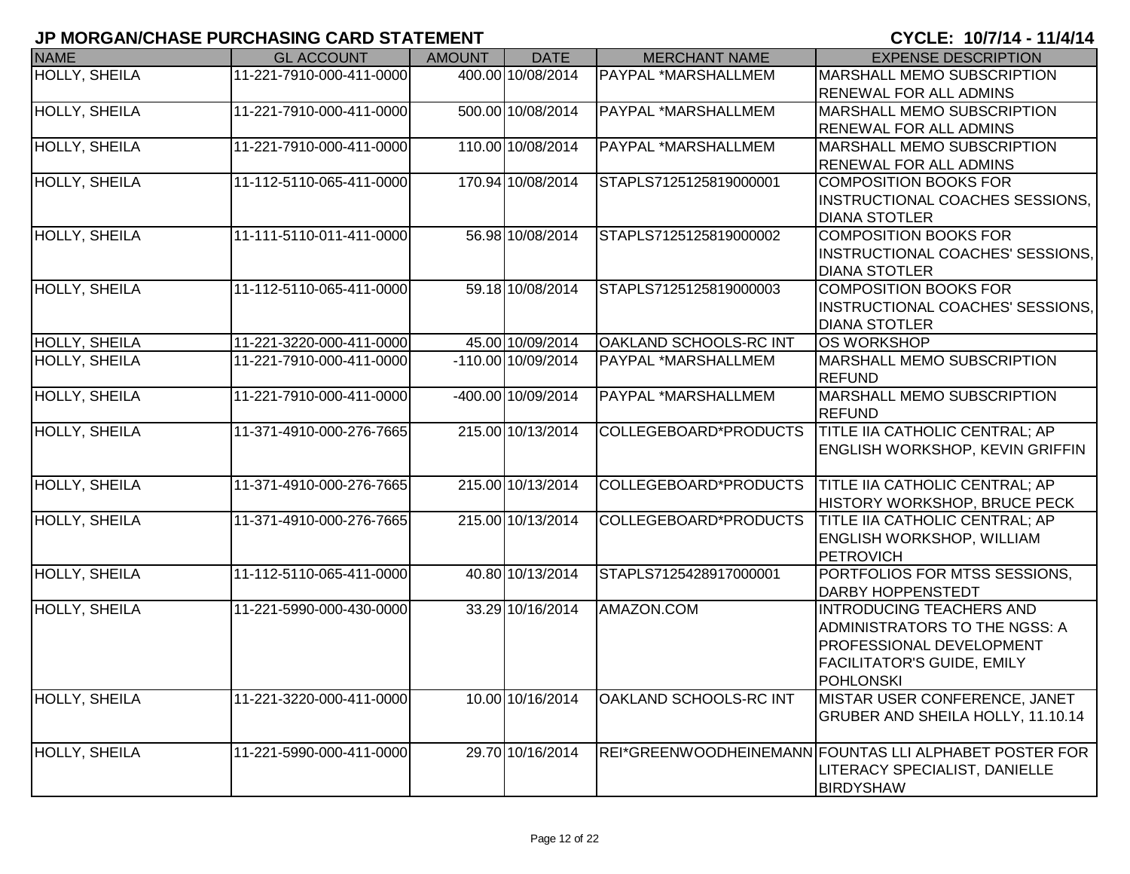| <b>NAME</b>          | <b>GL ACCOUNT</b>        | <b>AMOUNT</b> | <b>DATE</b>        | <b>MERCHANT NAME</b>   | <b>EXPENSE DESCRIPTION</b>                                |
|----------------------|--------------------------|---------------|--------------------|------------------------|-----------------------------------------------------------|
| <b>HOLLY, SHEILA</b> | 11-221-7910-000-411-0000 |               | 400.00 10/08/2014  | PAYPAL *MARSHALLMEM    | MARSHALL MEMO SUBSCRIPTION                                |
|                      |                          |               |                    |                        | <b>RENEWAL FOR ALL ADMINS</b>                             |
| <b>HOLLY, SHEILA</b> | 11-221-7910-000-411-0000 |               | 500.00 10/08/2014  | PAYPAL *MARSHALLMEM    | MARSHALL MEMO SUBSCRIPTION                                |
|                      |                          |               |                    |                        | <b>RENEWAL FOR ALL ADMINS</b>                             |
| HOLLY, SHEILA        | 11-221-7910-000-411-0000 |               | 110.00 10/08/2014  | PAYPAL *MARSHALLMEM    | MARSHALL MEMO SUBSCRIPTION                                |
|                      |                          |               |                    |                        | <b>RENEWAL FOR ALL ADMINS</b>                             |
| HOLLY, SHEILA        | 11-112-5110-065-411-0000 |               | 170.94 10/08/2014  | STAPLS7125125819000001 | <b>COMPOSITION BOOKS FOR</b>                              |
|                      |                          |               |                    |                        | <b>INSTRUCTIONAL COACHES SESSIONS,</b>                    |
|                      |                          |               |                    |                        | <b>DIANA STOTLER</b>                                      |
| HOLLY, SHEILA        | 11-111-5110-011-411-0000 |               | 56.98 10/08/2014   | STAPLS7125125819000002 | <b>COMPOSITION BOOKS FOR</b>                              |
|                      |                          |               |                    |                        | INSTRUCTIONAL COACHES' SESSIONS,                          |
|                      |                          |               |                    |                        | <b>DIANA STOTLER</b>                                      |
| HOLLY, SHEILA        | 11-112-5110-065-411-0000 |               | 59.18 10/08/2014   | STAPLS7125125819000003 | COMPOSITION BOOKS FOR                                     |
|                      |                          |               |                    |                        | INSTRUCTIONAL COACHES' SESSIONS,                          |
|                      |                          |               |                    |                        | <b>DIANA STOTLER</b>                                      |
| <b>HOLLY, SHEILA</b> | 11-221-3220-000-411-0000 |               | 45.00 10/09/2014   | OAKLAND SCHOOLS-RC INT | <b>OS WORKSHOP</b>                                        |
| <b>HOLLY, SHEILA</b> | 11-221-7910-000-411-0000 |               | -110.00 10/09/2014 | PAYPAL *MARSHALLMEM    | MARSHALL MEMO SUBSCRIPTION                                |
|                      |                          |               |                    |                        | <b>REFUND</b>                                             |
| <b>HOLLY, SHEILA</b> | 11-221-7910-000-411-0000 |               | -400.00 10/09/2014 | PAYPAL *MARSHALLMEM    | MARSHALL MEMO SUBSCRIPTION                                |
|                      |                          |               |                    |                        | <b>REFUND</b>                                             |
| <b>HOLLY, SHEILA</b> | 11-371-4910-000-276-7665 |               | 215.00 10/13/2014  | COLLEGEBOARD*PRODUCTS  | <b>TITLE IIA CATHOLIC CENTRAL; AP</b>                     |
|                      |                          |               |                    |                        | <b>ENGLISH WORKSHOP, KEVIN GRIFFIN</b>                    |
|                      |                          |               |                    |                        |                                                           |
| <b>HOLLY, SHEILA</b> | 11-371-4910-000-276-7665 |               | 215.00 10/13/2014  | COLLEGEBOARD*PRODUCTS  | <b>TITLE IIA CATHOLIC CENTRAL; AP</b>                     |
|                      |                          |               |                    |                        | <b>HISTORY WORKSHOP, BRUCE PECK</b>                       |
| <b>HOLLY, SHEILA</b> | 11-371-4910-000-276-7665 |               | 215.00 10/13/2014  | COLLEGEBOARD*PRODUCTS  | <b>TITLE IIA CATHOLIC CENTRAL; AP</b>                     |
|                      |                          |               |                    |                        | <b>ENGLISH WORKSHOP, WILLIAM</b>                          |
| <b>HOLLY, SHEILA</b> | 11-112-5110-065-411-0000 |               | 40.80 10/13/2014   | STAPLS7125428917000001 | PETROVICH                                                 |
|                      |                          |               |                    |                        | PORTFOLIOS FOR MTSS SESSIONS,<br><b>DARBY HOPPENSTEDT</b> |
| <b>HOLLY, SHEILA</b> | 11-221-5990-000-430-0000 |               | 33.29 10/16/2014   | AMAZON.COM             | <b>INTRODUCING TEACHERS AND</b>                           |
|                      |                          |               |                    |                        | ADMINISTRATORS TO THE NGSS: A                             |
|                      |                          |               |                    |                        | <b>PROFESSIONAL DEVELOPMENT</b>                           |
|                      |                          |               |                    |                        | <b>FACILITATOR'S GUIDE, EMILY</b>                         |
|                      |                          |               |                    |                        | <b>POHLONSKI</b>                                          |
| <b>HOLLY, SHEILA</b> | 11-221-3220-000-411-0000 |               | 10.00 10/16/2014   | OAKLAND SCHOOLS-RC INT | MISTAR USER CONFERENCE, JANET                             |
|                      |                          |               |                    |                        | GRUBER AND SHEILA HOLLY, 11.10.14                         |
|                      |                          |               |                    |                        |                                                           |
| HOLLY, SHEILA        | 11-221-5990-000-411-0000 |               | 29.70 10/16/2014   |                        | REI*GREENWOODHEINEMANN FOUNTAS LLI ALPHABET POSTER FOR    |
|                      |                          |               |                    |                        | LITERACY SPECIALIST, DANIELLE                             |
|                      |                          |               |                    |                        | <b>BIRDYSHAW</b>                                          |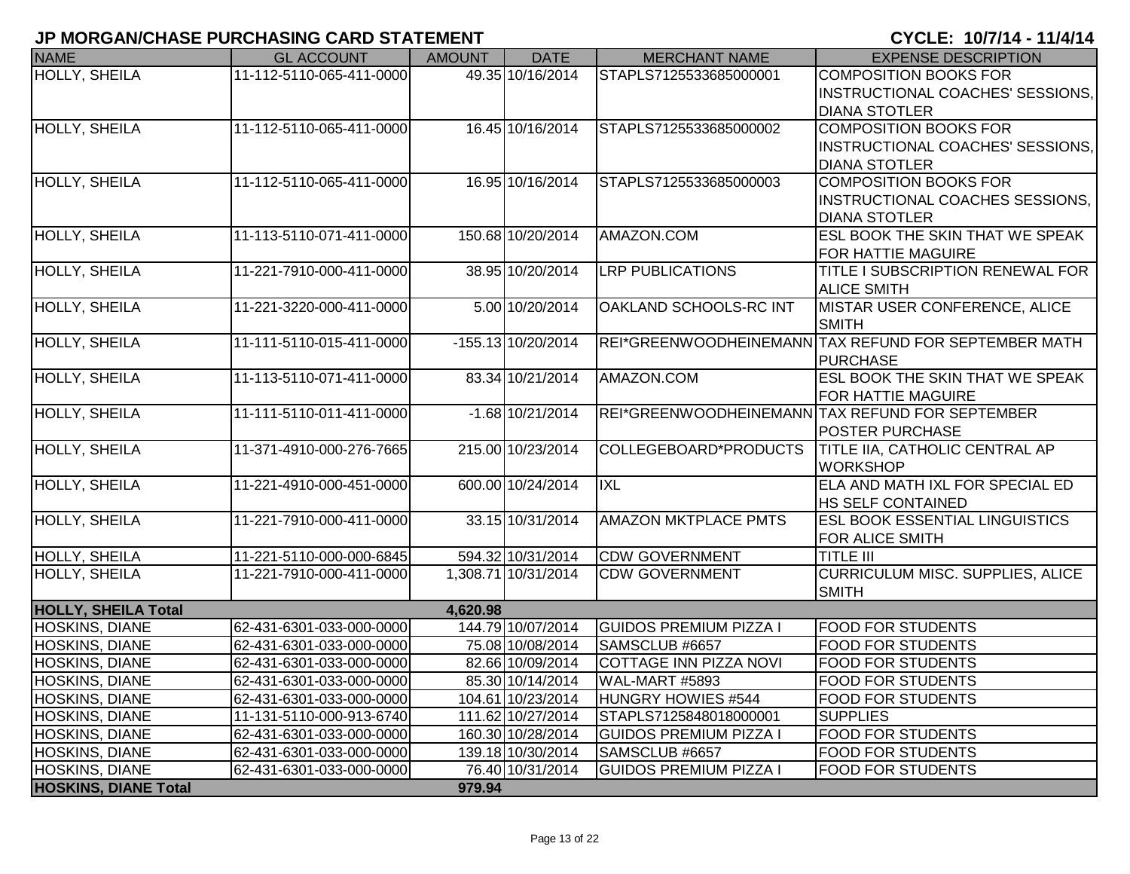| <b>NAME</b>                           | <b>GL ACCOUNT</b>        | <b>AMOUNT</b> | <b>DATE</b>          | <b>MERCHANT NAME</b>          | <b>EXPENSE DESCRIPTION</b>                                        |
|---------------------------------------|--------------------------|---------------|----------------------|-------------------------------|-------------------------------------------------------------------|
| <b>HOLLY, SHEILA</b>                  | 11-112-5110-065-411-0000 |               | 49.35 10/16/2014     | STAPLS7125533685000001        | <b>COMPOSITION BOOKS FOR</b>                                      |
|                                       |                          |               |                      |                               | INSTRUCTIONAL COACHES' SESSIONS,                                  |
|                                       |                          |               |                      |                               | <b>DIANA STOTLER</b>                                              |
| <b>HOLLY, SHEILA</b>                  | 11-112-5110-065-411-0000 |               | 16.45 10/16/2014     | STAPLS7125533685000002        | <b>COMPOSITION BOOKS FOR</b>                                      |
|                                       |                          |               |                      |                               | <b>INSTRUCTIONAL COACHES' SESSIONS,</b>                           |
|                                       |                          |               |                      |                               | <b>DIANA STOTLER</b>                                              |
| HOLLY, SHEILA                         | 11-112-5110-065-411-0000 |               | 16.95 10/16/2014     | STAPLS7125533685000003        | <b>COMPOSITION BOOKS FOR</b>                                      |
|                                       |                          |               |                      |                               | <b>INSTRUCTIONAL COACHES SESSIONS,</b>                            |
|                                       |                          |               |                      |                               | <b>DIANA STOTLER</b>                                              |
| <b>HOLLY, SHEILA</b>                  | 11-113-5110-071-411-0000 |               | 150.68 10/20/2014    | AMAZON.COM                    | <b>ESL BOOK THE SKIN THAT WE SPEAK</b>                            |
|                                       |                          |               |                      |                               | <b>FOR HATTIE MAGUIRE</b>                                         |
| HOLLY, SHEILA                         | 11-221-7910-000-411-0000 |               | 38.95 10/20/2014     | <b>LRP PUBLICATIONS</b>       | TITLE I SUBSCRIPTION RENEWAL FOR                                  |
|                                       |                          |               |                      |                               | <b>ALICE SMITH</b>                                                |
| HOLLY, SHEILA                         | 11-221-3220-000-411-0000 |               | 5.00 10/20/2014      | OAKLAND SCHOOLS-RC INT        | MISTAR USER CONFERENCE, ALICE                                     |
|                                       |                          |               |                      |                               | <b>SMITH</b>                                                      |
| <b>HOLLY, SHEILA</b>                  | 11-111-5110-015-411-0000 |               | $-155.13 10/20/2014$ |                               | REI*GREENWOODHEINEMANN TAX REFUND FOR SEPTEMBER MATH              |
|                                       |                          |               |                      |                               | <b>PURCHASE</b>                                                   |
| <b>HOLLY, SHEILA</b>                  | 11-113-5110-071-411-0000 |               | 83.34 10/21/2014     | AMAZON.COM                    | <b>ESL BOOK THE SKIN THAT WE SPEAK</b>                            |
|                                       |                          |               |                      |                               | <b>FOR HATTIE MAGUIRE</b>                                         |
| HOLLY, SHEILA                         | 11-111-5110-011-411-0000 |               | $-1.68$ 10/21/2014   |                               | REI*GREENWOODHEINEMANN TAX REFUND FOR SEPTEMBER                   |
|                                       | 11-371-4910-000-276-7665 |               |                      |                               | <b>POSTER PURCHASE</b>                                            |
| HOLLY, SHEILA                         |                          |               | 215.00 10/23/2014    | COLLEGEBOARD*PRODUCTS         | <b>TITLE IIA, CATHOLIC CENTRAL AP</b>                             |
|                                       |                          |               |                      |                               | <b>WORKSHOP</b>                                                   |
| HOLLY, SHEILA                         | 11-221-4910-000-451-0000 |               | 600.00 10/24/2014    | <b>IXL</b>                    | ELA AND MATH IXL FOR SPECIAL ED                                   |
| <b>HOLLY, SHEILA</b>                  | 11-221-7910-000-411-0000 |               | 33.15 10/31/2014     | <b>AMAZON MKTPLACE PMTS</b>   | <b>HS SELF CONTAINED</b><br><b>ESL BOOK ESSENTIAL LINGUISTICS</b> |
|                                       |                          |               |                      |                               |                                                                   |
|                                       | 11-221-5110-000-000-6845 |               | 594.32 10/31/2014    | <b>CDW GOVERNMENT</b>         | <b>FOR ALICE SMITH</b><br><b>TITLE III</b>                        |
| HOLLY, SHEILA<br><b>HOLLY, SHEILA</b> | 11-221-7910-000-411-0000 |               | 1,308.71 10/31/2014  | <b>CDW GOVERNMENT</b>         | <b>CURRICULUM MISC. SUPPLIES, ALICE</b>                           |
|                                       |                          |               |                      |                               | <b>SMITH</b>                                                      |
| <b>HOLLY, SHEILA Total</b>            |                          | 4,620.98      |                      |                               |                                                                   |
| <b>HOSKINS, DIANE</b>                 | 62-431-6301-033-000-0000 |               | 144.79 10/07/2014    | <b>GUIDOS PREMIUM PIZZA I</b> | <b>FOOD FOR STUDENTS</b>                                          |
| HOSKINS, DIANE                        | 62-431-6301-033-000-0000 |               | 75.08 10/08/2014     | SAMSCLUB #6657                | <b>FOOD FOR STUDENTS</b>                                          |
| HOSKINS, DIANE                        | 62-431-6301-033-000-0000 |               | 82.66 10/09/2014     | COTTAGE INN PIZZA NOVI        | <b>FOOD FOR STUDENTS</b>                                          |
| <b>HOSKINS, DIANE</b>                 | 62-431-6301-033-000-0000 |               | 85.30 10/14/2014     | WAL-MART #5893                | <b>FOOD FOR STUDENTS</b>                                          |
| <b>HOSKINS, DIANE</b>                 | 62-431-6301-033-000-0000 |               | 104.61 10/23/2014    | HUNGRY HOWIES #544            | <b>FOOD FOR STUDENTS</b>                                          |
| <b>HOSKINS, DIANE</b>                 | 11-131-5110-000-913-6740 |               | 111.62 10/27/2014    | STAPLS7125848018000001        | <b>SUPPLIES</b>                                                   |
| <b>HOSKINS, DIANE</b>                 | 62-431-6301-033-000-0000 |               | 160.30 10/28/2014    | <b>GUIDOS PREMIUM PIZZA I</b> | <b>FOOD FOR STUDENTS</b>                                          |
| <b>HOSKINS, DIANE</b>                 | 62-431-6301-033-000-0000 |               | 139.18 10/30/2014    | SAMSCLUB #6657                | <b>FOOD FOR STUDENTS</b>                                          |
| <b>HOSKINS, DIANE</b>                 | 62-431-6301-033-000-0000 |               | 76.40 10/31/2014     | <b>GUIDOS PREMIUM PIZZA I</b> | <b>FOOD FOR STUDENTS</b>                                          |
| <b>HOSKINS, DIANE Total</b>           |                          | 979.94        |                      |                               |                                                                   |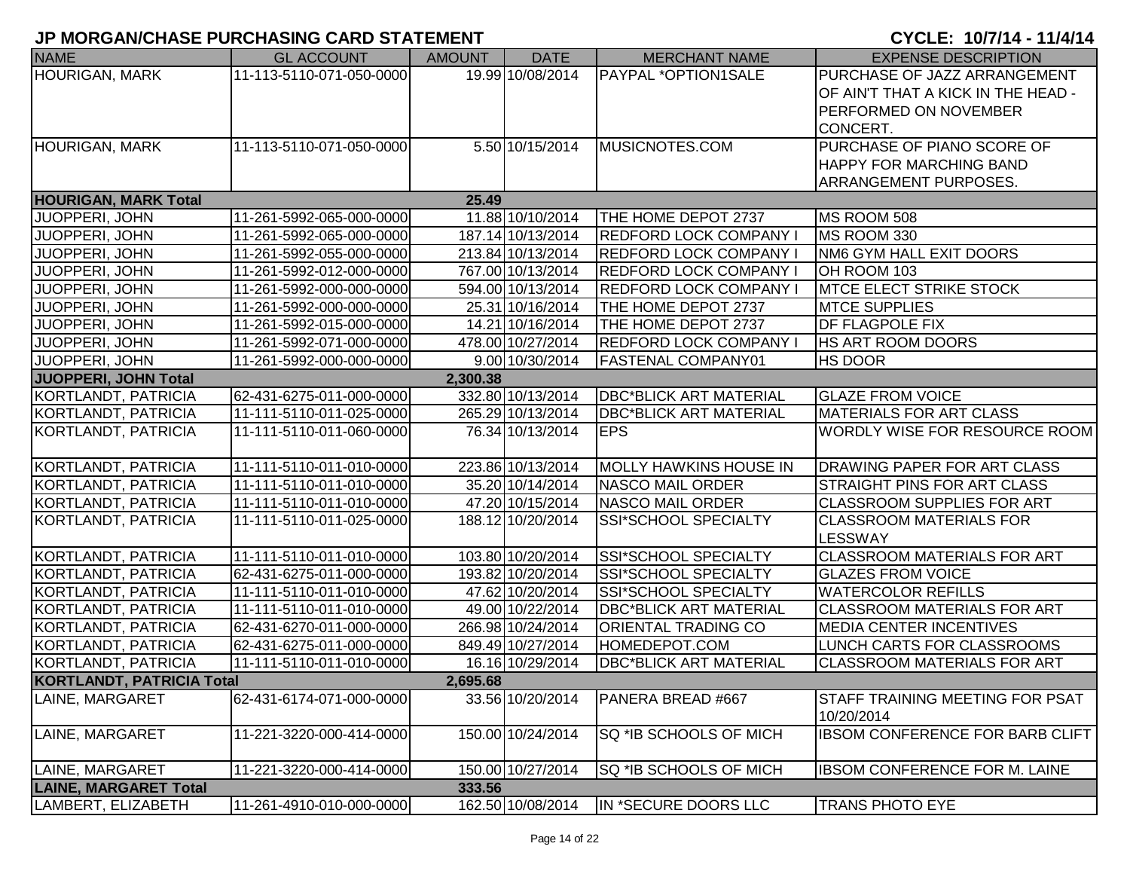| <b>NAME</b>                      | <b>GL ACCOUNT</b>        | <b>AMOUNT</b> | <b>DATE</b>       | <b>MERCHANT NAME</b>          | <b>EXPENSE DESCRIPTION</b>                    |
|----------------------------------|--------------------------|---------------|-------------------|-------------------------------|-----------------------------------------------|
| <b>HOURIGAN, MARK</b>            | 11-113-5110-071-050-0000 |               | 19.99 10/08/2014  | PAYPAL *OPTION1SALE           | PURCHASE OF JAZZ ARRANGEMENT                  |
|                                  |                          |               |                   |                               | OF AIN'T THAT A KICK IN THE HEAD -            |
|                                  |                          |               |                   |                               | <b>PERFORMED ON NOVEMBER</b>                  |
|                                  |                          |               |                   |                               | CONCERT.                                      |
| <b>HOURIGAN, MARK</b>            | 11-113-5110-071-050-0000 |               | 5.50 10/15/2014   | MUSICNOTES.COM                | PURCHASE OF PIANO SCORE OF                    |
|                                  |                          |               |                   |                               | <b>HAPPY FOR MARCHING BAND</b>                |
|                                  |                          |               |                   |                               | ARRANGEMENT PURPOSES.                         |
| <b>HOURIGAN, MARK Total</b>      |                          | 25.49         |                   |                               |                                               |
| JUOPPERI, JOHN                   | 11-261-5992-065-000-0000 |               | 11.88 10/10/2014  | THE HOME DEPOT 2737           | MS ROOM 508                                   |
| JUOPPERI, JOHN                   | 11-261-5992-065-000-0000 |               | 187.14 10/13/2014 | <b>REDFORD LOCK COMPANY I</b> | MS ROOM 330                                   |
| <b>JUOPPERI, JOHN</b>            | 11-261-5992-055-000-0000 |               | 213.84 10/13/2014 | <b>REDFORD LOCK COMPANY I</b> | <b>NM6 GYM HALL EXIT DOORS</b>                |
| JUOPPERI, JOHN                   | 11-261-5992-012-000-0000 |               | 767.00 10/13/2014 | <b>REDFORD LOCK COMPANY</b>   | OH ROOM 103                                   |
| JUOPPERI, JOHN                   | 11-261-5992-000-000-0000 |               | 594.00 10/13/2014 | <b>REDFORD LOCK COMPANY I</b> | <b>MTCE ELECT STRIKE STOCK</b>                |
| JUOPPERI, JOHN                   | 11-261-5992-000-000-0000 |               | 25.31 10/16/2014  | THE HOME DEPOT 2737           | <b>MTCE SUPPLIES</b>                          |
| JUOPPERI, JOHN                   | 11-261-5992-015-000-0000 |               | 14.21 10/16/2014  | THE HOME DEPOT 2737           | <b>DF FLAGPOLE FIX</b>                        |
| JUOPPERI, JOHN                   | 11-261-5992-071-000-0000 |               | 478.00 10/27/2014 | <b>REDFORD LOCK COMPANY I</b> | <b>HS ART ROOM DOORS</b>                      |
| JUOPPERI, JOHN                   | 11-261-5992-000-000-0000 |               | 9.00 10/30/2014   | <b>FASTENAL COMPANY01</b>     | <b>HS DOOR</b>                                |
| JUOPPERI, JOHN Total             |                          | 2,300.38      |                   |                               |                                               |
| KORTLANDT, PATRICIA              | 62-431-6275-011-000-0000 |               | 332.80 10/13/2014 | <b>DBC*BLICK ART MATERIAL</b> | <b>GLAZE FROM VOICE</b>                       |
| KORTLANDT, PATRICIA              | 11-111-5110-011-025-0000 |               | 265.29 10/13/2014 | <b>DBC*BLICK ART MATERIAL</b> | <b>MATERIALS FOR ART CLASS</b>                |
| KORTLANDT, PATRICIA              | 11-111-5110-011-060-0000 |               | 76.34 10/13/2014  | <b>EPS</b>                    | <b>WORDLY WISE FOR RESOURCE ROOM</b>          |
| KORTLANDT, PATRICIA              | 11-111-5110-011-010-0000 |               | 223.86 10/13/2014 | <b>MOLLY HAWKINS HOUSE IN</b> | DRAWING PAPER FOR ART CLASS                   |
| KORTLANDT, PATRICIA              | 11-111-5110-011-010-0000 |               | 35.20 10/14/2014  | <b>NASCO MAIL ORDER</b>       | STRAIGHT PINS FOR ART CLASS                   |
| KORTLANDT, PATRICIA              | 11-111-5110-011-010-0000 |               | 47.20 10/15/2014  | <b>NASCO MAIL ORDER</b>       | <b>CLASSROOM SUPPLIES FOR ART</b>             |
| KORTLANDT, PATRICIA              | 11-111-5110-011-025-0000 |               | 188.12 10/20/2014 | SSI*SCHOOL SPECIALTY          | <b>CLASSROOM MATERIALS FOR</b>                |
|                                  |                          |               |                   |                               | <b>LESSWAY</b>                                |
| KORTLANDT, PATRICIA              | 11-111-5110-011-010-0000 |               | 103.80 10/20/2014 | <b>SSI*SCHOOL SPECIALTY</b>   | <b>CLASSROOM MATERIALS FOR ART</b>            |
| KORTLANDT, PATRICIA              | 62-431-6275-011-000-0000 |               | 193.82 10/20/2014 | <b>SSI*SCHOOL SPECIALTY</b>   | <b>GLAZES FROM VOICE</b>                      |
| KORTLANDT, PATRICIA              | 11-111-5110-011-010-0000 |               | 47.62 10/20/2014  | <b>SSI*SCHOOL SPECIALTY</b>   | <b>WATERCOLOR REFILLS</b>                     |
| KORTLANDT, PATRICIA              | 11-111-5110-011-010-0000 |               | 49.00 10/22/2014  | <b>DBC*BLICK ART MATERIAL</b> | <b>CLASSROOM MATERIALS FOR ART</b>            |
| KORTLANDT, PATRICIA              | 62-431-6270-011-000-0000 |               | 266.98 10/24/2014 | <b>ORIENTAL TRADING CO</b>    | <b>MEDIA CENTER INCENTIVES</b>                |
| KORTLANDT, PATRICIA              | 62-431-6275-011-000-0000 |               | 849.49 10/27/2014 | HOMEDEPOT.COM                 | <b>LUNCH CARTS FOR CLASSROOMS</b>             |
| KORTLANDT, PATRICIA              | 11-111-5110-011-010-0000 |               | 16.16 10/29/2014  | <b>DBC*BLICK ART MATERIAL</b> | <b>CLASSROOM MATERIALS FOR ART</b>            |
| <b>KORTLANDT, PATRICIA Total</b> |                          | 2,695.68      |                   |                               |                                               |
| LAINE, MARGARET                  | 62-431-6174-071-000-0000 |               | 33.56 10/20/2014  | PANERA BREAD #667             | STAFF TRAINING MEETING FOR PSAT<br>10/20/2014 |
| LAINE, MARGARET                  | 11-221-3220-000-414-0000 |               | 150.00 10/24/2014 | SQ *IB SCHOOLS OF MICH        | IBSOM CONFERENCE FOR BARB CLIFT               |
| LAINE, MARGARET                  | 11-221-3220-000-414-0000 |               | 150.00 10/27/2014 | SQ *IB SCHOOLS OF MICH        | <b>IBSOM CONFERENCE FOR M. LAINE</b>          |
| <b>LAINE, MARGARET Total</b>     |                          | 333.56        |                   |                               |                                               |
| LAMBERT, ELIZABETH               | 11-261-4910-010-000-0000 |               | 162.50 10/08/2014 | IN *SECURE DOORS LLC          | <b>TRANS PHOTO EYE</b>                        |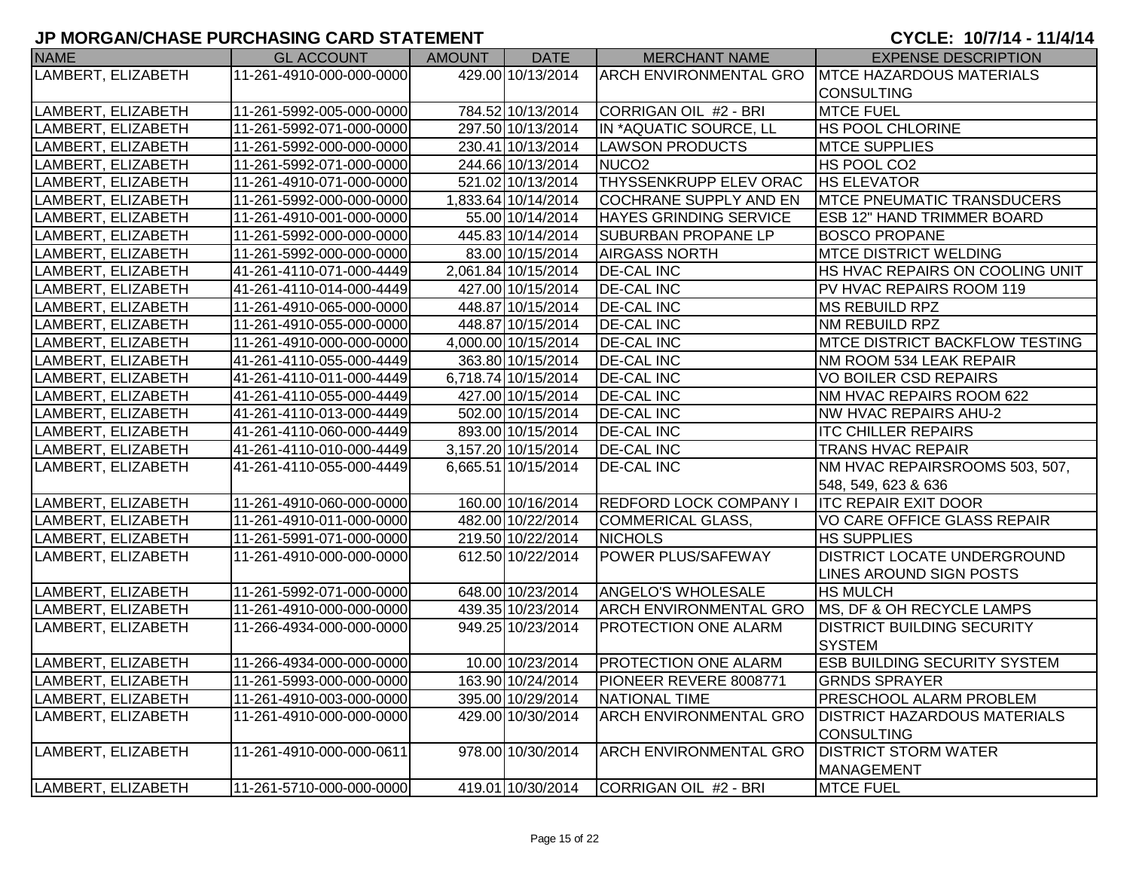| <b>NAME</b>        | <b>GL ACCOUNT</b>        | AMOUNT | <b>DATE</b>         | <b>MERCHANT NAME</b>          | <b>EXPENSE DESCRIPTION</b>            |
|--------------------|--------------------------|--------|---------------------|-------------------------------|---------------------------------------|
| LAMBERT, ELIZABETH | 11-261-4910-000-000-0000 |        | 429.00 10/13/2014   | <b>ARCH ENVIRONMENTAL GRO</b> | <b>MTCE HAZARDOUS MATERIALS</b>       |
|                    |                          |        |                     |                               | <b>CONSULTING</b>                     |
| LAMBERT, ELIZABETH | 11-261-5992-005-000-0000 |        | 784.52 10/13/2014   | CORRIGAN OIL #2 - BRI         | <b>MTCE FUEL</b>                      |
| LAMBERT, ELIZABETH | 11-261-5992-071-000-0000 |        | 297.50 10/13/2014   | IN *AQUATIC SOURCE, LL        | HS POOL CHLORINE                      |
| LAMBERT, ELIZABETH | 11-261-5992-000-000-0000 |        | 230.41 10/13/2014   | <b>LAWSON PRODUCTS</b>        | <b>MTCE SUPPLIES</b>                  |
| LAMBERT, ELIZABETH | 11-261-5992-071-000-0000 |        | 244.66 10/13/2014   | NUCO <sub>2</sub>             | HS POOL CO2                           |
| LAMBERT, ELIZABETH | 11-261-4910-071-000-0000 |        | 521.02 10/13/2014   | <b>THYSSENKRUPP ELEV ORAC</b> | <b>HS ELEVATOR</b>                    |
| LAMBERT, ELIZABETH | 11-261-5992-000-000-0000 |        | 1,833.64 10/14/2014 | <b>COCHRANE SUPPLY AND EN</b> | <b>IMTCE PNEUMATIC TRANSDUCERS</b>    |
| LAMBERT, ELIZABETH | 11-261-4910-001-000-0000 |        | 55.00 10/14/2014    | <b>HAYES GRINDING SERVICE</b> | <b>ESB 12" HAND TRIMMER BOARD</b>     |
| LAMBERT, ELIZABETH | 11-261-5992-000-000-0000 |        | 445.83 10/14/2014   | <b>SUBURBAN PROPANE LP</b>    | <b>BOSCO PROPANE</b>                  |
| LAMBERT, ELIZABETH | 11-261-5992-000-000-0000 |        | 83.00 10/15/2014    | <b>AIRGASS NORTH</b>          | <b>MTCE DISTRICT WELDING</b>          |
| LAMBERT, ELIZABETH | 41-261-4110-071-000-4449 |        | 2,061.84 10/15/2014 | <b>DE-CAL INC</b>             | HS HVAC REPAIRS ON COOLING UNIT       |
| LAMBERT, ELIZABETH | 41-261-4110-014-000-4449 |        | 427.00 10/15/2014   | <b>DE-CAL INC</b>             | PV HVAC REPAIRS ROOM 119              |
| LAMBERT, ELIZABETH | 11-261-4910-065-000-0000 |        | 448.87 10/15/2014   | <b>DE-CAL INC</b>             | MS REBUILD RPZ                        |
| LAMBERT, ELIZABETH | 11-261-4910-055-000-0000 |        | 448.87 10/15/2014   | <b>DE-CAL INC</b>             | NM REBUILD RPZ                        |
| LAMBERT, ELIZABETH | 11-261-4910-000-000-0000 |        | 4,000.00 10/15/2014 | <b>DE-CAL INC</b>             | <b>MTCE DISTRICT BACKFLOW TESTING</b> |
| LAMBERT, ELIZABETH | 41-261-4110-055-000-4449 |        | 363.80 10/15/2014   | <b>DE-CAL INC</b>             | NM ROOM 534 LEAK REPAIR               |
| LAMBERT, ELIZABETH | 41-261-4110-011-000-4449 |        | 6,718.74 10/15/2014 | <b>DE-CAL INC</b>             | VO BOILER CSD REPAIRS                 |
| LAMBERT, ELIZABETH | 41-261-4110-055-000-4449 |        | 427.00 10/15/2014   | <b>DE-CAL INC</b>             | NM HVAC REPAIRS ROOM 622              |
| LAMBERT, ELIZABETH | 41-261-4110-013-000-4449 |        | 502.00 10/15/2014   | <b>DE-CAL INC</b>             | NW HVAC REPAIRS AHU-2                 |
| LAMBERT, ELIZABETH | 41-261-4110-060-000-4449 |        | 893.00 10/15/2014   | <b>DE-CAL INC</b>             | <b>ITC CHILLER REPAIRS</b>            |
| LAMBERT, ELIZABETH | 41-261-4110-010-000-4449 |        | 3,157.20 10/15/2014 | <b>DE-CAL INC</b>             | <b>TRANS HVAC REPAIR</b>              |
| LAMBERT, ELIZABETH | 41-261-4110-055-000-4449 |        | 6,665.51 10/15/2014 | <b>DE-CAL INC</b>             | NM HVAC REPAIRSROOMS 503, 507,        |
|                    |                          |        |                     |                               | 548, 549, 623 & 636                   |
| LAMBERT, ELIZABETH | 11-261-4910-060-000-0000 |        | 160.00 10/16/2014   | <b>REDFORD LOCK COMPANY I</b> | <b>ITC REPAIR EXIT DOOR</b>           |
| LAMBERT, ELIZABETH | 11-261-4910-011-000-0000 |        | 482.00 10/22/2014   | <b>COMMERICAL GLASS,</b>      | VO CARE OFFICE GLASS REPAIR           |
| LAMBERT, ELIZABETH | 11-261-5991-071-000-0000 |        | 219.50 10/22/2014   | <b>NICHOLS</b>                | <b>HS SUPPLIES</b>                    |
| LAMBERT, ELIZABETH | 11-261-4910-000-000-0000 |        | 612.50 10/22/2014   | POWER PLUS/SAFEWAY            | <b>DISTRICT LOCATE UNDERGROUND</b>    |
|                    |                          |        |                     |                               | LINES AROUND SIGN POSTS               |
| LAMBERT, ELIZABETH | 11-261-5992-071-000-0000 |        | 648.00 10/23/2014   | <b>ANGELO'S WHOLESALE</b>     | <b>HS MULCH</b>                       |
| LAMBERT, ELIZABETH | 11-261-4910-000-000-0000 |        | 439.35 10/23/2014   | ARCH ENVIRONMENTAL GRO        | MS, DF & OH RECYCLE LAMPS             |
| LAMBERT, ELIZABETH | 11-266-4934-000-000-0000 |        | 949.25 10/23/2014   | PROTECTION ONE ALARM          | <b>DISTRICT BUILDING SECURITY</b>     |
|                    |                          |        |                     |                               | <b>SYSTEM</b>                         |
| LAMBERT, ELIZABETH | 11-266-4934-000-000-0000 |        | 10.00 10/23/2014    | PROTECTION ONE ALARM          | <b>ESB BUILDING SECURITY SYSTEM</b>   |
| LAMBERT, ELIZABETH | 11-261-5993-000-000-0000 |        | 163.90 10/24/2014   | PIONEER REVERE 8008771        | <b>GRNDS SPRAYER</b>                  |
| LAMBERT, ELIZABETH | 11-261-4910-003-000-0000 |        | 395.00 10/29/2014   | NATIONAL TIME                 | <b>PRESCHOOL ALARM PROBLEM</b>        |
| LAMBERT, ELIZABETH | 11-261-4910-000-000-0000 |        | 429.00 10/30/2014   | ARCH ENVIRONMENTAL GRO        | <b>DISTRICT HAZARDOUS MATERIALS</b>   |
|                    |                          |        |                     |                               | <b>CONSULTING</b>                     |
| LAMBERT, ELIZABETH | 11-261-4910-000-000-0611 |        | 978.00 10/30/2014   | ARCH ENVIRONMENTAL GRO        | <b>DISTRICT STORM WATER</b>           |
|                    |                          |        |                     |                               | MANAGEMENT                            |
| LAMBERT, ELIZABETH | 11-261-5710-000-000-0000 |        | 419.01 10/30/2014   | CORRIGAN OIL #2 - BRI         | <b>MTCE FUEL</b>                      |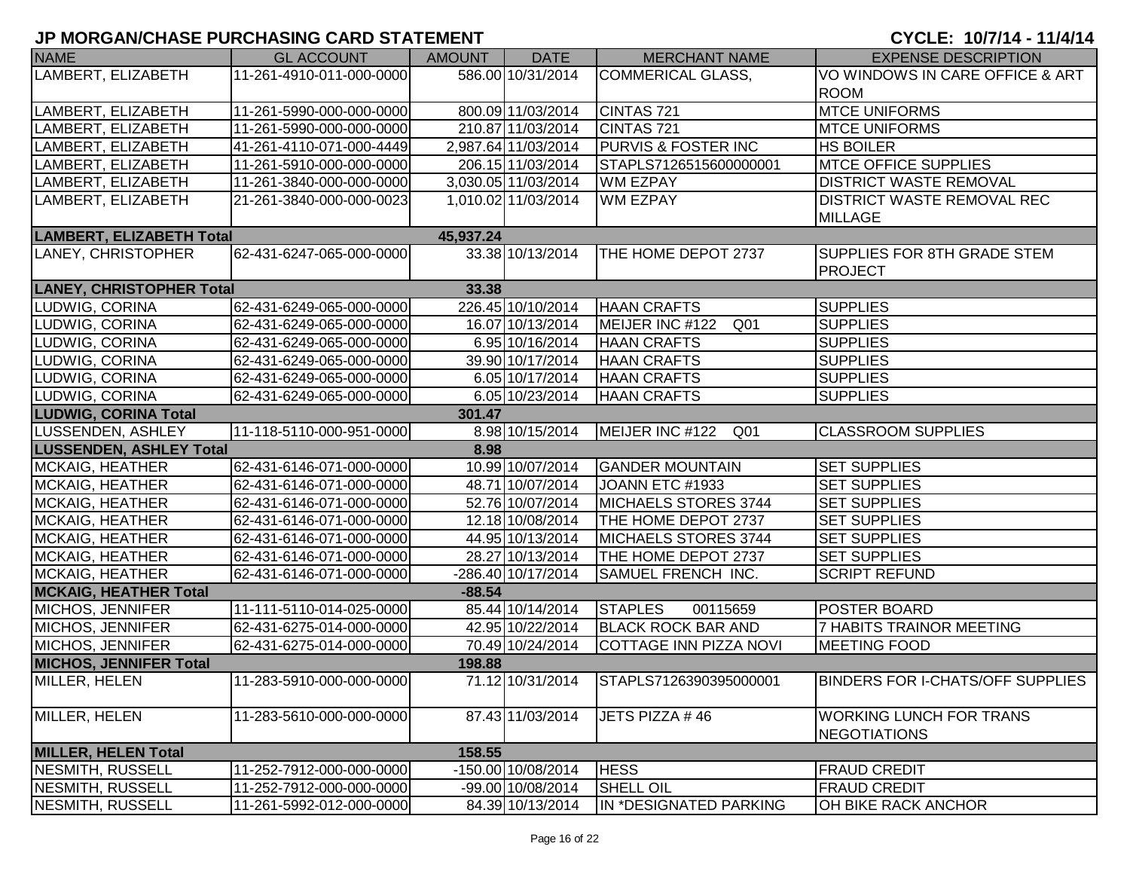| <b>NAME</b>                     | <b>GL ACCOUNT</b>        | <b>AMOUNT</b> | <b>DATE</b>         | <b>MERCHANT NAME</b>       | <b>EXPENSE DESCRIPTION</b>              |
|---------------------------------|--------------------------|---------------|---------------------|----------------------------|-----------------------------------------|
| LAMBERT, ELIZABETH              | 11-261-4910-011-000-0000 |               | 586.00 10/31/2014   | <b>COMMERICAL GLASS,</b>   | VO WINDOWS IN CARE OFFICE & ART         |
|                                 |                          |               |                     |                            | <b>ROOM</b>                             |
| LAMBERT, ELIZABETH              | 11-261-5990-000-000-0000 |               | 800.09 11/03/2014   | CINTAS 721                 | <b>MTCE UNIFORMS</b>                    |
| LAMBERT, ELIZABETH              | 11-261-5990-000-000-0000 |               | 210.87 11/03/2014   | CINTAS 721                 | <b>MTCE UNIFORMS</b>                    |
| LAMBERT, ELIZABETH              | 41-261-4110-071-000-4449 |               | 2,987.64 11/03/2014 | PURVIS & FOSTER INC        | <b>HS BOILER</b>                        |
| LAMBERT, ELIZABETH              | 11-261-5910-000-000-0000 |               | 206.15 11/03/2014   | STAPLS7126515600000001     | <b>MTCE OFFICE SUPPLIES</b>             |
| LAMBERT, ELIZABETH              | 11-261-3840-000-000-0000 |               | 3,030.05 11/03/2014 | WM EZPAY                   | DISTRICT WASTE REMOVAL                  |
| LAMBERT, ELIZABETH              | 21-261-3840-000-000-0023 |               | 1,010.02 11/03/2014 | <b>WM EZPAY</b>            | <b>DISTRICT WASTE REMOVAL REC</b>       |
|                                 |                          |               |                     |                            | <b>MILLAGE</b>                          |
| <b>LAMBERT, ELIZABETH Total</b> |                          | 45,937.24     |                     |                            |                                         |
| LANEY, CHRISTOPHER              | 62-431-6247-065-000-0000 |               | 33.38 10/13/2014    | THE HOME DEPOT 2737        | SUPPLIES FOR 8TH GRADE STEM             |
|                                 |                          |               |                     |                            | <b>PROJECT</b>                          |
| <b>LANEY, CHRISTOPHER Total</b> |                          | 33.38         |                     |                            |                                         |
| LUDWIG, CORINA                  | 62-431-6249-065-000-0000 |               | 226.45 10/10/2014   | <b>HAAN CRAFTS</b>         | <b>SUPPLIES</b>                         |
| LUDWIG, CORINA                  | 62-431-6249-065-000-0000 |               | 16.07 10/13/2014    | MEIJER INC #122<br>Q01     | <b>SUPPLIES</b>                         |
| LUDWIG, CORINA                  | 62-431-6249-065-000-0000 |               | 6.95 10/16/2014     | <b>HAAN CRAFTS</b>         | <b>SUPPLIES</b>                         |
| LUDWIG, CORINA                  | 62-431-6249-065-000-0000 |               | 39.90 10/17/2014    | <b>HAAN CRAFTS</b>         | <b>SUPPLIES</b>                         |
| LUDWIG, CORINA                  | 62-431-6249-065-000-0000 |               | 6.05 10/17/2014     | <b>HAAN CRAFTS</b>         | <b>SUPPLIES</b>                         |
| LUDWIG, CORINA                  | 62-431-6249-065-000-0000 |               | 6.05 10/23/2014     | <b>HAAN CRAFTS</b>         | <b>SUPPLIES</b>                         |
| <b>LUDWIG, CORINA Total</b>     |                          | 301.47        |                     |                            |                                         |
| LUSSENDEN, ASHLEY               | 11-118-5110-000-951-0000 |               | 8.98 10/15/2014     | MEIJER INC #122 Q01        | <b>CLASSROOM SUPPLIES</b>               |
| <b>LUSSENDEN, ASHLEY Total</b>  |                          | 8.98          |                     |                            |                                         |
| <b>MCKAIG, HEATHER</b>          | 62-431-6146-071-000-0000 |               | 10.99 10/07/2014    | <b>GANDER MOUNTAIN</b>     | <b>SET SUPPLIES</b>                     |
| <b>MCKAIG, HEATHER</b>          | 62-431-6146-071-000-0000 |               | 48.71 10/07/2014    | JOANN ETC #1933            | <b>SET SUPPLIES</b>                     |
| <b>MCKAIG, HEATHER</b>          | 62-431-6146-071-000-0000 |               | 52.76 10/07/2014    | MICHAELS STORES 3744       | <b>SET SUPPLIES</b>                     |
| <b>MCKAIG, HEATHER</b>          | 62-431-6146-071-000-0000 |               | 12.18 10/08/2014    | THE HOME DEPOT 2737        | <b>SET SUPPLIES</b>                     |
| MCKAIG, HEATHER                 | 62-431-6146-071-000-0000 |               | 44.95 10/13/2014    | MICHAELS STORES 3744       | <b>SET SUPPLIES</b>                     |
| <b>MCKAIG, HEATHER</b>          | 62-431-6146-071-000-0000 |               | 28.27 10/13/2014    | THE HOME DEPOT 2737        | <b>SET SUPPLIES</b>                     |
| MCKAIG, HEATHER                 | 62-431-6146-071-000-0000 |               | -286.40 10/17/2014  | <b>SAMUEL FRENCH INC.</b>  | <b>SCRIPT REFUND</b>                    |
| <b>MCKAIG, HEATHER Total</b>    |                          | $-88.54$      |                     |                            |                                         |
| MICHOS, JENNIFER                | 11-111-5110-014-025-0000 |               | 85.44 10/14/2014    | <b>STAPLES</b><br>00115659 | POSTER BOARD                            |
| MICHOS, JENNIFER                | 62-431-6275-014-000-0000 |               | 42.95 10/22/2014    | <b>BLACK ROCK BAR AND</b>  | <b>7 HABITS TRAINOR MEETING</b>         |
| MICHOS, JENNIFER                | 62-431-6275-014-000-0000 |               | 70.49 10/24/2014    | COTTAGE INN PIZZA NOVI     | <b>MEETING FOOD</b>                     |
| <b>MICHOS, JENNIFER Total</b>   |                          | 198.88        |                     |                            |                                         |
| MILLER, HELEN                   | 11-283-5910-000-000-0000 |               | 71.12 10/31/2014    | STAPLS7126390395000001     | <b>BINDERS FOR I-CHATS/OFF SUPPLIES</b> |
| MILLER, HELEN                   | 11-283-5610-000-000-0000 |               | 87.43 11/03/2014    | JETS PIZZA #46             | <b>WORKING LUNCH FOR TRANS</b>          |
|                                 |                          |               |                     |                            | <b>NEGOTIATIONS</b>                     |
| <b>MILLER, HELEN Total</b>      |                          | 158.55        |                     |                            |                                         |
| NESMITH, RUSSELL                | 11-252-7912-000-000-0000 |               | -150.00 10/08/2014  | <b>HESS</b>                | <b>FRAUD CREDIT</b>                     |
| NESMITH, RUSSELL                | 11-252-7912-000-000-0000 |               | -99.00 10/08/2014   | <b>SHELL OIL</b>           | <b>FRAUD CREDIT</b>                     |
| NESMITH, RUSSELL                | 11-261-5992-012-000-0000 |               | 84.39 10/13/2014    | IN *DESIGNATED PARKING     | OH BIKE RACK ANCHOR                     |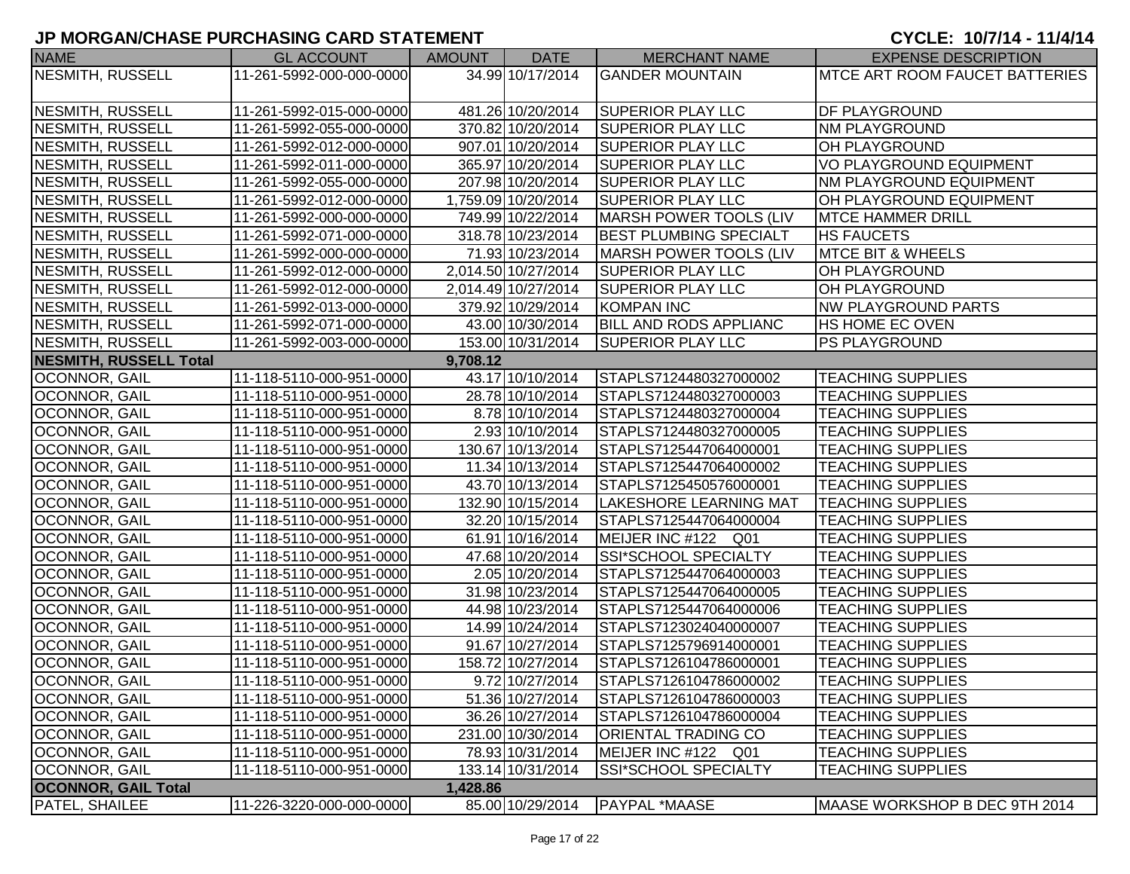| <b>NAME</b>                   | <b>GL ACCOUNT</b>        | AMOUNT   | <b>DATE</b>         | <b>MERCHANT NAME</b>          | <b>EXPENSE DESCRIPTION</b>             |
|-------------------------------|--------------------------|----------|---------------------|-------------------------------|----------------------------------------|
| NESMITH, RUSSELL              | 11-261-5992-000-000-0000 |          | 34.99 10/17/2014    | <b>GANDER MOUNTAIN</b>        | <b>IMTCE ART ROOM FAUCET BATTERIES</b> |
|                               |                          |          |                     |                               |                                        |
| NESMITH, RUSSELL              | 11-261-5992-015-000-0000 |          | 481.26 10/20/2014   | <b>SUPERIOR PLAY LLC</b>      | <b>DF PLAYGROUND</b>                   |
| NESMITH, RUSSELL              | 11-261-5992-055-000-0000 |          | 370.82 10/20/2014   | <b>SUPERIOR PLAY LLC</b>      | <b>NM PLAYGROUND</b>                   |
| NESMITH, RUSSELL              | 11-261-5992-012-000-0000 |          | 907.01 10/20/2014   | <b>SUPERIOR PLAY LLC</b>      | <b>OH PLAYGROUND</b>                   |
| NESMITH, RUSSELL              | 11-261-5992-011-000-0000 |          | 365.97 10/20/2014   | <b>SUPERIOR PLAY LLC</b>      | <b>VO PLAYGROUND EQUIPMENT</b>         |
| NESMITH, RUSSELL              | 11-261-5992-055-000-0000 |          | 207.98 10/20/2014   | <b>SUPERIOR PLAY LLC</b>      | <b>INM PLAYGROUND EQUIPMENT</b>        |
| NESMITH, RUSSELL              | 11-261-5992-012-000-0000 |          | 1,759.09 10/20/2014 | <b>SUPERIOR PLAY LLC</b>      | OH PLAYGROUND EQUIPMENT                |
| <b>NESMITH, RUSSELL</b>       | 11-261-5992-000-000-0000 |          | 749.99 10/22/2014   | <b>MARSH POWER TOOLS (LIV</b> | <b>MTCE HAMMER DRILL</b>               |
| <b>NESMITH, RUSSELL</b>       | 11-261-5992-071-000-0000 |          | 318.78 10/23/2014   | <b>BEST PLUMBING SPECIALT</b> | <b>HS FAUCETS</b>                      |
| <b>NESMITH, RUSSELL</b>       | 11-261-5992-000-000-0000 |          | 71.93 10/23/2014    | <b>MARSH POWER TOOLS (LIV</b> | <b>MTCE BIT &amp; WHEELS</b>           |
| <b>NESMITH, RUSSELL</b>       | 11-261-5992-012-000-0000 |          | 2,014.50 10/27/2014 | <b>SUPERIOR PLAY LLC</b>      | <b>OH PLAYGROUND</b>                   |
| <b>NESMITH, RUSSELL</b>       | 11-261-5992-012-000-0000 |          | 2,014.49 10/27/2014 | <b>SUPERIOR PLAY LLC</b>      | <b>OH PLAYGROUND</b>                   |
| NESMITH, RUSSELL              | 11-261-5992-013-000-0000 |          | 379.92 10/29/2014   | <b>KOMPAN INC</b>             | <b>NW PLAYGROUND PARTS</b>             |
| NESMITH, RUSSELL              | 11-261-5992-071-000-0000 |          | 43.00 10/30/2014    | <b>BILL AND RODS APPLIANC</b> | <b>HS HOME EC OVEN</b>                 |
| NESMITH, RUSSELL              | 11-261-5992-003-000-0000 |          | 153.00 10/31/2014   | <b>SUPERIOR PLAY LLC</b>      | <b>PS PLAYGROUND</b>                   |
| <b>NESMITH, RUSSELL Total</b> |                          | 9,708.12 |                     |                               |                                        |
| <b>OCONNOR, GAIL</b>          | 11-118-5110-000-951-0000 |          | 43.17 10/10/2014    | STAPLS7124480327000002        | <b>TEACHING SUPPLIES</b>               |
| OCONNOR, GAIL                 | 11-118-5110-000-951-0000 |          | 28.78 10/10/2014    | STAPLS7124480327000003        | <b>TEACHING SUPPLIES</b>               |
| OCONNOR, GAIL                 | 11-118-5110-000-951-0000 |          | 8.78 10/10/2014     | STAPLS7124480327000004        | <b>TEACHING SUPPLIES</b>               |
| OCONNOR, GAIL                 | 11-118-5110-000-951-0000 |          | 2.93 10/10/2014     | STAPLS7124480327000005        | <b>TEACHING SUPPLIES</b>               |
| OCONNOR, GAIL                 | 11-118-5110-000-951-0000 |          | 130.67 10/13/2014   | STAPLS7125447064000001        | <b>TEACHING SUPPLIES</b>               |
| OCONNOR, GAIL                 | 11-118-5110-000-951-0000 |          | 11.34 10/13/2014    | STAPLS7125447064000002        | <b>TEACHING SUPPLIES</b>               |
| OCONNOR, GAIL                 | 11-118-5110-000-951-0000 |          | 43.70 10/13/2014    | STAPLS7125450576000001        | <b>TEACHING SUPPLIES</b>               |
| OCONNOR, GAIL                 | 11-118-5110-000-951-0000 |          | 132.90 10/15/2014   | <b>LAKESHORE LEARNING MAT</b> | <b>TEACHING SUPPLIES</b>               |
| OCONNOR, GAIL                 | 11-118-5110-000-951-0000 |          | 32.20 10/15/2014    | STAPLS7125447064000004        | <b>TEACHING SUPPLIES</b>               |
| OCONNOR, GAIL                 | 11-118-5110-000-951-0000 |          | 61.91 10/16/2014    | MEIJER INC #122 Q01           | <b>TEACHING SUPPLIES</b>               |
| OCONNOR, GAIL                 | 11-118-5110-000-951-0000 |          | 47.68 10/20/2014    | <b>SSI*SCHOOL SPECIALTY</b>   | <b>TEACHING SUPPLIES</b>               |
| OCONNOR, GAIL                 | 11-118-5110-000-951-0000 |          | 2.05 10/20/2014     | STAPLS7125447064000003        | <b>TEACHING SUPPLIES</b>               |
| OCONNOR, GAIL                 | 11-118-5110-000-951-0000 |          | 31.98 10/23/2014    | STAPLS7125447064000005        | <b>TEACHING SUPPLIES</b>               |
| OCONNOR, GAIL                 | 11-118-5110-000-951-0000 |          | 44.98 10/23/2014    | STAPLS7125447064000006        | <b>TEACHING SUPPLIES</b>               |
| OCONNOR, GAIL                 | 11-118-5110-000-951-0000 |          | 14.99 10/24/2014    | STAPLS7123024040000007        | <b>TEACHING SUPPLIES</b>               |
| OCONNOR, GAIL                 | 11-118-5110-000-951-0000 |          | 91.67 10/27/2014    | STAPLS7125796914000001        | <b>TEACHING SUPPLIES</b>               |
| <b>OCONNOR, GAIL</b>          | 11-118-5110-000-951-0000 |          | 158.72 10/27/2014   | STAPLS7126104786000001        | <b>TEACHING SUPPLIES</b>               |
| OCONNOR, GAIL                 | 11-118-5110-000-951-0000 |          | 9.72 10/27/2014     | STAPLS7126104786000002        | <b>TEACHING SUPPLIES</b>               |
| OCONNOR, GAIL                 | 11-118-5110-000-951-0000 |          | 51.36 10/27/2014    | STAPLS7126104786000003        | <b>TEACHING SUPPLIES</b>               |
| OCONNOR, GAIL                 | 11-118-5110-000-951-0000 |          | 36.26 10/27/2014    | STAPLS7126104786000004        | <b>TEACHING SUPPLIES</b>               |
| OCONNOR, GAIL                 | 11-118-5110-000-951-0000 |          | 231.00 10/30/2014   | <b>ORIENTAL TRADING CO</b>    | <b>TEACHING SUPPLIES</b>               |
| OCONNOR, GAIL                 | 11-118-5110-000-951-0000 |          | 78.93 10/31/2014    | MEIJER INC #122 Q01           | <b>TEACHING SUPPLIES</b>               |
| OCONNOR, GAIL                 | 11-118-5110-000-951-0000 |          | 133.14 10/31/2014   | SSI*SCHOOL SPECIALTY          | <b>TEACHING SUPPLIES</b>               |
| <b>OCONNOR, GAIL Total</b>    |                          | 1,428.86 |                     |                               |                                        |
| PATEL, SHAILEE                | 11-226-3220-000-000-0000 |          | 85.00 10/29/2014    | PAYPAL *MAASE                 | MAASE WORKSHOP B DEC 9TH 2014          |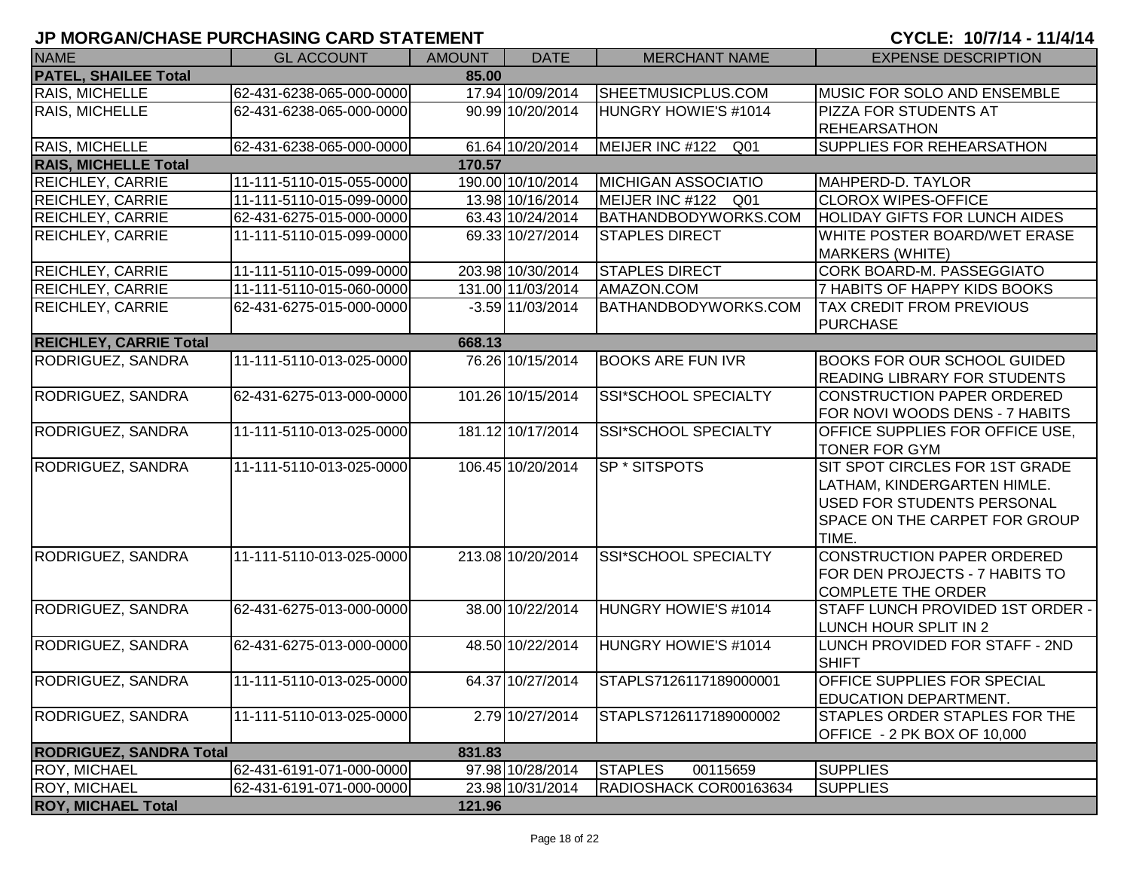| <b>NAME</b>                         | <b>GL ACCOUNT</b>        | <b>AMOUNT</b> | <b>DATE</b>        | <b>MERCHANT NAME</b>        | <b>EXPENSE DESCRIPTION</b>                                                                                                                           |  |
|-------------------------------------|--------------------------|---------------|--------------------|-----------------------------|------------------------------------------------------------------------------------------------------------------------------------------------------|--|
| <b>PATEL, SHAILEE Total</b>         |                          | 85.00         |                    |                             |                                                                                                                                                      |  |
| <b>RAIS, MICHELLE</b>               | 62-431-6238-065-000-0000 |               | 17.94 10/09/2014   | SHEETMUSICPLUS.COM          | MUSIC FOR SOLO AND ENSEMBLE                                                                                                                          |  |
| <b>RAIS, MICHELLE</b>               | 62-431-6238-065-000-0000 |               | 90.99 10/20/2014   | HUNGRY HOWIE'S #1014        | <b>PIZZA FOR STUDENTS AT</b>                                                                                                                         |  |
|                                     |                          |               |                    |                             | <b>REHEARSATHON</b>                                                                                                                                  |  |
| RAIS, MICHELLE                      | 62-431-6238-065-000-0000 |               | 61.64 10/20/2014   | MEIJER INC #122<br>Q01      | SUPPLIES FOR REHEARSATHON                                                                                                                            |  |
| <b>RAIS, MICHELLE Total</b>         |                          | 170.57        |                    |                             |                                                                                                                                                      |  |
| <b>REICHLEY, CARRIE</b>             | 11-111-5110-015-055-0000 |               | 190.00 10/10/2014  | <b>MICHIGAN ASSOCIATIO</b>  | MAHPERD-D. TAYLOR                                                                                                                                    |  |
| <b>REICHLEY, CARRIE</b>             | 11-111-5110-015-099-0000 |               | 13.98 10/16/2014   | MEIJER INC #122 Q01         | <b>CLOROX WIPES-OFFICE</b>                                                                                                                           |  |
| <b>REICHLEY, CARRIE</b>             | 62-431-6275-015-000-0000 |               | 63.43 10/24/2014   | BATHANDBODYWORKS.COM        | <b>HOLIDAY GIFTS FOR LUNCH AIDES</b>                                                                                                                 |  |
| <b>REICHLEY, CARRIE</b>             | 11-111-5110-015-099-0000 |               | 69.33 10/27/2014   | <b>STAPLES DIRECT</b>       | WHITE POSTER BOARD/WET ERASE<br>MARKERS (WHITE)                                                                                                      |  |
| <b>REICHLEY, CARRIE</b>             | 11-111-5110-015-099-0000 |               | 203.98 10/30/2014  | <b>STAPLES DIRECT</b>       | <b>CORK BOARD-M. PASSEGGIATO</b>                                                                                                                     |  |
| <b>REICHLEY, CARRIE</b>             | 11-111-5110-015-060-0000 |               | 131.00 11/03/2014  | AMAZON.COM                  | 7 HABITS OF HAPPY KIDS BOOKS                                                                                                                         |  |
| <b>REICHLEY, CARRIE</b>             | 62-431-6275-015-000-0000 |               | $-3.59$ 11/03/2014 | BATHANDBODYWORKS.COM        | <b>TAX CREDIT FROM PREVIOUS</b><br><b>PURCHASE</b>                                                                                                   |  |
| <b>REICHLEY, CARRIE Total</b>       |                          | 668.13        |                    |                             |                                                                                                                                                      |  |
| RODRIGUEZ, SANDRA                   | 11-111-5110-013-025-0000 |               | 76.26 10/15/2014   | <b>BOOKS ARE FUN IVR</b>    | <b>BOOKS FOR OUR SCHOOL GUIDED</b><br><b>READING LIBRARY FOR STUDENTS</b>                                                                            |  |
| RODRIGUEZ, SANDRA                   | 62-431-6275-013-000-0000 |               | 101.26 10/15/2014  | SSI*SCHOOL SPECIALTY        | <b>CONSTRUCTION PAPER ORDERED</b><br>FOR NOVI WOODS DENS - 7 HABITS                                                                                  |  |
| RODRIGUEZ, SANDRA                   | 11-111-5110-013-025-0000 |               | 181.12 10/17/2014  | SSI*SCHOOL SPECIALTY        | OFFICE SUPPLIES FOR OFFICE USE,<br><b>TONER FOR GYM</b>                                                                                              |  |
| RODRIGUEZ, SANDRA                   | 11-111-5110-013-025-0000 |               | 106.45 10/20/2014  | SP * SITSPOTS               | SIT SPOT CIRCLES FOR 1ST GRADE<br>LATHAM, KINDERGARTEN HIMLE.<br>USED FOR STUDENTS PERSONAL<br><b>SPACE ON THE CARPET FOR GROUP</b><br><b>ITIME.</b> |  |
| RODRIGUEZ, SANDRA                   | 11-111-5110-013-025-0000 |               | 213.08 10/20/2014  | SSI*SCHOOL SPECIALTY        | CONSTRUCTION PAPER ORDERED<br>FOR DEN PROJECTS - 7 HABITS TO<br><b>COMPLETE THE ORDER</b>                                                            |  |
| RODRIGUEZ, SANDRA                   | 62-431-6275-013-000-0000 |               | 38.00 10/22/2014   | <b>HUNGRY HOWIE'S #1014</b> | STAFF LUNCH PROVIDED 1ST ORDER -<br>LUNCH HOUR SPLIT IN 2                                                                                            |  |
| RODRIGUEZ, SANDRA                   | 62-431-6275-013-000-0000 |               | 48.50 10/22/2014   | HUNGRY HOWIE'S #1014        | LUNCH PROVIDED FOR STAFF - 2ND<br><b>SHIFT</b>                                                                                                       |  |
| RODRIGUEZ, SANDRA                   | 11-111-5110-013-025-0000 |               | 64.37 10/27/2014   | STAPLS7126117189000001      | <b>OFFICE SUPPLIES FOR SPECIAL</b><br><b>EDUCATION DEPARTMENT.</b>                                                                                   |  |
| RODRIGUEZ, SANDRA                   | 11-111-5110-013-025-0000 |               | 2.79 10/27/2014    | STAPLS7126117189000002      | <b>STAPLES ORDER STAPLES FOR THE</b><br>OFFICE - 2 PK BOX OF 10,000                                                                                  |  |
| <b>RODRIGUEZ, SANDRA Total</b>      |                          | 831.83        |                    |                             |                                                                                                                                                      |  |
| <b>ROY, MICHAEL</b>                 | 62-431-6191-071-000-0000 |               | 97.98 10/28/2014   | <b>STAPLES</b><br>00115659  | <b>SUPPLIES</b>                                                                                                                                      |  |
| <b>ROY, MICHAEL</b>                 | 62-431-6191-071-000-0000 |               | 23.98 10/31/2014   | RADIOSHACK COR00163634      | <b>SUPPLIES</b>                                                                                                                                      |  |
| <b>ROY, MICHAEL Total</b><br>121.96 |                          |               |                    |                             |                                                                                                                                                      |  |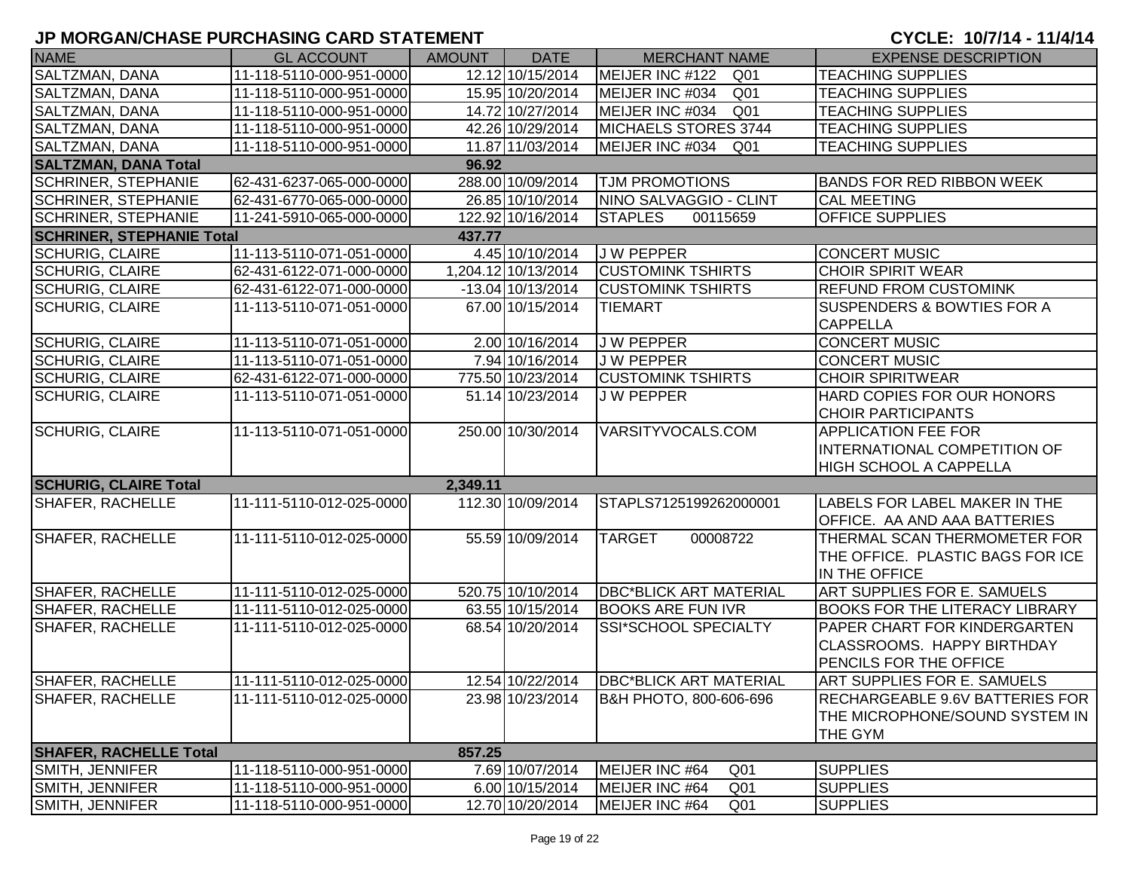| <b>NAME</b>                   | <b>GL ACCOUNT</b>                          | <b>AMOUNT</b> | <b>DATE</b>         | <b>MERCHANT NAME</b>               | <b>EXPENSE DESCRIPTION</b>            |  |  |  |
|-------------------------------|--------------------------------------------|---------------|---------------------|------------------------------------|---------------------------------------|--|--|--|
| SALTZMAN, DANA                | 11-118-5110-000-951-0000                   |               | 12.12 10/15/2014    | MEIJER INC #122<br>Q01             | <b>TEACHING SUPPLIES</b>              |  |  |  |
| SALTZMAN, DANA                | 11-118-5110-000-951-0000                   |               | 15.95 10/20/2014    | MEIJER INC #034<br>Q <sub>01</sub> | <b>TEACHING SUPPLIES</b>              |  |  |  |
| SALTZMAN, DANA                | 11-118-5110-000-951-0000                   |               | 14.72 10/27/2014    | MEIJER INC #034<br>Q <sub>01</sub> | <b>TEACHING SUPPLIES</b>              |  |  |  |
| <b>SALTZMAN, DANA</b>         | 11-118-5110-000-951-0000                   |               | 42.26 10/29/2014    | MICHAELS STORES 3744               | <b>TEACHING SUPPLIES</b>              |  |  |  |
| SALTZMAN, DANA                | 11-118-5110-000-951-0000                   |               | 11.87 11/03/2014    | MEIJER INC #034<br>Q01             | <b>TEACHING SUPPLIES</b>              |  |  |  |
| <b>SALTZMAN, DANA Total</b>   |                                            | 96.92         |                     |                                    |                                       |  |  |  |
| <b>SCHRINER, STEPHANIE</b>    | 62-431-6237-065-000-0000                   |               | 288.00 10/09/2014   | <b>TJM PROMOTIONS</b>              | <b>BANDS FOR RED RIBBON WEEK</b>      |  |  |  |
| <b>SCHRINER, STEPHANIE</b>    | 62-431-6770-065-000-0000                   |               | 26.85 10/10/2014    | NINO SALVAGGIO - CLINT             | <b>CAL MEETING</b>                    |  |  |  |
| <b>SCHRINER, STEPHANIE</b>    | 11-241-5910-065-000-0000                   |               | 122.92 10/16/2014   | <b>STAPLES</b><br>00115659         | <b>OFFICE SUPPLIES</b>                |  |  |  |
|                               | <b>SCHRINER, STEPHANIE Total</b><br>437.77 |               |                     |                                    |                                       |  |  |  |
| <b>SCHURIG, CLAIRE</b>        | 11-113-5110-071-051-0000                   |               | 4.45 10/10/2014     | <b>JW PEPPER</b>                   | <b>CONCERT MUSIC</b>                  |  |  |  |
| <b>SCHURIG, CLAIRE</b>        | 62-431-6122-071-000-0000                   |               | 1,204.12 10/13/2014 | <b>CUSTOMINK TSHIRTS</b>           | <b>CHOIR SPIRIT WEAR</b>              |  |  |  |
| <b>SCHURIG, CLAIRE</b>        | 62-431-6122-071-000-0000                   |               | -13.04 10/13/2014   | <b>CUSTOMINK TSHIRTS</b>           | <b>REFUND FROM CUSTOMINK</b>          |  |  |  |
| <b>SCHURIG, CLAIRE</b>        | 11-113-5110-071-051-0000                   |               | 67.00 10/15/2014    | <b>TIEMART</b>                     | <b>SUSPENDERS &amp; BOWTIES FOR A</b> |  |  |  |
|                               |                                            |               |                     |                                    | <b>CAPPELLA</b>                       |  |  |  |
| <b>SCHURIG, CLAIRE</b>        | 11-113-5110-071-051-0000                   |               | 2.00 10/16/2014     | <b>JW PEPPER</b>                   | <b>CONCERT MUSIC</b>                  |  |  |  |
| <b>SCHURIG, CLAIRE</b>        | 11-113-5110-071-051-0000                   |               | 7.94 10/16/2014     | <b>JW PEPPER</b>                   | <b>CONCERT MUSIC</b>                  |  |  |  |
| <b>SCHURIG, CLAIRE</b>        | 62-431-6122-071-000-0000                   |               | 775.50 10/23/2014   | <b>CUSTOMINK TSHIRTS</b>           | <b>CHOIR SPIRITWEAR</b>               |  |  |  |
| <b>SCHURIG, CLAIRE</b>        | 11-113-5110-071-051-0000                   |               | 51.14 10/23/2014    | <b>JW PEPPER</b>                   | HARD COPIES FOR OUR HONORS            |  |  |  |
|                               |                                            |               |                     |                                    | <b>CHOIR PARTICIPANTS</b>             |  |  |  |
| <b>SCHURIG, CLAIRE</b>        | 11-113-5110-071-051-0000                   |               | 250.00 10/30/2014   | VARSITYVOCALS.COM                  | <b>APPLICATION FEE FOR</b>            |  |  |  |
|                               |                                            |               |                     |                                    | INTERNATIONAL COMPETITION OF          |  |  |  |
|                               |                                            |               |                     |                                    | HIGH SCHOOL A CAPPELLA                |  |  |  |
| <b>SCHURIG, CLAIRE Total</b>  |                                            | 2,349.11      |                     |                                    |                                       |  |  |  |
| SHAFER, RACHELLE              | 11-111-5110-012-025-0000                   |               | 112.30 10/09/2014   | STAPLS7125199262000001             | <b>LABELS FOR LABEL MAKER IN THE</b>  |  |  |  |
|                               |                                            |               |                     |                                    | OFFICE. AA AND AAA BATTERIES          |  |  |  |
| SHAFER, RACHELLE              | 11-111-5110-012-025-0000                   |               | 55.59 10/09/2014    | <b>TARGET</b><br>00008722          | THERMAL SCAN THERMOMETER FOR          |  |  |  |
|                               |                                            |               |                     |                                    | THE OFFICE. PLASTIC BAGS FOR ICE      |  |  |  |
|                               |                                            |               |                     |                                    | IN THE OFFICE                         |  |  |  |
| <b>SHAFER, RACHELLE</b>       | 11-111-5110-012-025-0000                   |               | 520.75 10/10/2014   | <b>DBC*BLICK ART MATERIAL</b>      | <b>ART SUPPLIES FOR E. SAMUELS</b>    |  |  |  |
| <b>SHAFER, RACHELLE</b>       | 11-111-5110-012-025-0000                   |               | 63.55 10/15/2014    | <b>BOOKS ARE FUN IVR</b>           | <b>BOOKS FOR THE LITERACY LIBRARY</b> |  |  |  |
| <b>SHAFER, RACHELLE</b>       | 11-111-5110-012-025-0000                   |               | 68.54 10/20/2014    | <b>SSI*SCHOOL SPECIALTY</b>        | <b>PAPER CHART FOR KINDERGARTEN</b>   |  |  |  |
|                               |                                            |               |                     |                                    | <b>CLASSROOMS. HAPPY BIRTHDAY</b>     |  |  |  |
|                               |                                            |               |                     |                                    | PENCILS FOR THE OFFICE                |  |  |  |
| <b>SHAFER, RACHELLE</b>       | 11-111-5110-012-025-0000                   |               | 12.54 10/22/2014    | <b>DBC*BLICK ART MATERIAL</b>      | ART SUPPLIES FOR E. SAMUELS           |  |  |  |
| <b>SHAFER, RACHELLE</b>       | 11-111-5110-012-025-0000                   |               | 23.98 10/23/2014    | В&Н РНОТО, 800-606-696             | RECHARGEABLE 9.6V BATTERIES FOR       |  |  |  |
|                               |                                            |               |                     |                                    | THE MICROPHONE/SOUND SYSTEM IN        |  |  |  |
|                               |                                            |               |                     |                                    | <b>THE GYM</b>                        |  |  |  |
| <b>SHAFER, RACHELLE Total</b> |                                            | 857.25        |                     |                                    |                                       |  |  |  |
| SMITH, JENNIFER               | 11-118-5110-000-951-0000                   |               | 7.69 10/07/2014     | MEIJER INC #64<br>Q <sub>01</sub>  | <b>SUPPLIES</b>                       |  |  |  |
| SMITH, JENNIFER               | 11-118-5110-000-951-0000                   |               | 6.00 10/15/2014     | MEIJER INC #64<br>Q <sub>01</sub>  | <b>SUPPLIES</b>                       |  |  |  |
| SMITH, JENNIFER               | 11-118-5110-000-951-0000                   |               | 12.70 10/20/2014    | MEIJER INC #64<br>Q <sub>01</sub>  | <b>SUPPLIES</b>                       |  |  |  |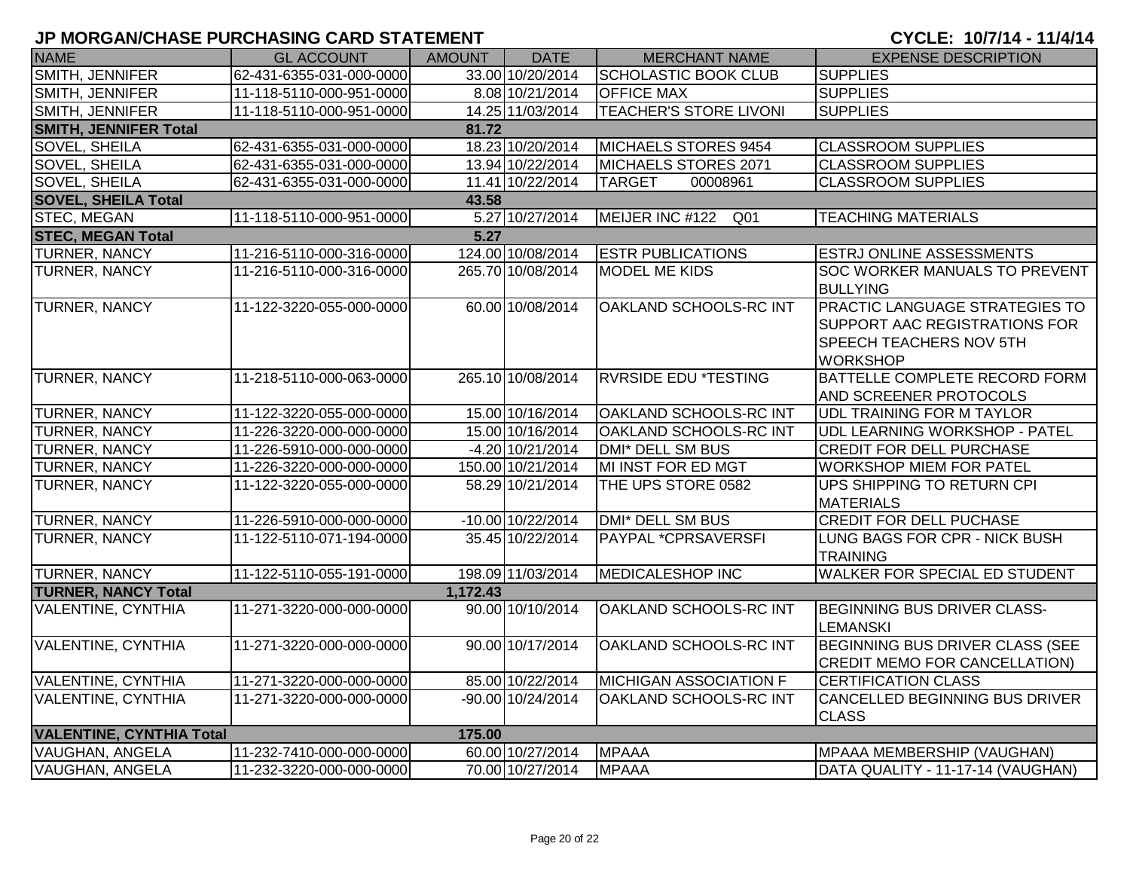| <b>NAME</b>                         | <b>GL ACCOUNT</b>        | <b>AMOUNT</b> | <b>DATE</b>           | <b>MERCHANT NAME</b>               | <b>EXPENSE DESCRIPTION</b>                                                                                                  |  |  |  |
|-------------------------------------|--------------------------|---------------|-----------------------|------------------------------------|-----------------------------------------------------------------------------------------------------------------------------|--|--|--|
| SMITH, JENNIFER                     | 62-431-6355-031-000-0000 |               | 33.00 10/20/2014      | <b>SCHOLASTIC BOOK CLUB</b>        | <b>SUPPLIES</b>                                                                                                             |  |  |  |
| SMITH, JENNIFER                     | 11-118-5110-000-951-0000 |               | 8.08 10/21/2014       | <b>OFFICE MAX</b>                  | <b>SUPPLIES</b>                                                                                                             |  |  |  |
| SMITH, JENNIFER                     | 11-118-5110-000-951-0000 |               | 14.25 11/03/2014      | <b>TEACHER'S STORE LIVONI</b>      | <b>SUPPLIES</b>                                                                                                             |  |  |  |
| <b>SMITH, JENNIFER Total</b>        |                          | 81.72         |                       |                                    |                                                                                                                             |  |  |  |
| <b>SOVEL, SHEILA</b>                | 62-431-6355-031-000-0000 |               | 18.23 10/20/2014      | MICHAELS STORES 9454               | <b>CLASSROOM SUPPLIES</b>                                                                                                   |  |  |  |
| SOVEL, SHEILA                       | 62-431-6355-031-000-0000 |               | 13.94 10/22/2014      | MICHAELS STORES 2071               | <b>CLASSROOM SUPPLIES</b>                                                                                                   |  |  |  |
| SOVEL, SHEILA                       | 62-431-6355-031-000-0000 |               | 11.41 10/22/2014      | <b>TARGET</b><br>00008961          | <b>CLASSROOM SUPPLIES</b>                                                                                                   |  |  |  |
| <b>SOVEL, SHEILA Total</b><br>43.58 |                          |               |                       |                                    |                                                                                                                             |  |  |  |
| <b>STEC, MEGAN</b>                  | 11-118-5110-000-951-0000 |               | 5.27 10/27/2014       | MEIJER INC #122<br>Q <sub>01</sub> | <b>TEACHING MATERIALS</b>                                                                                                   |  |  |  |
| <b>STEC, MEGAN Total</b><br>5.27    |                          |               |                       |                                    |                                                                                                                             |  |  |  |
| TURNER, NANCY                       | 11-216-5110-000-316-0000 |               | 124.00 10/08/2014     | <b>ESTR PUBLICATIONS</b>           | <b>ESTRJ ONLINE ASSESSMENTS</b>                                                                                             |  |  |  |
| TURNER, NANCY                       | 11-216-5110-000-316-0000 |               | 265.70 10/08/2014     | <b>MODEL ME KIDS</b>               | <b>SOC WORKER MANUALS TO PREVENT</b><br><b>BULLYING</b>                                                                     |  |  |  |
| TURNER, NANCY                       | 11-122-3220-055-000-0000 |               | 60.00 10/08/2014      | OAKLAND SCHOOLS-RC INT             | <b>PRACTIC LANGUAGE STRATEGIES TO</b><br>SUPPORT AAC REGISTRATIONS FOR<br><b>SPEECH TEACHERS NOV 5TH</b><br><b>WORKSHOP</b> |  |  |  |
| <b>TURNER, NANCY</b>                | 11-218-5110-000-063-0000 |               | 265.10 10/08/2014     | <b>RVRSIDE EDU *TESTING</b>        | <b>BATTELLE COMPLETE RECORD FORM</b><br>AND SCREENER PROTOCOLS                                                              |  |  |  |
| <b>TURNER, NANCY</b>                | 11-122-3220-055-000-0000 |               | 15.00 10/16/2014      | <b>OAKLAND SCHOOLS-RC INT</b>      | <b>UDL TRAINING FOR M TAYLOR</b>                                                                                            |  |  |  |
| <b>TURNER, NANCY</b>                | 11-226-3220-000-000-0000 |               | 15.00 10/16/2014      | OAKLAND SCHOOLS-RC INT             | UDL LEARNING WORKSHOP - PATEL                                                                                               |  |  |  |
| TURNER, NANCY                       | 11-226-5910-000-000-0000 |               | -4.20 10/21/2014      | <b>DMI* DELL SM BUS</b>            | <b>CREDIT FOR DELL PURCHASE</b>                                                                                             |  |  |  |
| TURNER, NANCY                       | 11-226-3220-000-000-0000 |               | 150.00 10/21/2014     | MI INST FOR ED MGT                 | <b>WORKSHOP MIEM FOR PATEL</b>                                                                                              |  |  |  |
| TURNER, NANCY                       | 11-122-3220-055-000-0000 |               | 58.29 10/21/2014      | THE UPS STORE 0582                 | UPS SHIPPING TO RETURN CPI<br><b>MATERIALS</b>                                                                              |  |  |  |
| <b>TURNER, NANCY</b>                | 11-226-5910-000-000-0000 |               | $-10.00$ $10/22/2014$ | <b>DMI* DELL SM BUS</b>            | <b>CREDIT FOR DELL PUCHASE</b>                                                                                              |  |  |  |
| TURNER, NANCY                       | 11-122-5110-071-194-0000 |               | 35.45 10/22/2014      | PAYPAL *CPRSAVERSFI                | LUNG BAGS FOR CPR - NICK BUSH<br><b>TRAINING</b>                                                                            |  |  |  |
| <b>TURNER, NANCY</b>                | 11-122-5110-055-191-0000 |               | 198.09 11/03/2014     | <b>MEDICALESHOP INC</b>            | WALKER FOR SPECIAL ED STUDENT                                                                                               |  |  |  |
| <b>TURNER, NANCY Total</b>          |                          | 1,172.43      |                       |                                    |                                                                                                                             |  |  |  |
| <b>VALENTINE, CYNTHIA</b>           | 11-271-3220-000-000-0000 |               | 90.00 10/10/2014      | OAKLAND SCHOOLS-RC INT             | BEGINNING BUS DRIVER CLASS-<br><b>LEMANSKI</b>                                                                              |  |  |  |
| <b>VALENTINE, CYNTHIA</b>           | 11-271-3220-000-000-0000 |               | 90.00 10/17/2014      | OAKLAND SCHOOLS-RC INT             | BEGINNING BUS DRIVER CLASS (SEE<br><b>CREDIT MEMO FOR CANCELLATION)</b>                                                     |  |  |  |
| <b>VALENTINE, CYNTHIA</b>           | 11-271-3220-000-000-0000 |               | 85.00 10/22/2014      | <b>MICHIGAN ASSOCIATION F</b>      | <b>CERTIFICATION CLASS</b>                                                                                                  |  |  |  |
| <b>VALENTINE, CYNTHIA</b>           | 11-271-3220-000-000-0000 |               | -90.00 10/24/2014     | OAKLAND SCHOOLS-RC INT             | CANCELLED BEGINNING BUS DRIVER<br><b>CLASS</b>                                                                              |  |  |  |
| <b>VALENTINE, CYNTHIA Total</b>     |                          | 175.00        |                       |                                    |                                                                                                                             |  |  |  |
| VAUGHAN, ANGELA                     | 11-232-7410-000-000-0000 |               | 60.00 10/27/2014      | <b>MPAAA</b>                       | MPAAA MEMBERSHIP (VAUGHAN)                                                                                                  |  |  |  |
| VAUGHAN, ANGELA                     | 11-232-3220-000-000-0000 |               | 70.00 10/27/2014      | <b>MPAAA</b>                       | DATA QUALITY - 11-17-14 (VAUGHAN)                                                                                           |  |  |  |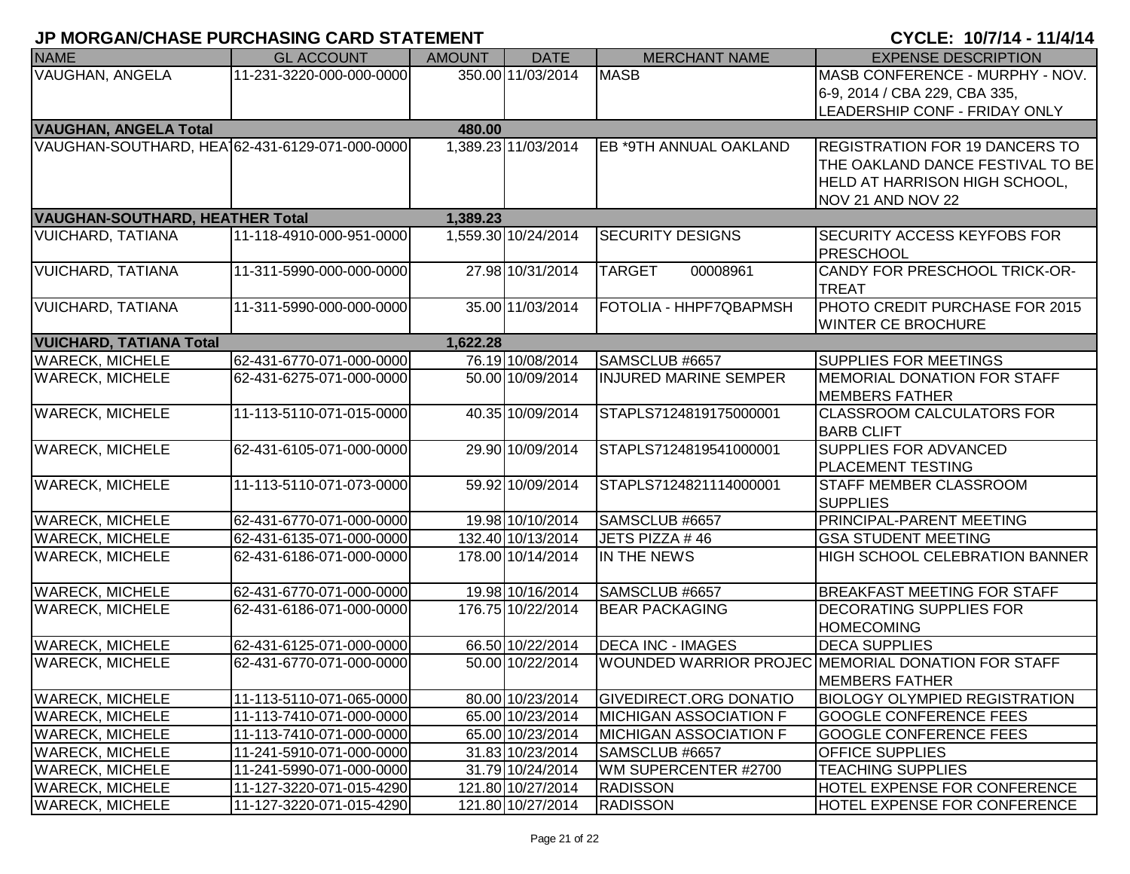| <b>NAME</b>                            | <b>GL ACCOUNT</b>                              | <b>AMOUNT</b> | <b>DATE</b>         | <b>MERCHANT NAME</b>          | <b>EXPENSE DESCRIPTION</b>                             |
|----------------------------------------|------------------------------------------------|---------------|---------------------|-------------------------------|--------------------------------------------------------|
| <b>VAUGHAN, ANGELA</b>                 | 11-231-3220-000-000-0000                       |               | 350.00 11/03/2014   | <b>MASB</b>                   | MASB CONFERENCE - MURPHY - NOV.                        |
|                                        |                                                |               |                     |                               | 6-9, 2014 / CBA 229, CBA 335,                          |
|                                        |                                                |               |                     |                               | LEADERSHIP CONF - FRIDAY ONLY                          |
| <b>VAUGHAN, ANGELA Total</b>           |                                                | 480.00        |                     |                               |                                                        |
|                                        | VAUGHAN-SOUTHARD, HEA162-431-6129-071-000-0000 |               | 1,389.23 11/03/2014 | EB *9TH ANNUAL OAKLAND        | <b>REGISTRATION FOR 19 DANCERS TO</b>                  |
|                                        |                                                |               |                     |                               | THE OAKLAND DANCE FESTIVAL TO BE                       |
|                                        |                                                |               |                     |                               | HELD AT HARRISON HIGH SCHOOL,                          |
|                                        |                                                |               |                     |                               | NOV 21 AND NOV 22                                      |
| <b>VAUGHAN-SOUTHARD, HEATHER Total</b> |                                                | 1,389.23      |                     |                               |                                                        |
| <b>VUICHARD, TATIANA</b>               | 11-118-4910-000-951-0000                       |               | 1,559.30 10/24/2014 | <b>SECURITY DESIGNS</b>       | <b>SECURITY ACCESS KEYFOBS FOR</b><br><b>PRESCHOOL</b> |
| <b>VUICHARD, TATIANA</b>               | 11-311-5990-000-000-0000                       |               | 27.98 10/31/2014    | 00008961<br><b>TARGET</b>     | CANDY FOR PRESCHOOL TRICK-OR-                          |
|                                        |                                                |               |                     |                               | <b>TREAT</b>                                           |
| <b>VUICHARD, TATIANA</b>               | 11-311-5990-000-000-0000                       |               | 35.00 11/03/2014    | FOTOLIA - HHPF7QBAPMSH        | PHOTO CREDIT PURCHASE FOR 2015                         |
|                                        |                                                |               |                     |                               | <b>WINTER CE BROCHURE</b>                              |
| <b>VUICHARD, TATIANA Total</b>         |                                                | 1,622.28      |                     |                               |                                                        |
| <b>WARECK, MICHELE</b>                 | 62-431-6770-071-000-0000                       |               | 76.19 10/08/2014    | SAMSCLUB #6657                | <b>SUPPLIES FOR MEETINGS</b>                           |
| <b>WARECK, MICHELE</b>                 | 62-431-6275-071-000-0000                       |               | 50.00 10/09/2014    | <b>INJURED MARINE SEMPER</b>  | <b>MEMORIAL DONATION FOR STAFF</b>                     |
|                                        |                                                |               |                     |                               | <b>MEMBERS FATHER</b>                                  |
| <b>WARECK, MICHELE</b>                 | 11-113-5110-071-015-0000                       |               | 40.35 10/09/2014    | STAPLS7124819175000001        | <b>CLASSROOM CALCULATORS FOR</b>                       |
|                                        |                                                |               |                     |                               | <b>BARB CLIFT</b>                                      |
| <b>WARECK, MICHELE</b>                 | 62-431-6105-071-000-0000                       |               | 29.90 10/09/2014    | STAPLS7124819541000001        | <b>SUPPLIES FOR ADVANCED</b>                           |
|                                        |                                                |               |                     |                               | <b>PLACEMENT TESTING</b>                               |
| <b>WARECK, MICHELE</b>                 | 11-113-5110-071-073-0000                       |               | 59.92 10/09/2014    | STAPLS7124821114000001        | <b>STAFF MEMBER CLASSROOM</b>                          |
| <b>WARECK, MICHELE</b>                 | 62-431-6770-071-000-0000                       |               | 19.98 10/10/2014    | SAMSCLUB #6657                | <b>SUPPLIES</b><br>PRINCIPAL-PARENT MEETING            |
| <b>WARECK, MICHELE</b>                 | 62-431-6135-071-000-0000                       |               | 132.40 10/13/2014   | JETS PIZZA #46                | <b>GSA STUDENT MEETING</b>                             |
| <b>WARECK, MICHELE</b>                 | 62-431-6186-071-000-0000                       |               | 178.00 10/14/2014   | IN THE NEWS                   | HIGH SCHOOL CELEBRATION BANNER                         |
|                                        |                                                |               |                     |                               |                                                        |
| <b>WARECK, MICHELE</b>                 | 62-431-6770-071-000-0000                       |               | 19.98 10/16/2014    | SAMSCLUB #6657                | <b>BREAKFAST MEETING FOR STAFF</b>                     |
| <b>WARECK, MICHELE</b>                 | 62-431-6186-071-000-0000                       |               | 176.75 10/22/2014   | <b>BEAR PACKAGING</b>         | <b>DECORATING SUPPLIES FOR</b>                         |
|                                        |                                                |               |                     |                               | <b>HOMECOMING</b>                                      |
| <b>WARECK, MICHELE</b>                 | 62-431-6125-071-000-0000                       |               | 66.50 10/22/2014    | <b>DECA INC - IMAGES</b>      | <b>DECA SUPPLIES</b>                                   |
| <b>WARECK, MICHELE</b>                 | 62-431-6770-071-000-0000                       |               | 50.00 10/22/2014    |                               | WOUNDED WARRIOR PROJEC MEMORIAL DONATION FOR STAFF     |
|                                        |                                                |               |                     |                               | <b>MEMBERS FATHER</b>                                  |
| <b>WARECK, MICHELE</b>                 | 11-113-5110-071-065-0000                       |               | 80.00 10/23/2014    | <b>GIVEDIRECT.ORG DONATIO</b> | <b>BIOLOGY OLYMPIED REGISTRATION</b>                   |
| <b>WARECK, MICHELE</b>                 | 11-113-7410-071-000-0000                       |               | 65.00 10/23/2014    | <b>MICHIGAN ASSOCIATION F</b> | <b>GOOGLE CONFERENCE FEES</b>                          |
| <b>WARECK, MICHELE</b>                 | 11-113-7410-071-000-0000                       |               | 65.00 10/23/2014    | <b>MICHIGAN ASSOCIATION F</b> | <b>GOOGLE CONFERENCE FEES</b>                          |
| <b>WARECK, MICHELE</b>                 | 11-241-5910-071-000-0000                       |               | 31.83 10/23/2014    | SAMSCLUB #6657                | <b>OFFICE SUPPLIES</b>                                 |
| <b>WARECK, MICHELE</b>                 | 11-241-5990-071-000-0000                       |               | 31.79 10/24/2014    | WM SUPERCENTER #2700          | <b>TEACHING SUPPLIES</b>                               |
| <b>WARECK, MICHELE</b>                 | 11-127-3220-071-015-4290                       |               | 121.80 10/27/2014   | <b>RADISSON</b>               | HOTEL EXPENSE FOR CONFERENCE                           |
| <b>WARECK, MICHELE</b>                 | 11-127-3220-071-015-4290                       |               | 121.80 10/27/2014   | <b>RADISSON</b>               | HOTEL EXPENSE FOR CONFERENCE                           |